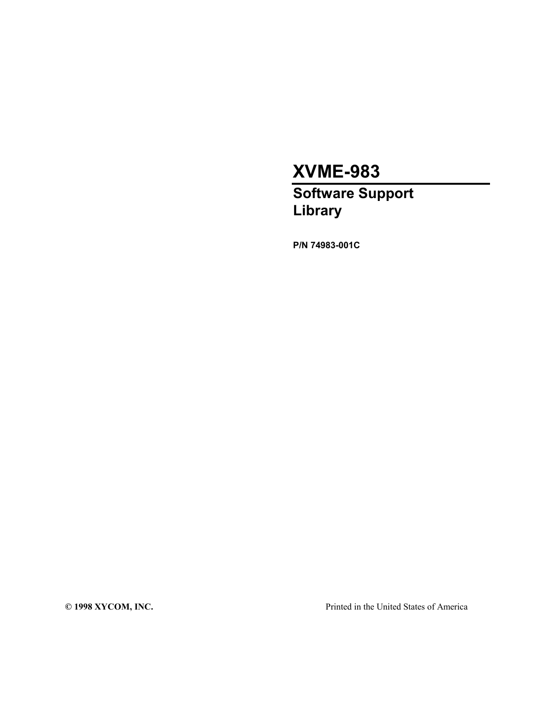# **XVME-983**

# **Software Support Library**

**P/N 74983-001C**

**© 1998 XYCOM, INC.** Printed in the United States of America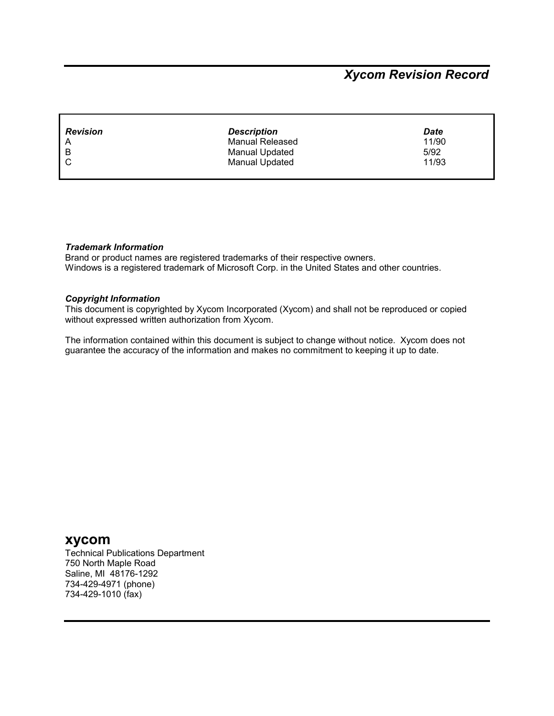## *Xycom Revision Record*

| <b>Revision</b> | <b>Description</b> | <b>Date</b> |
|-----------------|--------------------|-------------|
| A               | Manual Released    | 11/90       |
| B               | Manual Updated     | 5/92        |
| C               | Manual Updated     | 11/93       |

#### *Trademark Information*

Brand or product names are registered trademarks of their respective owners. Windows is a registered trademark of Microsoft Corp. in the United States and other countries.

#### *Copyright Information*

This document is copyrighted by Xycom Incorporated (Xycom) and shall not be reproduced or copied without expressed written authorization from Xycom.

The information contained within this document is subject to change without notice. Xycom does not guarantee the accuracy of the information and makes no commitment to keeping it up to date.

## **xycom**

Technical Publications Department 750 North Maple Road Saline, MI 48176-1292 734-429-4971 (phone) 734-429-1010 (fax)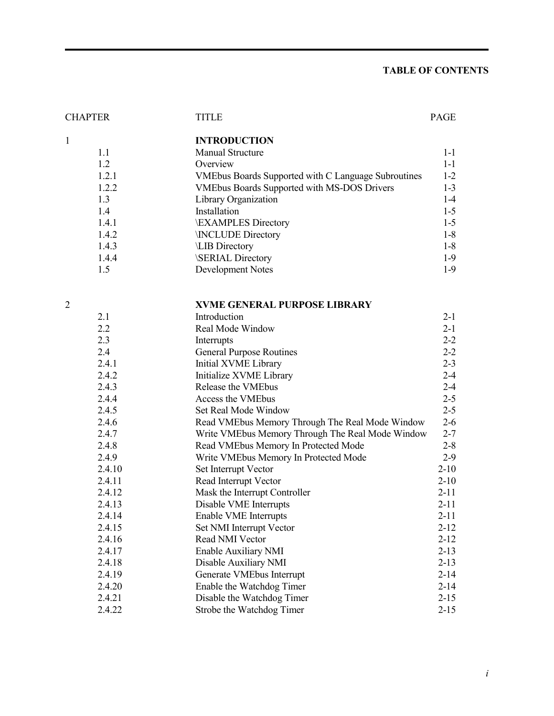#### **TABLE OF CONTENTS**

|   | <b>CHAPTER</b> | TITLE                                                      | PAGE    |
|---|----------------|------------------------------------------------------------|---------|
| 1 |                | <b>INTRODUCTION</b>                                        |         |
|   | 1.1            | <b>Manual Structure</b>                                    | $1 - 1$ |
|   | 1.2            | Overview                                                   | $1 - 1$ |
|   | 1.2.1          | <b>VMEbus Boards Supported with C Language Subroutines</b> | $1 - 2$ |
|   | 1.2.2          | <b>VMEbus Boards Supported with MS-DOS Drivers</b>         | $1 - 3$ |
|   | 1.3            | Library Organization                                       | $1 - 4$ |
|   | 1.4            | Installation                                               | $1-5$   |
|   | 1.4.1          | <b>EXAMPLES Directory</b>                                  | $1-5$   |
|   | 1.4.2          | <b>INCLUDE Directory</b>                                   | $1-8$   |
|   | 1.4.3          | <b>LIB Directory</b>                                       | $1-8$   |
|   | 1.4.4          | <b>SERIAL Directory</b>                                    | $1-9$   |
|   | 1.5            | Development Notes                                          | $1-9$   |
|   |                | <b>XVME GENERAL PURPOSE LIBRARY</b>                        |         |
|   | 2.1            | Introduction                                               | $2 - 1$ |
|   | 2.2            | Real Mode Window                                           | $2 - 1$ |
|   | 2.3            | Interrupts                                                 | $2 - 2$ |
|   | 2.4            | <b>General Purpose Routines</b>                            | $2 - 2$ |
|   | 2.4.1          | Initial XVME Library                                       | $2 - 3$ |
|   | 2.4.2          | Initialize XVME Library                                    | $2 - 4$ |

2.4.3 Release the VMEbus 2-4 2.4.3 2.4 2.4.4 Access the VMEbus 2-5 2.4.5 Set Real Mode Window 2-5 2.4.6 Read VMEbus Memory Through The Real Mode Window 2-6 2.4.7 Write VMEbus Memory Through The Real Mode Window 2-7 2.4.8 Read VMEbus Memory In Protected Mode 2-8 2.4.9 Write VMEbus Memory In Protected Mode 2-9 2.4.10 Set Interrupt Vector 2-10 2.4.11 Read Interrupt Vector 2-10 2.4.12 Mask the Interrupt Controller 2-11 2.4.13 Disable VME Interrupts 2-11 2.4.14 Enable VME Interrupts 2-11 2.4.15 Set NMI Interrupt Vector 2-12 2.4.16 Read NMI Vector 2-12 2.4.17 Enable Auxiliary NMI 2-13 2.4.18 Disable Auxiliary NMI 2-13 2.4.19 Generate VMEbus Interrupt 2-14 2.4.20 Enable the Watchdog Timer 2-14 2.4.21 Disable the Watchdog Timer 2-15 2.4.22 Strobe the Watchdog Timer 2-15

*i*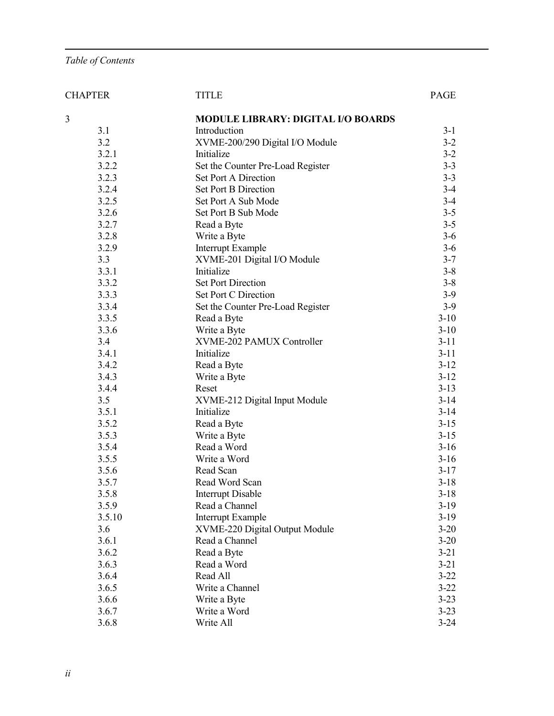## *Table of Contents*

| <b>CHAPTER</b> | <b>TITLE</b>                              | PAGE     |
|----------------|-------------------------------------------|----------|
| 3              | <b>MODULE LIBRARY: DIGITAL I/O BOARDS</b> |          |
| 3.1            | Introduction                              | $3-1$    |
| 3.2            | XVME-200/290 Digital I/O Module           | $3 - 2$  |
| 3.2.1          | Initialize                                | $3-2$    |
| 3.2.2          | Set the Counter Pre-Load Register         | $3 - 3$  |
| 3.2.3          | Set Port A Direction                      | $3 - 3$  |
| 3.2.4          | <b>Set Port B Direction</b>               | $3-4$    |
| 3.2.5          | Set Port A Sub Mode                       | $3-4$    |
| 3.2.6          | Set Port B Sub Mode                       | $3 - 5$  |
| 3.2.7          | Read a Byte                               | $3 - 5$  |
| 3.2.8          | Write a Byte                              | $3-6$    |
| 3.2.9          | <b>Interrupt Example</b>                  | $3-6$    |
| 3.3            | XVME-201 Digital I/O Module               | $3 - 7$  |
| 3.3.1          | Initialize                                | $3 - 8$  |
| 3.3.2          | <b>Set Port Direction</b>                 | $3 - 8$  |
| 3.3.3          | Set Port C Direction                      | $3-9$    |
| 3.3.4          | Set the Counter Pre-Load Register         | $3-9$    |
| 3.3.5          | Read a Byte                               | $3-10$   |
| 3.3.6          | Write a Byte                              | $3-10$   |
| 3.4            | XVME-202 PAMUX Controller                 | $3-11$   |
| 3.4.1          | Initialize                                | $3-11$   |
| 3.4.2          | Read a Byte                               | $3-12$   |
| 3.4.3          | Write a Byte                              | $3-12$   |
| 3.4.4          | Reset                                     | $3-13$   |
| 3.5            | XVME-212 Digital Input Module             | $3-14$   |
| 3.5.1          | Initialize                                | $3-14$   |
| 3.5.2          | Read a Byte                               | $3-15$   |
| 3.5.3          | Write a Byte                              | $3 - 15$ |
| 3.5.4          | Read a Word                               | $3-16$   |
| 3.5.5          | Write a Word                              | $3-16$   |
| 3.5.6          | Read Scan                                 | $3-17$   |
| 3.5.7          | Read Word Scan                            | $3-18$   |
| 3.5.8          | <b>Interrupt Disable</b>                  | $3-18$   |
| 3.5.9          | Read a Channel                            | $3-19$   |
| 3.5.10         | <b>Interrupt Example</b>                  | $3-19$   |
| 3.6            | XVME-220 Digital Output Module            | $3-20$   |
| 3.6.1          | Read a Channel                            | $3 - 20$ |
| 3.6.2          | Read a Byte                               | $3 - 21$ |
| 3.6.3          | Read a Word                               | $3 - 21$ |
| 3.6.4          | Read All                                  | $3 - 22$ |
| 3.6.5          | Write a Channel                           | $3 - 22$ |
| 3.6.6          | Write a Byte                              | $3 - 23$ |
| 3.6.7          | Write a Word                              | $3 - 23$ |
| 3.6.8          | Write All                                 | $3 - 24$ |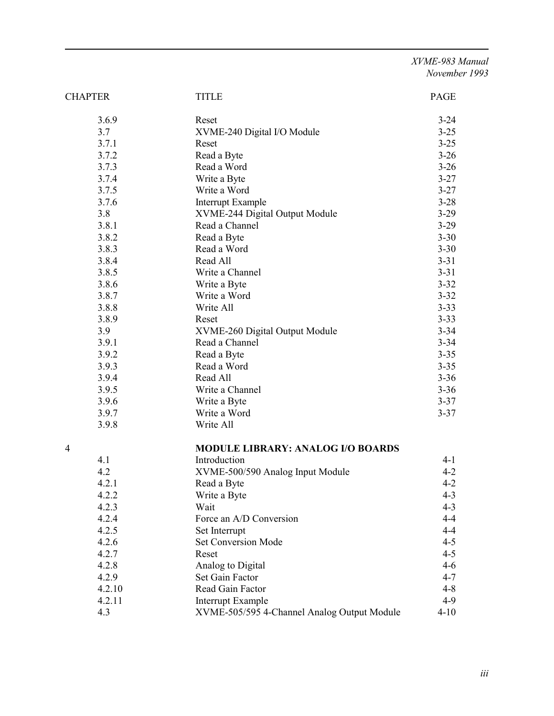*XVME-983 Manual November 1993*

| <b>CHAPTER</b> | <b>TITLE</b>                             | <b>PAGE</b> |
|----------------|------------------------------------------|-------------|
| 3.6.9          | Reset                                    | $3 - 24$    |
| 3.7            | XVME-240 Digital I/O Module              | $3 - 25$    |
| 3.7.1          | Reset                                    | $3 - 25$    |
| 3.7.2          | Read a Byte                              | $3-26$      |
| 3.7.3          | Read a Word                              | $3-26$      |
| 3.7.4          | Write a Byte                             | $3 - 27$    |
| 3.7.5          | Write a Word                             | $3 - 27$    |
| 3.7.6          | <b>Interrupt Example</b>                 | $3 - 28$    |
| 3.8            | XVME-244 Digital Output Module           | $3-29$      |
| 3.8.1          | Read a Channel                           | $3-29$      |
| 3.8.2          | Read a Byte                              | $3 - 30$    |
| 3.8.3          | Read a Word                              | $3 - 30$    |
| 3.8.4          | Read All                                 | $3 - 31$    |
| 3.8.5          | Write a Channel                          | $3 - 31$    |
| 3.8.6          | Write a Byte                             | $3 - 32$    |
| 3.8.7          | Write a Word                             | $3 - 32$    |
| 3.8.8          | Write All                                | $3 - 33$    |
| 3.8.9          | Reset                                    | $3 - 33$    |
| 3.9            | XVME-260 Digital Output Module           | $3 - 34$    |
| 3.9.1          | Read a Channel                           | $3 - 34$    |
| 3.9.2          | Read a Byte                              | $3 - 35$    |
| 3.9.3          | Read a Word                              | $3 - 35$    |
| 3.9.4          | Read All                                 | $3 - 36$    |
| 3.9.5          | Write a Channel                          | $3 - 36$    |
| 3.9.6          | Write a Byte                             | $3 - 37$    |
| 3.9.7          | Write a Word                             | $3 - 37$    |
| 3.9.8          | Write All                                |             |
| 4              | <b>MODULE LIBRARY: ANALOG I/O BOARDS</b> |             |
| 4.1            | Introduction                             | $4 - 1$     |
| 4.2            | XVME-500/590 Analog Input Module         | $4 - 2$     |
| 4.2.1          | Read a Byte                              | $4 - 2$     |
| 4.2.2          | Write a Byte                             | $4 - 3$     |
| 4.2.3          | Wait                                     | $4 - 3$     |
| 4.2.4          | Force an A/D Conversion                  | $4 - 4$     |
| 4.2.5          | Set Interrupt                            | $4 - 4$     |
| 4.2.6          | <b>Set Conversion Mode</b>               | $4 - 5$     |
| 4.2.7          | Reset                                    | $4 - 5$     |
| 4.2.8          | Analog to Digital                        | $4 - 6$     |

4.2.9 Set Gain Factor 4-7<br>4.2.10 Read Gain Factor 4-8

4.2.11 Interrupt Example 4-9 4.3 XVME-505/595 4-Channel Analog Output Module 4-10

4.2.10 Read Gain Factor<br>4.2.11 Interrupt Example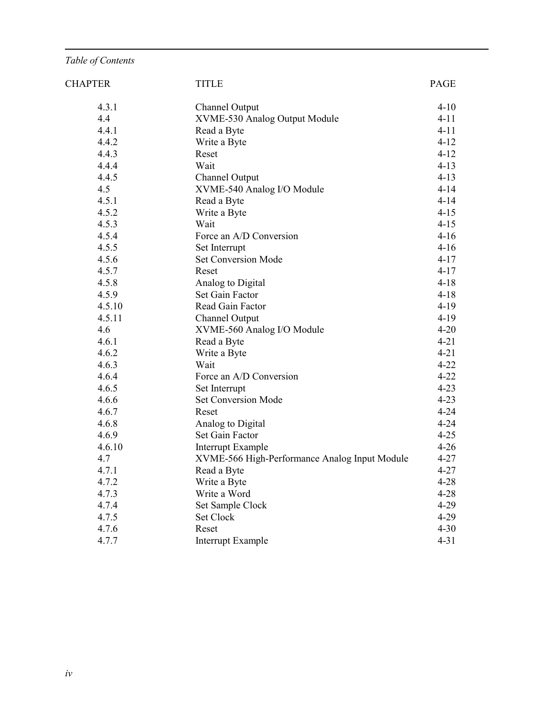## *Table of Contents*

| <b>CHAPTER</b> | TITLE                                         | PAGE     |
|----------------|-----------------------------------------------|----------|
| 4.3.1          | Channel Output                                | $4 - 10$ |
| 4.4            | XVME-530 Analog Output Module                 | $4-11$   |
| 4.4.1          | Read a Byte                                   | $4 - 11$ |
| 4.4.2          | Write a Byte                                  | $4 - 12$ |
| 4.4.3          | Reset                                         | $4 - 12$ |
| 4.4.4          | Wait                                          | $4 - 13$ |
| 4.4.5          | Channel Output                                | $4 - 13$ |
| 4.5            | XVME-540 Analog I/O Module                    | $4 - 14$ |
| 4.5.1          | Read a Byte                                   | $4 - 14$ |
| 4.5.2          | Write a Byte                                  | $4 - 15$ |
| 4.5.3          | Wait                                          | $4 - 15$ |
| 4.5.4          | Force an A/D Conversion                       | $4-16$   |
| 4.5.5          | Set Interrupt                                 | $4-16$   |
| 4.5.6          | <b>Set Conversion Mode</b>                    | $4-17$   |
| 4.5.7          | Reset                                         | $4 - 17$ |
| 4.5.8          | Analog to Digital                             | $4 - 18$ |
| 4.5.9          | Set Gain Factor                               | $4 - 18$ |
| 4.5.10         | Read Gain Factor                              | $4-19$   |
| 4.5.11         | Channel Output                                | $4-19$   |
| 4.6            | XVME-560 Analog I/O Module                    | $4 - 20$ |
| 4.6.1          | Read a Byte                                   | $4 - 21$ |
| 4.6.2          | Write a Byte                                  | $4 - 21$ |
| 4.6.3          | Wait                                          | $4 - 22$ |
| 4.6.4          | Force an A/D Conversion                       | $4 - 22$ |
| 4.6.5          | Set Interrupt                                 | $4 - 23$ |
| 4.6.6          | <b>Set Conversion Mode</b>                    | $4 - 23$ |
| 4.6.7          | Reset                                         | $4 - 24$ |
| 4.6.8          | Analog to Digital                             | $4 - 24$ |
| 4.6.9          | Set Gain Factor                               | $4 - 25$ |
| 4.6.10         | Interrupt Example                             | $4 - 26$ |
| 4.7            | XVME-566 High-Performance Analog Input Module | $4 - 27$ |
| 4.7.1          | Read a Byte                                   | $4 - 27$ |
| 4.7.2          | Write a Byte                                  | $4 - 28$ |
| 4.7.3          | Write a Word                                  | $4 - 28$ |
| 4.7.4          | Set Sample Clock                              | $4 - 29$ |
| 4.7.5          | Set Clock                                     | $4 - 29$ |
| 4.7.6          | Reset                                         | $4 - 30$ |
| 4.7.7          | Interrupt Example                             | $4 - 31$ |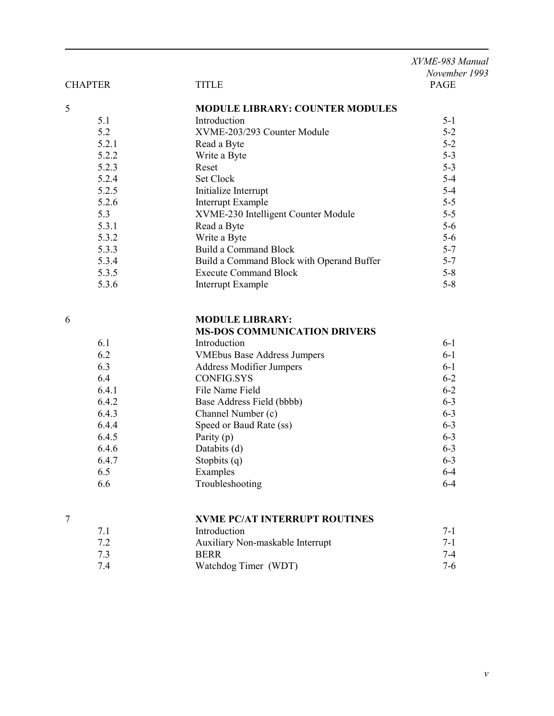|                |                                                               | XVME-983 Manual |
|----------------|---------------------------------------------------------------|-----------------|
|                |                                                               | November 1993   |
| <b>CHAPTER</b> | <b>TITLE</b>                                                  | <b>PAGE</b>     |
| 5              | <b>MODULE LIBRARY: COUNTER MODULES</b>                        |                 |
| 5.1            | Introduction                                                  | $5-1$           |
| 5.2            | XVME-203/293 Counter Module                                   | $5 - 2$         |
| 5.2.1          | Read a Byte                                                   | $5 - 2$         |
| 5.2.2          | Write a Byte                                                  | $5 - 3$         |
| 5.2.3          | Reset                                                         | $5 - 3$         |
| 5.2.4          | Set Clock                                                     | $5 - 4$         |
| 5.2.5          | Initialize Interrupt                                          | $5 - 4$         |
| 5.2.6          | Interrupt Example                                             | $5 - 5$         |
| 5.3            | XVME-230 Intelligent Counter Module                           | $5 - 5$         |
| 5.3.1          | Read a Byte                                                   | $5-6$           |
| 5.3.2          | Write a Byte                                                  | $5-6$           |
| 5.3.3          | <b>Build a Command Block</b>                                  | $5 - 7$         |
| 5.3.4          | Build a Command Block with Operand Buffer                     | $5 - 7$         |
| 5.3.5          | <b>Execute Command Block</b>                                  | $5 - 8$         |
| 5.3.6          | <b>Interrupt Example</b>                                      | $5 - 8$         |
|                |                                                               |                 |
| 6              | <b>MODULE LIBRARY:</b><br><b>MS-DOS COMMUNICATION DRIVERS</b> |                 |
| 6.1            | Introduction                                                  | $6-1$           |
| 6.2            | <b>VMEbus Base Address Jumpers</b>                            | $6-1$           |
| 6.3            | <b>Address Modifier Jumpers</b>                               | $6-1$           |
| 6.4            | <b>CONFIG.SYS</b>                                             | $6 - 2$         |
| 6.4.1          | File Name Field                                               | $6 - 2$         |
| 6.4.2          | Base Address Field (bbbb)                                     | $6 - 3$         |
| 6.4.3          | Channel Number (c)                                            | $6 - 3$         |
| 6.4.4          | Speed or Baud Rate (ss)                                       | $6 - 3$         |
| 6.4.5          | Parity (p)                                                    | $6 - 3$         |
| 6.4.6          | Databits (d)                                                  | $6 - 3$         |
| 6.4.7          | Stopbits (q)                                                  | $6 - 3$         |
| 6.5            | Examples                                                      | $6 - 4$         |
| 6.6            | Troubleshooting                                               | $6 - 4$         |
|                |                                                               |                 |
| 7              | XVME PC/AT INTERRUPT ROUTINES                                 |                 |
| 7.1            | Introduction                                                  | $7-1$           |
| 7.2            | Auxiliary Non-maskable Interrupt                              | $7 - 1$         |
| 7.3            | <b>BERR</b>                                                   | $7 - 4$         |
| 7.4            | Watchdog Timer (WDT)                                          | $7 - 6$         |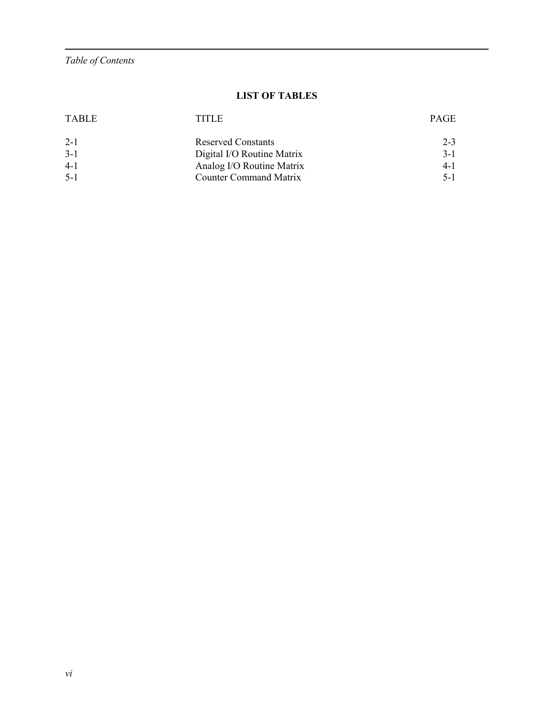*Table of Contents*

## **LIST OF TABLES**

| <b>TABLE</b> | TITLE                         | <b>PAGE</b> |
|--------------|-------------------------------|-------------|
| $2 - 1$      | <b>Reserved Constants</b>     | $2 - 3$     |
| $3-1$        | Digital I/O Routine Matrix    | $3-1$       |
| $4-1$        | Analog I/O Routine Matrix     | $4 - 1$     |
| $5-1$        | <b>Counter Command Matrix</b> | $5-1$       |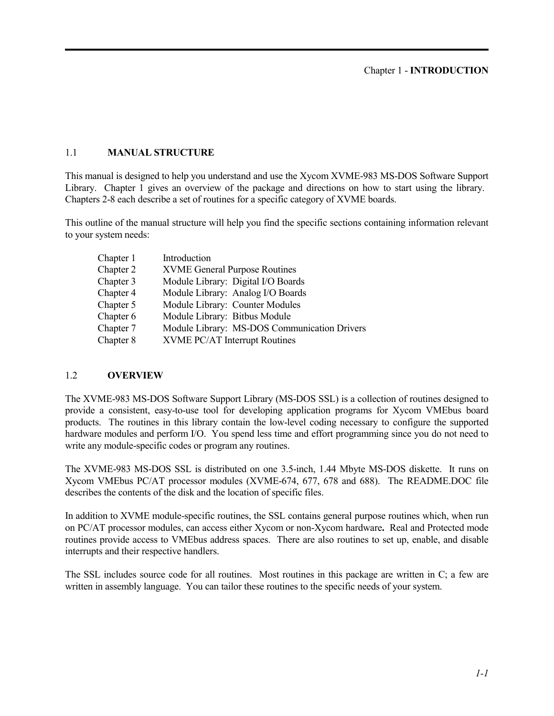## 1.1 **MANUAL STRUCTURE**

This manual is designed to help you understand and use the Xycom XVME-983 MS-DOS Software Support Library. Chapter 1 gives an overview of the package and directions on how to start using the library. Chapters 2-8 each describe a set of routines for a specific category of XVME boards.

This outline of the manual structure will help you find the specific sections containing information relevant to your system needs:

| Chapter 1 | Introduction                                 |
|-----------|----------------------------------------------|
| Chapter 2 | <b>XVME General Purpose Routines</b>         |
| Chapter 3 | Module Library: Digital I/O Boards           |
| Chapter 4 | Module Library: Analog I/O Boards            |
| Chapter 5 | Module Library: Counter Modules              |
| Chapter 6 | Module Library: Bitbus Module                |
| Chapter 7 | Module Library: MS-DOS Communication Drivers |
| Chapter 8 | XVME PC/AT Interrupt Routines                |
|           |                                              |

## 1.2 **OVERVIEW**

The XVME-983 MS-DOS Software Support Library (MS-DOS SSL) is a collection of routines designed to provide a consistent, easy-to-use tool for developing application programs for Xycom VMEbus board products. The routines in this library contain the low-level coding necessary to configure the supported hardware modules and perform I/O. You spend less time and effort programming since you do not need to write any module-specific codes or program any routines.

The XVME-983 MS-DOS SSL is distributed on one 3.5-inch, 1.44 Mbyte MS-DOS diskette. It runs on Xycom VMEbus PC/AT processor modules (XVME-674, 677, 678 and 688). The README.DOC file describes the contents of the disk and the location of specific files.

In addition to XVME module-specific routines, the SSL contains general purpose routines which, when run on PC/AT processor modules, can access either Xycom or non-Xycom hardware**.** Real and Protected mode routines provide access to VMEbus address spaces. There are also routines to set up, enable, and disable interrupts and their respective handlers.

The SSL includes source code for all routines. Most routines in this package are written in C; a few are written in assembly language. You can tailor these routines to the specific needs of your system.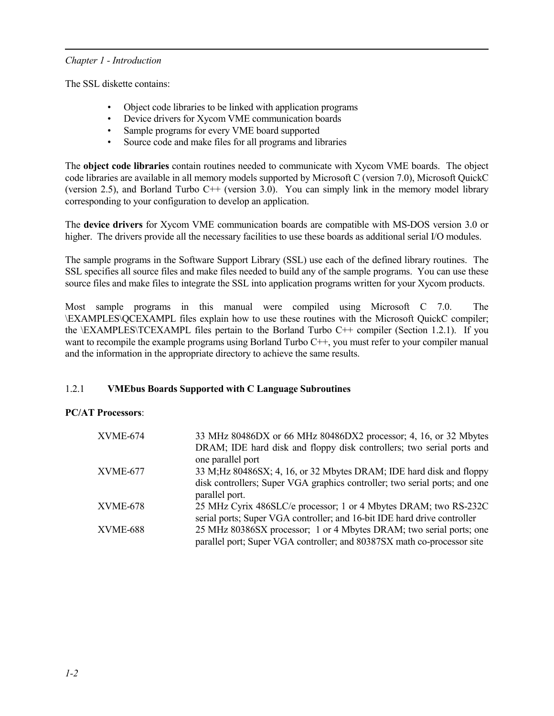## *Chapter 1 - Introduction*

The SSL diskette contains:

- Object code libraries to be linked with application programs
- Device drivers for Xycom VME communication boards
- Sample programs for every VME board supported
- Source code and make files for all programs and libraries

The **object code libraries** contain routines needed to communicate with Xycom VME boards. The object code libraries are available in all memory models supported by Microsoft C (version 7.0), Microsoft QuickC (version 2.5), and Borland Turbo C++ (version 3.0). You can simply link in the memory model library corresponding to your configuration to develop an application.

The **device drivers** for Xycom VME communication boards are compatible with MS-DOS version 3.0 or higher. The drivers provide all the necessary facilities to use these boards as additional serial I/O modules.

The sample programs in the Software Support Library (SSL) use each of the defined library routines. The SSL specifies all source files and make files needed to build any of the sample programs. You can use these source files and make files to integrate the SSL into application programs written for your Xycom products.

Most sample programs in this manual were compiled using Microsoft C 7.0. The \EXAMPLES\QCEXAMPL files explain how to use these routines with the Microsoft QuickC compiler; the  $\Epsilon$ XAMPLES\TCEXAMPL files pertain to the Borland Turbo C++ compiler (Section 1.2.1). If you want to recompile the example programs using Borland Turbo C++, you must refer to your compiler manual and the information in the appropriate directory to achieve the same results.

## 1.2.1 **VMEbus Boards Supported with C Language Subroutines**

## **PC/AT Processors**:

| XVME-674 | 33 MHz 80486DX or 66 MHz 80486DX2 processor; 4, 16, or 32 Mbytes                             |
|----------|----------------------------------------------------------------------------------------------|
|          | DRAM; IDE hard disk and floppy disk controllers; two serial ports and<br>one parallel port   |
| XVME-677 | 33 M; Hz 80486SX; 4, 16, or 32 Mbytes DRAM; IDE hard disk and floppy                         |
|          | disk controllers; Super VGA graphics controller; two serial ports; and one<br>parallel port. |
| XVME-678 | 25 MHz Cyrix 486SLC/e processor; 1 or 4 Mbytes DRAM; two RS-232C                             |
|          | serial ports; Super VGA controller; and 16-bit IDE hard drive controller                     |
| XVME-688 | 25 MHz 80386SX processor; 1 or 4 Mbytes DRAM; two serial ports; one                          |
|          | parallel port; Super VGA controller; and 80387SX math co-processor site                      |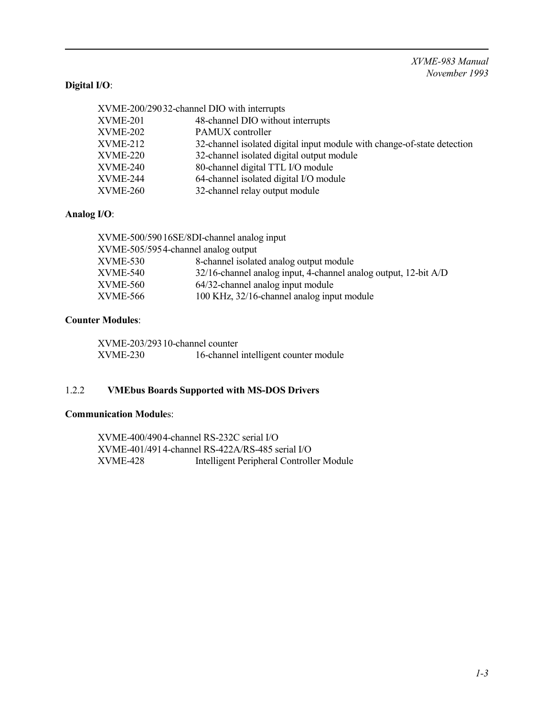## **Digital I/O**:

|          | XVME-200/29032-channel DIO with interrupts                              |
|----------|-------------------------------------------------------------------------|
| XVME-201 | 48-channel DIO without interrupts                                       |
| XVME-202 | PAMUX controller                                                        |
| XVME-212 | 32-channel isolated digital input module with change-of-state detection |
| XVME-220 | 32-channel isolated digital output module                               |
| XVME-240 | 80-channel digital TTL I/O module                                       |
| XVME-244 | 64-channel isolated digital I/O module                                  |
| XVME-260 | 32-channel relay output module                                          |

## **Analog I/O**:

| XVME-500/59016SE/8DI-channel analog input |                                                                 |
|-------------------------------------------|-----------------------------------------------------------------|
| XVME-505/5954-channel analog output       |                                                                 |
| XVME-530                                  | 8-channel isolated analog output module                         |
| XVME-540                                  | 32/16-channel analog input, 4-channel analog output, 12-bit A/D |
| XVME-560                                  | 64/32-channel analog input module                               |
| <b>XVME-566</b>                           | 100 KHz, 32/16-channel analog input module                      |

## **Counter Modules**:

XVME-203/29310-channel counter XVME-230 16-channel intelligent counter module

## 1.2.2 **VMEbus Boards Supported with MS-DOS Drivers**

## **Communication Module**s:

XVME-400/4904-channel RS-232C serial I/O XVME-401/4914-channel RS-422A/RS-485 serial I/O XVME-428 Intelligent Peripheral Controller Module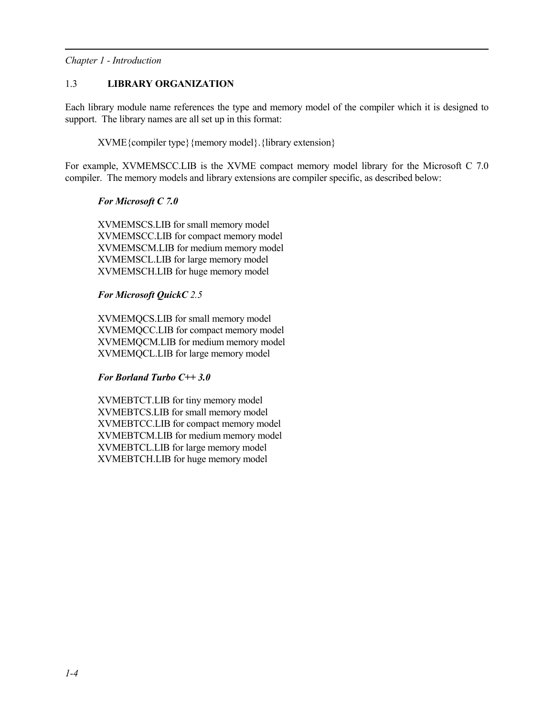## *Chapter 1 - Introduction*

## 1.3 **LIBRARY ORGANIZATION**

Each library module name references the type and memory model of the compiler which it is designed to support. The library names are all set up in this format:

XVME{compiler type}{memory model}.{library extension}

For example, XVMEMSCC.LIB is the XVME compact memory model library for the Microsoft C 7.0 compiler. The memory models and library extensions are compiler specific, as described below:

### *For Microsoft C 7.0*

XVMEMSCS.LIB for small memory model XVMEMSCC.LIB for compact memory model XVMEMSCM.LIB for medium memory model XVMEMSCL.LIB for large memory model XVMEMSCH.LIB for huge memory model

### *For Microsoft QuickC 2.5*

XVMEMQCS.LIB for small memory model XVMEMQCC.LIB for compact memory model XVMEMQCM.LIB for medium memory model XVMEMQCL.LIB for large memory model

#### *For Borland Turbo C++ 3.0*

XVMEBTCT.LIB for tiny memory model XVMEBTCS.LIB for small memory model XVMEBTCC.LIB for compact memory model XVMEBTCM.LIB for medium memory model XVMEBTCL.LIB for large memory model XVMEBTCH.LIB for huge memory model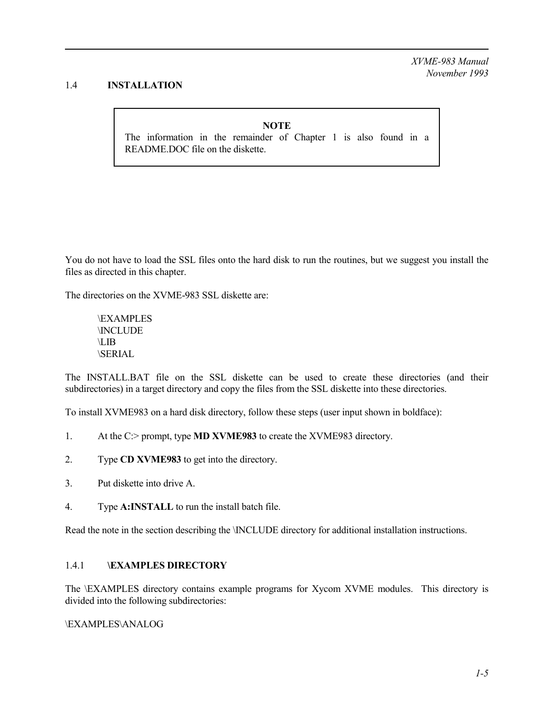*XVME-983 Manual November 1993*

## 1.4 **INSTALLATION**

#### **NOTE**

The information in the remainder of Chapter 1 is also found in a README.DOC file on the diskette.

You do not have to load the SSL files onto the hard disk to run the routines, but we suggest you install the files as directed in this chapter.

The directories on the XVME-983 SSL diskette are:

**\EXAMPLES** \INCLUDE  $\overline{\text{L}}$ \SERIAL

The INSTALL.BAT file on the SSL diskette can be used to create these directories (and their subdirectories) in a target directory and copy the files from the SSL diskette into these directories.

To install XVME983 on a hard disk directory, follow these steps (user input shown in boldface):

- 1. At the C:> prompt, type **MD XVME983** to create the XVME983 directory.
- 2. Type **CD XVME983** to get into the directory.
- 3. Put diskette into drive A.
- 4. Type **A:INSTALL** to run the install batch file.

Read the note in the section describing the \INCLUDE directory for additional installation instructions.

#### 1.4.1 **\EXAMPLES DIRECTORY**

The \EXAMPLES directory contains example programs for Xycom XVME modules. This directory is divided into the following subdirectories:

\EXAMPLES\ANALOG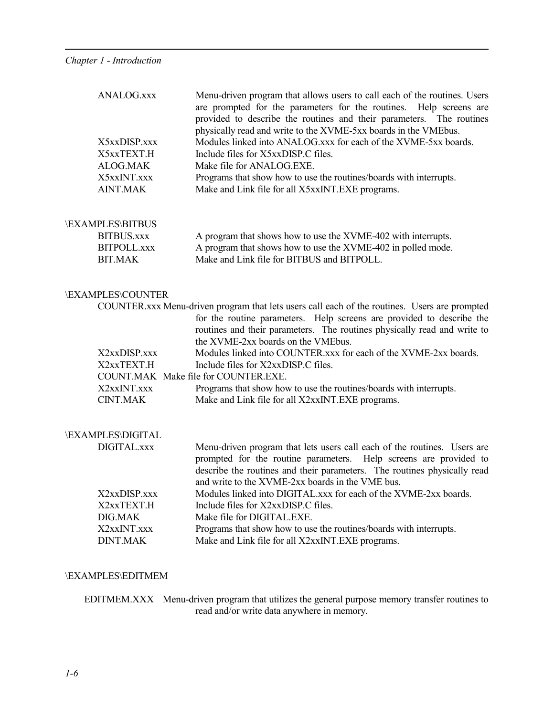| <b>ANALOG.xxx</b><br>X5xxDISP.xxx<br>X5xxTEXT.H<br>ALOG.MAK<br>X5xxINT.xxx<br><b>AINT.MAK</b> | Menu-driven program that allows users to call each of the routines. Users<br>are prompted for the parameters for the routines. Help screens are<br>provided to describe the routines and their parameters. The routines<br>physically read and write to the XVME-5xx boards in the VMEbus.<br>Modules linked into ANALOG.xxx for each of the XVME-5xx boards.<br>Include files for X5xxDISP.C files.<br>Make file for ANALOG.EXE.<br>Programs that show how to use the routines/boards with interrupts.<br>Make and Link file for all X5xxINT.EXE programs. |
|-----------------------------------------------------------------------------------------------|-------------------------------------------------------------------------------------------------------------------------------------------------------------------------------------------------------------------------------------------------------------------------------------------------------------------------------------------------------------------------------------------------------------------------------------------------------------------------------------------------------------------------------------------------------------|
| \EXAMPLES\BITBUS                                                                              |                                                                                                                                                                                                                                                                                                                                                                                                                                                                                                                                                             |
| <b>BITBUS.xxx</b>                                                                             | A program that shows how to use the XVME-402 with interrupts.                                                                                                                                                                                                                                                                                                                                                                                                                                                                                               |
| <b>BITPOLL.xxx</b>                                                                            | A program that shows how to use the XVME-402 in polled mode.                                                                                                                                                                                                                                                                                                                                                                                                                                                                                                |
| <b>BIT.MAK</b>                                                                                | Make and Link file for BITBUS and BITPOLL.                                                                                                                                                                                                                                                                                                                                                                                                                                                                                                                  |
| \EXAMPLES\COUNTER                                                                             |                                                                                                                                                                                                                                                                                                                                                                                                                                                                                                                                                             |
|                                                                                               | COUNTER.xxx Menu-driven program that lets users call each of the routines. Users are prompted<br>for the routine parameters. Help screens are provided to describe the<br>routines and their parameters. The routines physically read and write to<br>the XVME-2xx boards on the VMEbus.                                                                                                                                                                                                                                                                    |
| X2xxDISP.xxx                                                                                  | Modules linked into COUNTER.xxx for each of the XVME-2xx boards.                                                                                                                                                                                                                                                                                                                                                                                                                                                                                            |
| X2xxTEXT.H                                                                                    | Include files for X2xxDISP.C files.                                                                                                                                                                                                                                                                                                                                                                                                                                                                                                                         |
|                                                                                               | COUNT.MAK Make file for COUNTER.EXE.                                                                                                                                                                                                                                                                                                                                                                                                                                                                                                                        |
| X2xxINT.xxx                                                                                   | Programs that show how to use the routines/boards with interrupts.                                                                                                                                                                                                                                                                                                                                                                                                                                                                                          |
| <b>CINT.MAK</b>                                                                               | Make and Link file for all X2xxINT.EXE programs.                                                                                                                                                                                                                                                                                                                                                                                                                                                                                                            |
| \EXAMPLES\DIGITAL                                                                             |                                                                                                                                                                                                                                                                                                                                                                                                                                                                                                                                                             |
| DIGITAL.xxx                                                                                   | Menu-driven program that lets users call each of the routines. Users are<br>prompted for the routine parameters. Help screens are provided to<br>describe the routines and their parameters. The routines physically read<br>and write to the XVME-2xx boards in the VME bus.                                                                                                                                                                                                                                                                               |
| X2xxDISP.xxx                                                                                  | Modules linked into DIGITAL.xxx for each of the XVME-2xx boards.                                                                                                                                                                                                                                                                                                                                                                                                                                                                                            |
| X2xxTEXT.H                                                                                    | Include files for X2xxDISP.C files.                                                                                                                                                                                                                                                                                                                                                                                                                                                                                                                         |
| DIG.MAK                                                                                       | Make file for DIGITAL.EXE.                                                                                                                                                                                                                                                                                                                                                                                                                                                                                                                                  |
| X2xxINT.xxx                                                                                   | Programs that show how to use the routines/boards with interrupts.                                                                                                                                                                                                                                                                                                                                                                                                                                                                                          |
| <b>DINT.MAK</b>                                                                               | Make and Link file for all X2xxINT.EXE programs.                                                                                                                                                                                                                                                                                                                                                                                                                                                                                                            |
|                                                                                               |                                                                                                                                                                                                                                                                                                                                                                                                                                                                                                                                                             |

## \EXAMPLES\EDITMEM

 EDITMEM.XXX Menu-driven program that utilizes the general purpose memory transfer routines to read and/or write data anywhere in memory.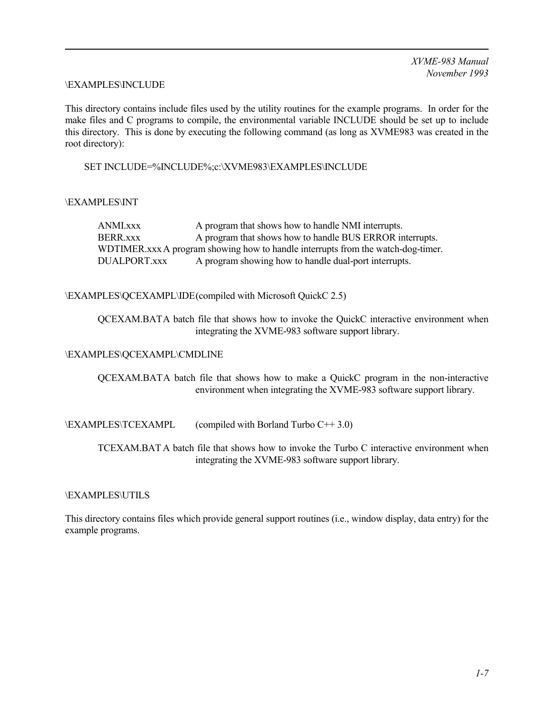#### \EXAMPLES\INCLUDE

This directory contains include files used by the utility routines for the example programs. In order for the make files and C programs to compile, the environmental variable INCLUDE should be set up to include this directory. This is done by executing the following command (as long as XVME983 was created in the root directory):

SET INCLUDE=%INCLUDE%;c:\XVME983\EXAMPLES\INCLUDE

#### \EXAMPLES\INT

ANMI.xxx A program that shows how to handle NMI interrupts. BERR.xxx A program that shows how to handle BUS ERROR interrupts. WDTIMER.xxxA program showing how to handle interrupts from the watch-dog-timer. DUALPORT.xxx A program showing how to handle dual-port interrupts.

\EXAMPLES\QCEXAMPL\IDE(compiled with Microsoft QuickC 2.5)

QCEXAM.BATA batch file that shows how to invoke the QuickC interactive environment when integrating the XVME-983 software support library.

#### \EXAMPLES\QCEXAMPL\CMDLINE

QCEXAM.BATA batch file that shows how to make a QuickC program in the non-interactive environment when integrating the XVME-983 software support library.

\EXAMPLES\TCEXAMPL (compiled with Borland Turbo C++ 3.0)

TCEXAM.BAT A batch file that shows how to invoke the Turbo C interactive environment when integrating the XVME-983 software support library.

#### \EXAMPLES\UTILS

This directory contains files which provide general support routines (i.e., window display, data entry) for the example programs.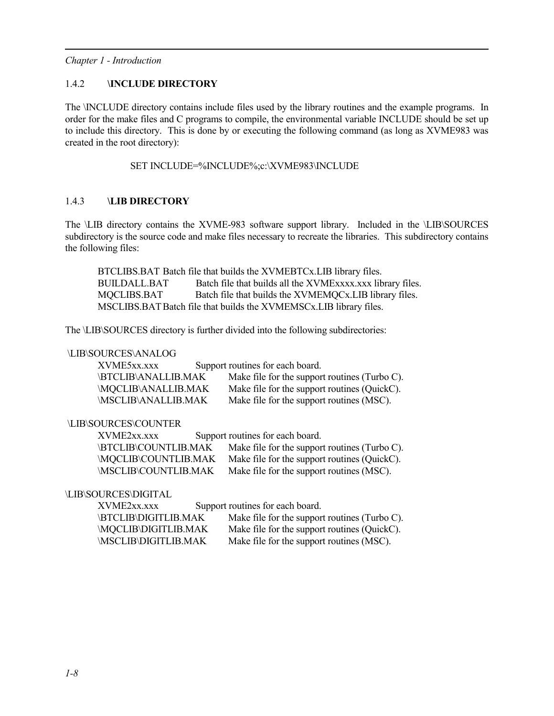*Chapter 1 - Introduction*

## 1.4.2 **\INCLUDE DIRECTORY**

The \INCLUDE directory contains include files used by the library routines and the example programs. In order for the make files and C programs to compile, the environmental variable INCLUDE should be set up to include this directory. This is done by or executing the following command (as long as XVME983 was created in the root directory):

#### SET INCLUDE=%INCLUDE%;c:\XVME983\INCLUDE

### 1.4.3 **\LIB DIRECTORY**

The \LIB directory contains the XVME-983 software support library. Included in the \LIB\SOURCES subdirectory is the source code and make files necessary to recreate the libraries. This subdirectory contains the following files:

BTCLIBS.BAT Batch file that builds the XVMEBTCx.LIB library files. BUILDALL.BAT Batch file that builds all the XVMExxxx.xxx library files. MQCLIBS.BAT Batch file that builds the XVMEMQCx.LIB library files. MSCLIBS.BAT Batch file that builds the XVMEMSCx.LIB library files.

The \LIB\SOURCES directory is further divided into the following subdirectories:

#### \LIB\SOURCES\ANALOG

| XVME5xx.xxx               | Support routines for each board.              |
|---------------------------|-----------------------------------------------|
| \BTCLIB\ANALLIB.MAK       | Make file for the support routines (Turbo C). |
| <b>MQCLIB\ANALLIB.MAK</b> | Make file for the support routines (QuickC).  |
| \MSCLIB\ANALLIB.MAK       | Make file for the support routines (MSC).     |

#### \LIB\SOURCES\COUNTER

| XVME2xx.xxx          | Support routines for each board.              |
|----------------------|-----------------------------------------------|
| \BTCLIB\COUNTLIB.MAK | Make file for the support routines (Turbo C). |
| \MQCLIB\COUNTLIB.MAK | Make file for the support routines (QuickC).  |
| \MSCLIB\COUNTLIB.MAK | Make file for the support routines (MSC).     |

\LIB\SOURCES\DIGITAL

| XVME2xx.xxx          | Support routines for each board.              |
|----------------------|-----------------------------------------------|
| \BTCLIB\DIGITLIB.MAK | Make file for the support routines (Turbo C). |
| \MQCLIB\DIGITLIB.MAK | Make file for the support routines (QuickC).  |
| \MSCLIB\DIGITLIB.MAK | Make file for the support routines (MSC).     |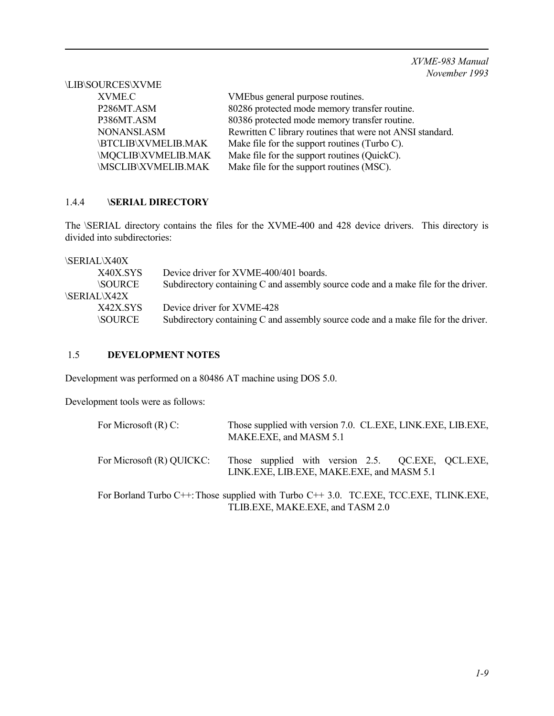*XVME-983 Manual November 1993*

\LIB\SOURCES\XVME

| XVME.C                     | VMEbus general purpose routines.                          |
|----------------------------|-----------------------------------------------------------|
| P286MT.ASM                 | 80286 protected mode memory transfer routine.             |
| P386MT.ASM                 | 80386 protected mode memory transfer routine.             |
| NONANSI.ASM                | Rewritten C library routines that were not ANSI standard. |
| \BTCLIB\XVMELIB.MAK        | Make file for the support routines (Turbo C).             |
| \MQCLIB\XVMELIB.MAK        | Make file for the support routines (QuickC).              |
| <b>\MSCLIB\XVMELIB.MAK</b> | Make file for the support routines (MSC).                 |

## 1.4.4 **\SERIAL DIRECTORY**

The \SERIAL directory contains the files for the XVME-400 and 428 device drivers. This directory is divided into subdirectories:

| <b>SERIAL\X40X</b>        |                      |                                                                                    |
|---------------------------|----------------------|------------------------------------------------------------------------------------|
|                           | X40X.SYS             | Device driver for XVME-400/401 boards.                                             |
|                           | <i><b>SOURCE</b></i> | Subdirectory containing C and assembly source code and a make file for the driver. |
| <i><b>SERIAL X42X</b></i> |                      |                                                                                    |
|                           | X42X SYS             | Device driver for XVME-428                                                         |
|                           | <i><b>SOURCE</b></i> | Subdirectory containing C and assembly source code and a make file for the driver. |
|                           |                      |                                                                                    |

## 1.5 **DEVELOPMENT NOTES**

Development was performed on a 80486 AT machine using DOS 5.0.

Development tools were as follows:

| For Microsoft $(R)$ C:    | Those supplied with version 7.0. CL.EXE, LINK.EXE, LIB.EXE,<br>MAKE, EXE, and MASM 5.1                                    |
|---------------------------|---------------------------------------------------------------------------------------------------------------------------|
| For Microsoft (R) QUICKC: | Those supplied with version 2.5. QC.EXE, QCL.EXE,<br>LINK.EXE, LIB.EXE, MAKE.EXE, and MASM 5.1                            |
|                           | For Borland Turbo C++: Those supplied with Turbo C++ 3.0. TC.EXE, TCC.EXE, TLINK.EXE,<br>TLIB.EXE, MAKE.EXE, and TASM 2.0 |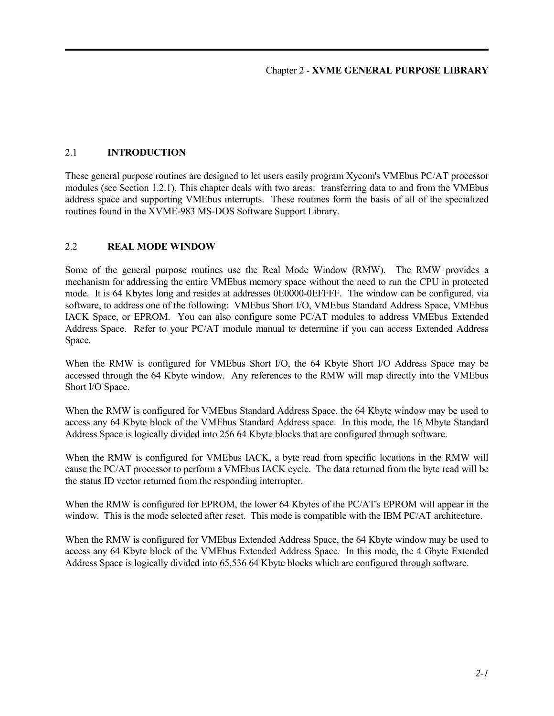## 2.1 **INTRODUCTION**

These general purpose routines are designed to let users easily program Xycom's VMEbus PC/AT processor modules (see Section 1.2.1). This chapter deals with two areas: transferring data to and from the VMEbus address space and supporting VMEbus interrupts. These routines form the basis of all of the specialized routines found in the XVME-983 MS-DOS Software Support Library.

### 2.2 **REAL MODE WINDOW**

Some of the general purpose routines use the Real Mode Window (RMW). The RMW provides a mechanism for addressing the entire VMEbus memory space without the need to run the CPU in protected mode. It is 64 Kbytes long and resides at addresses 0E0000-0EFFFF. The window can be configured, via software, to address one of the following: VMEbus Short I/O, VMEbus Standard Address Space, VMEbus IACK Space, or EPROM. You can also configure some PC/AT modules to address VMEbus Extended Address Space. Refer to your PC/AT module manual to determine if you can access Extended Address Space.

When the RMW is configured for VMEbus Short I/O, the 64 Kbyte Short I/O Address Space may be accessed through the 64 Kbyte window. Any references to the RMW will map directly into the VMEbus Short I/O Space.

When the RMW is configured for VMEbus Standard Address Space, the 64 Kbyte window may be used to access any 64 Kbyte block of the VMEbus Standard Address space. In this mode, the 16 Mbyte Standard Address Space is logically divided into 256 64 Kbyte blocks that are configured through software.

When the RMW is configured for VMEbus IACK, a byte read from specific locations in the RMW will cause the PC/AT processor to perform a VMEbus IACK cycle. The data returned from the byte read will be the status ID vector returned from the responding interrupter.

When the RMW is configured for EPROM, the lower 64 Kbytes of the PC/AT's EPROM will appear in the window. This is the mode selected after reset. This mode is compatible with the IBM PC/AT architecture.

When the RMW is configured for VMEbus Extended Address Space, the 64 Kbyte window may be used to access any 64 Kbyte block of the VMEbus Extended Address Space. In this mode, the 4 Gbyte Extended Address Space is logically divided into 65,536 64 Kbyte blocks which are configured through software.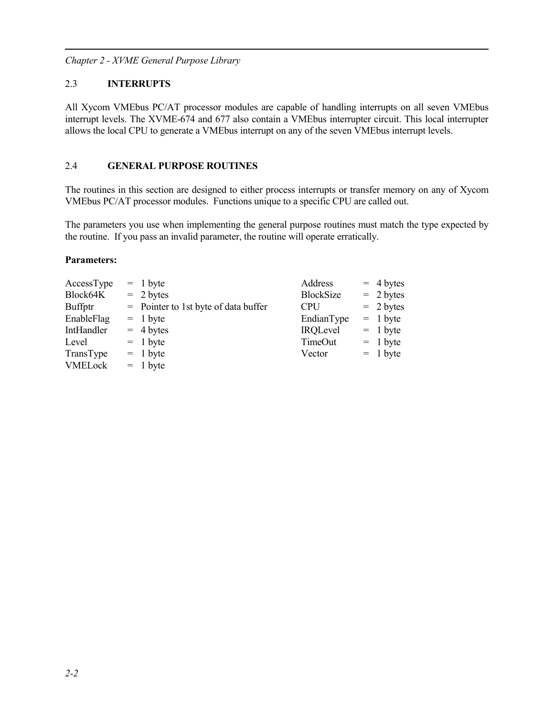## 2.3 **INTERRUPTS**

All Xycom VMEbus PC/AT processor modules are capable of handling interrupts on all seven VMEbus interrupt levels. The XVME-674 and 677 also contain a VMEbus interrupter circuit. This local interrupter allows the local CPU to generate a VMEbus interrupt on any of the seven VMEbus interrupt levels.

## 2.4 **GENERAL PURPOSE ROUTINES**

The routines in this section are designed to either process interrupts or transfer memory on any of Xycom VMEbus PC/AT processor modules. Functions unique to a specific CPU are called out.

The parameters you use when implementing the general purpose routines must match the type expected by the routine. If you pass an invalid parameter, the routine will operate erratically.

### **Parameters:**

| AccessType     | $= 1$ byte                             | Address         | $=$ 4 bytes |
|----------------|----------------------------------------|-----------------|-------------|
| Block64K       | $= 2 bytes$                            | BlockSize       | $= 2$ bytes |
| Buffptr        | $=$ Pointer to 1st byte of data buffer | <b>CPU</b>      | $= 2$ bytes |
| EnableFlag     | $= 1$ byte                             | EndianType      | $= 1$ byte  |
| IntHandler     | $= 4$ bytes                            | <b>IRQLevel</b> | $= 1$ byte  |
| Level          | $= 1$ byte                             | TimeOut         | $= 1$ byte  |
| TransType      | $= 1$ byte                             | Vector          | $= 1$ byte  |
| <b>VMELock</b> | $= 1$ byte                             |                 |             |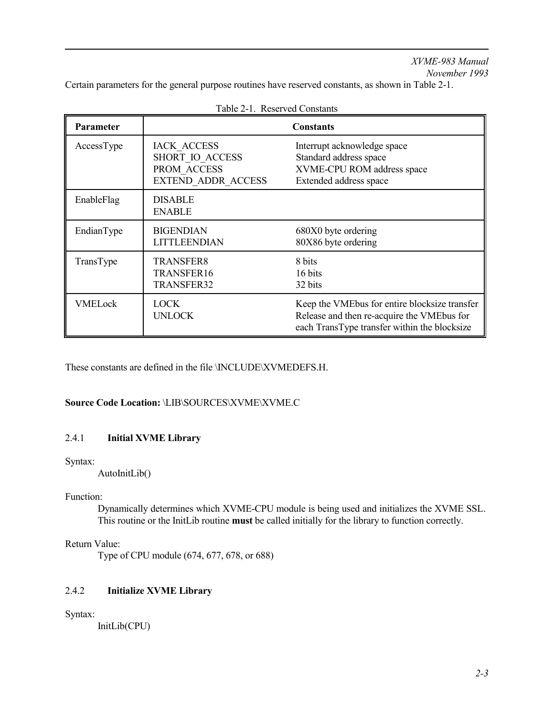*XVME-983 Manual November 1993*

Certain parameters for the general purpose routines have reserved constants, as shown in Table 2-1.

| <b>Parameter</b> |                                                                                   | <b>Constants</b>                                                                                                                            |
|------------------|-----------------------------------------------------------------------------------|---------------------------------------------------------------------------------------------------------------------------------------------|
| AccessType       | <b>IACK ACCESS</b><br>SHORT IO ACCESS<br>PROM ACCESS<br><b>EXTEND ADDR ACCESS</b> | Interrupt acknowledge space<br>Standard address space<br>XVME-CPU ROM address space<br>Extended address space                               |
| EnableFlag       | <b>DISABLE</b><br><b>ENABLE</b>                                                   |                                                                                                                                             |
| EndianType       | <b>BIGENDIAN</b><br><b>LITTLEENDIAN</b>                                           | 680X0 byte ordering<br>80X86 byte ordering                                                                                                  |
| TransType        | <b>TRANSFER8</b><br>TRANSFER16<br>TRANSFER32                                      | 8 bits<br>16 bits<br>32 bits                                                                                                                |
| <b>VMELock</b>   | <b>LOCK</b><br><b>UNLOCK</b>                                                      | Keep the VMEbus for entire blocksize transfer<br>Release and then re-acquire the VMEbus for<br>each TransType transfer within the blocksize |

These constants are defined in the file \INCLUDE\XVMEDEFS.H.

## **Source Code Location:** \LIB\SOURCES\XVME\XVME.C

## 2.4.1 **Initial XVME Library**

#### Syntax:

AutoInitLib()

#### Function:

Dynamically determines which XVME-CPU module is being used and initializes the XVME SSL. This routine or the InitLib routine **must** be called initially for the library to function correctly.

## Return Value:

Type of CPU module (674, 677, 678, or 688)

## 2.4.2 **Initialize XVME Library**

Syntax:

InitLib(CPU)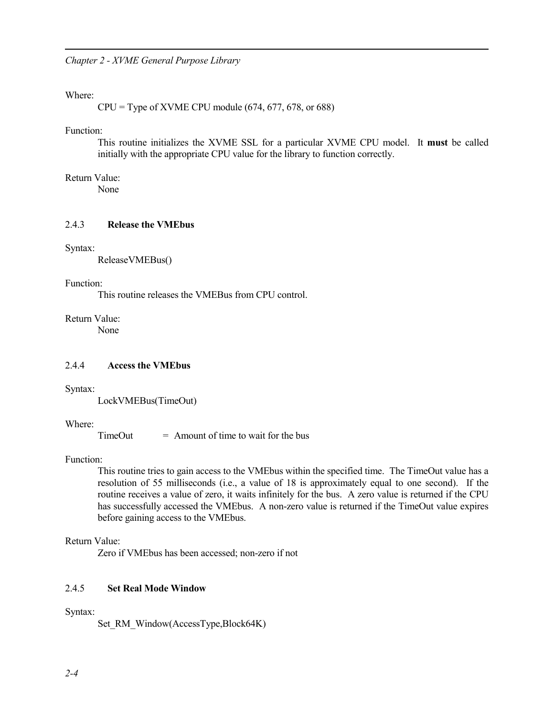#### Where:

 $CPU = Type of XVME CPU module (674, 677, 678, or 688)$ 

#### Function:

This routine initializes the XVME SSL for a particular XVME CPU model. It **must** be called initially with the appropriate CPU value for the library to function correctly.

#### Return Value:

None

#### 2.4.3 **Release the VMEbus**

#### Syntax:

ReleaseVMEBus()

#### Function:

This routine releases the VMEBus from CPU control.

## Return Value:

None

#### 2.4.4 **Access the VMEbus**

Syntax:

LockVMEBus(TimeOut)

#### Where:

 $TimeOut = Amount of time to wait for the bus$ 

#### Function:

This routine tries to gain access to the VMEbus within the specified time. The TimeOut value has a resolution of 55 milliseconds (i.e., a value of 18 is approximately equal to one second). If the routine receives a value of zero, it waits infinitely for the bus. A zero value is returned if the CPU has successfully accessed the VMEbus. A non-zero value is returned if the TimeOut value expires before gaining access to the VMEbus.

#### Return Value:

Zero if VMEbus has been accessed; non-zero if not

#### 2.4.5 **Set Real Mode Window**

#### Syntax:

Set RM\_Window(AccessType,Block64K)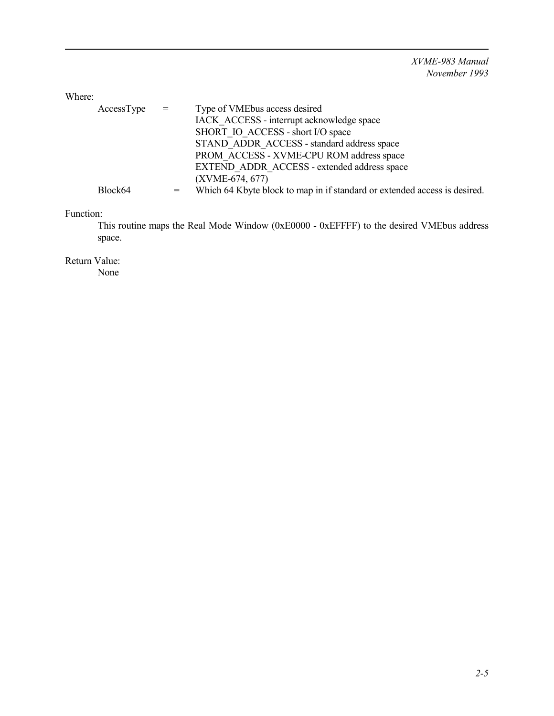Where:

| AccessType | $=$ | Type of VMEbus access desired                                             |
|------------|-----|---------------------------------------------------------------------------|
|            |     | IACK ACCESS - interrupt acknowledge space                                 |
|            |     | SHORT IO ACCESS - short I/O space                                         |
|            |     | STAND ADDR ACCESS - standard address space                                |
|            |     | PROM ACCESS - XVME-CPU ROM address space                                  |
|            |     | EXTEND ADDR ACCESS - extended address space                               |
|            |     | $(XVME-674, 677)$                                                         |
| Block64    |     | Which 64 Kbyte block to map in if standard or extended access is desired. |

## Function:

This routine maps the Real Mode Window (0xE0000 - 0xEFFFF) to the desired VMEbus address space.

Return Value:

None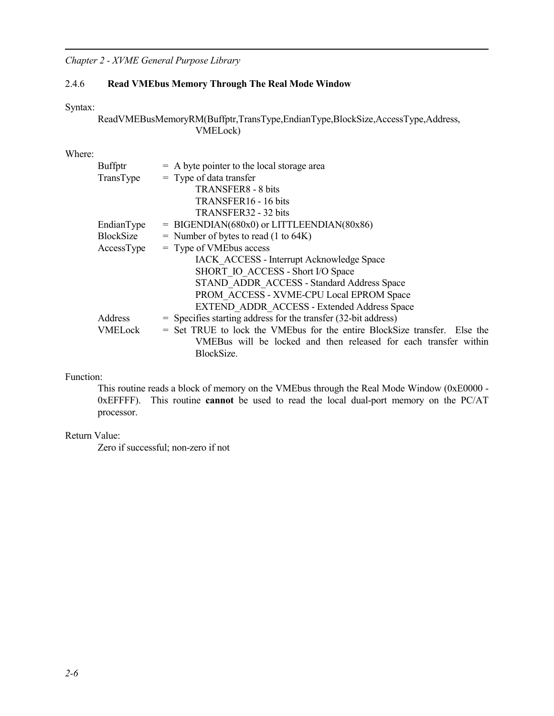#### 2.4.6 **Read VMEbus Memory Through The Real Mode Window**

#### Syntax:

ReadVMEBusMemoryRM(Buffptr,TransType,EndianType,BlockSize,AccessType,Address, VMELock)

#### Where:

| <b>Buffptr</b> | $=$ A byte pointer to the local storage area                              |
|----------------|---------------------------------------------------------------------------|
| TransType      | $=$ Type of data transfer                                                 |
|                | <b>TRANSFER8 - 8 bits</b>                                                 |
|                | TRANSFER16 - 16 bits                                                      |
|                | TRANSFER32 - 32 bits                                                      |
| EndianType     | $=$ BIGENDIAN(680x0) or LITTLEENDIAN(80x86)                               |
| BlockSize      | $=$ Number of bytes to read (1 to 64K)                                    |
| AccessType     | $=$ Type of VMEbus access                                                 |
|                | IACK ACCESS - Interrupt Acknowledge Space                                 |
|                | SHORT IO ACCESS - Short I/O Space                                         |
|                | STAND ADDR ACCESS - Standard Address Space                                |
|                | PROM ACCESS - XVME-CPU Local EPROM Space                                  |
|                | EXTEND ADDR ACCESS - Extended Address Space                               |
| Address        | = Specifies starting address for the transfer (32-bit address)            |
| <b>VMELock</b> | = Set TRUE to lock the VMEbus for the entire BlockSize transfer. Else the |
|                | VMEBus will be locked and then released for each transfer within          |
|                | BlockSize.                                                                |

#### Function:

This routine reads a block of memory on the VMEbus through the Real Mode Window (0xE0000 - 0xEFFFF). This routine **cannot** be used to read the local dual-port memory on the PC/AT processor.

## Return Value:

Zero if successful; non-zero if not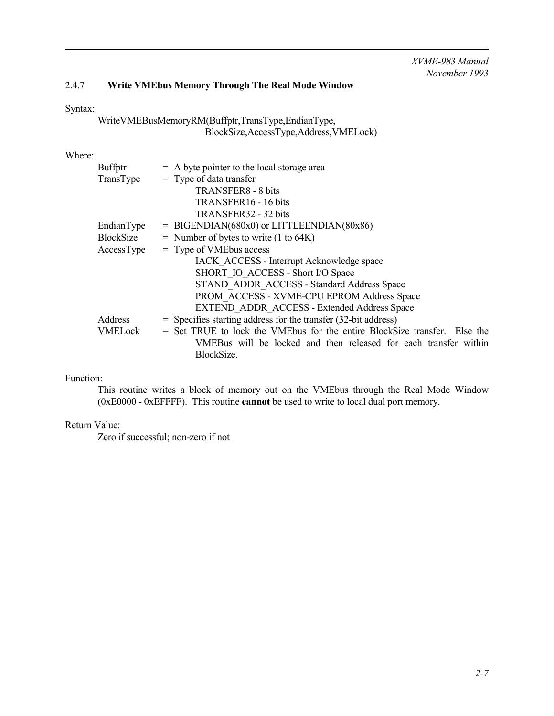## 2.4.7 **Write VMEbus Memory Through The Real Mode Window**

Syntax:

```
WriteVMEBusMemoryRM(Buffptr,TransType,EndianType,
           BlockSize,AccessType,Address,VMELock)
```
Where:

| Buffptr        | $=$ A byte pointer to the local storage area                              |
|----------------|---------------------------------------------------------------------------|
| TransType      | $=$ Type of data transfer                                                 |
|                | TRANSFER8 - 8 bits                                                        |
|                | TRANSFER16 - 16 bits                                                      |
|                | TRANSFER32 - 32 bits                                                      |
| EndianType     | $= BIGENDIAN(680x0)$ or LITTLEENDIAN(80x86)                               |
| BlockSize      | $=$ Number of bytes to write (1 to 64K)                                   |
| AccessType     | = Type of VMEbus access                                                   |
|                | IACK ACCESS - Interrupt Acknowledge space                                 |
|                | SHORT IO ACCESS - Short I/O Space                                         |
|                | STAND ADDR ACCESS - Standard Address Space                                |
|                | PROM ACCESS - XVME-CPU EPROM Address Space                                |
|                | EXTEND ADDR ACCESS - Extended Address Space                               |
| Address        | $=$ Specifies starting address for the transfer (32-bit address)          |
| <b>VMELock</b> | = Set TRUE to lock the VMEbus for the entire BlockSize transfer. Else the |
|                | VMEBus will be locked and then released for each transfer within          |
|                | BlockSize.                                                                |

## Function:

This routine writes a block of memory out on the VMEbus through the Real Mode Window (0xE0000 - 0xEFFFF). This routine **cannot** be used to write to local dual port memory.

#### Return Value:

Zero if successful; non-zero if not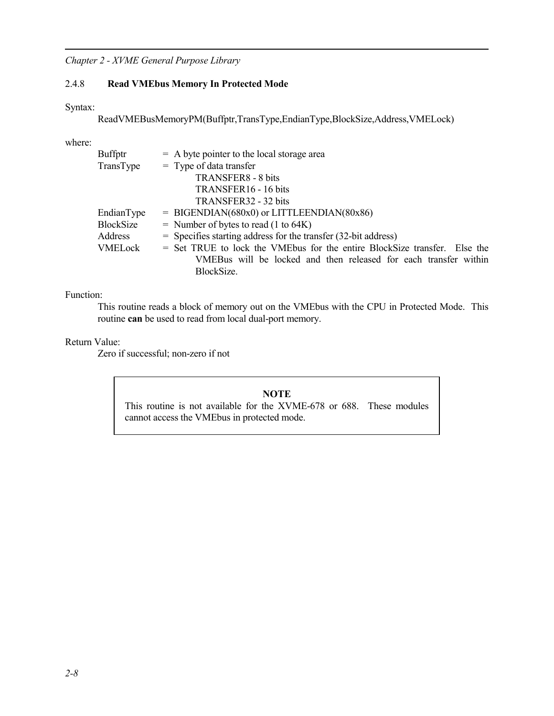### 2.4.8 **Read VMEbus Memory In Protected Mode**

Syntax:

ReadVMEBusMemoryPM(Buffptr,TransType,EndianType,BlockSize,Address,VMELock)

where:

| Buffptr    | $=$ A byte pointer to the local storage area                                  |
|------------|-------------------------------------------------------------------------------|
| TransType  | $=$ Type of data transfer                                                     |
|            | TRANSFER8 - 8 bits                                                            |
|            | TRANSFER16 - 16 bits                                                          |
|            | TRANSFER32 - 32 bits                                                          |
| EndianType | $=$ BIGENDIAN(680x0) or LITTLEENDIAN(80x86)                                   |
| BlockSize  | $=$ Number of bytes to read (1 to 64K)                                        |
| Address    | $=$ Specifies starting address for the transfer (32-bit address)              |
| VMELock    | $=$ Set TRUE to lock the VME bus for the entire Block Size transfer. Else the |
|            | VMEBus will be locked and then released for each transfer within              |
|            | BlockSize.                                                                    |

#### Function:

This routine reads a block of memory out on the VMEbus with the CPU in Protected Mode. This routine **can** be used to read from local dual-port memory.

#### Return Value:

Zero if successful; non-zero if not

#### **NOTE**

This routine is not available for the XVME-678 or 688. These modules cannot access the VMEbus in protected mode.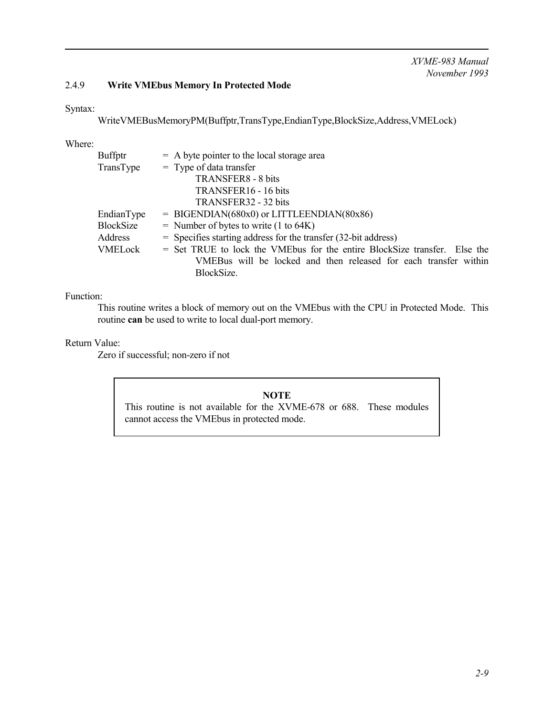## *XVME-983 Manual November 1993*

## 2.4.9 **Write VMEbus Memory In Protected Mode**

Syntax:

WriteVMEBusMemoryPM(Buffptr,TransType,EndianType,BlockSize,Address,VMELock)

Where:

| Buffptr          | $=$ A byte pointer to the local storage area                               |
|------------------|----------------------------------------------------------------------------|
| TransType        | $=$ Type of data transfer                                                  |
|                  | <b>TRANSFER8 - 8 bits</b>                                                  |
|                  | TRANSFER16 - 16 bits                                                       |
|                  | TRANSFER32 - 32 bits                                                       |
| EndianType       | $=$ BIGENDIAN(680x0) or LITTLEENDIAN(80x86)                                |
| <b>BlockSize</b> | $=$ Number of bytes to write (1 to 64K)                                    |
| Address          | $=$ Specifies starting address for the transfer (32-bit address)           |
| VMELock          | = Set TRUE to lock the VME bus for the entire BlockSize transfer. Else the |
|                  | VMEBus will be locked and then released for each transfer within           |
|                  | BlockSize.                                                                 |

Function:

This routine writes a block of memory out on the VMEbus with the CPU in Protected Mode. This routine **can** be used to write to local dual-port memory.

Return Value:

Zero if successful; non-zero if not

#### **NOTE**

This routine is not available for the XVME-678 or 688. These modules cannot access the VMEbus in protected mode.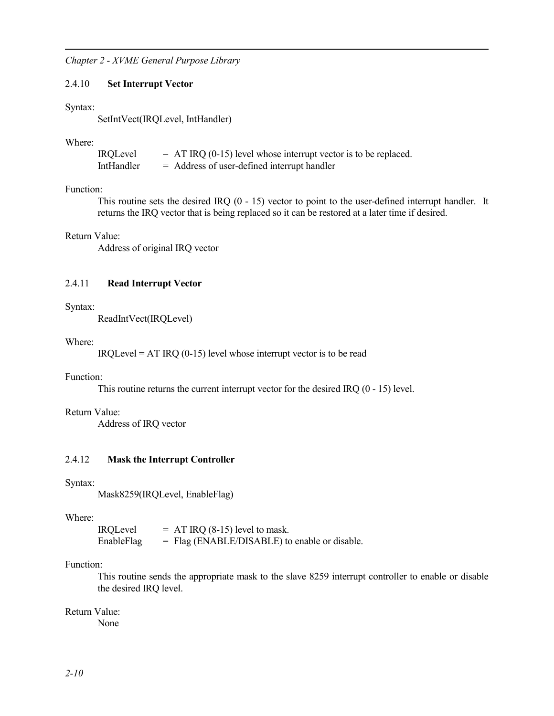#### 2.4.10 **Set Interrupt Vector**

#### Syntax:

SetIntVect(IRQLevel, IntHandler)

#### Where:

| <b>IRQLevel</b> | $= AT \, IRQ \, (0-15)$ level whose interrupt vector is to be replaced. |
|-----------------|-------------------------------------------------------------------------|
| IntHandler      | $=$ Address of user-defined interrupt handler                           |

#### Function:

This routine sets the desired IRQ (0 - 15) vector to point to the user-defined interrupt handler. It returns the IRQ vector that is being replaced so it can be restored at a later time if desired.

#### Return Value:

Address of original IRQ vector

## 2.4.11 **Read Interrupt Vector**

#### Syntax:

ReadIntVect(IRQLevel)

#### Where:

 $IRQLevel = AT IRQ (0-15)$  level whose interrupt vector is to be read

#### Function:

This routine returns the current interrupt vector for the desired IRQ (0 - 15) level.

#### Return Value:

Address of IRQ vector

#### 2.4.12 **Mask the Interrupt Controller**

#### Syntax:

Mask8259(IRQLevel, EnableFlag)

#### Where:

IRQLevel  $= AT \, IRQ \, (8-15)$  level to mask. EnableFlag = Flag (ENABLE/DISABLE) to enable or disable.

#### Function:

This routine sends the appropriate mask to the slave 8259 interrupt controller to enable or disable the desired IRQ level.

#### Return Value:

None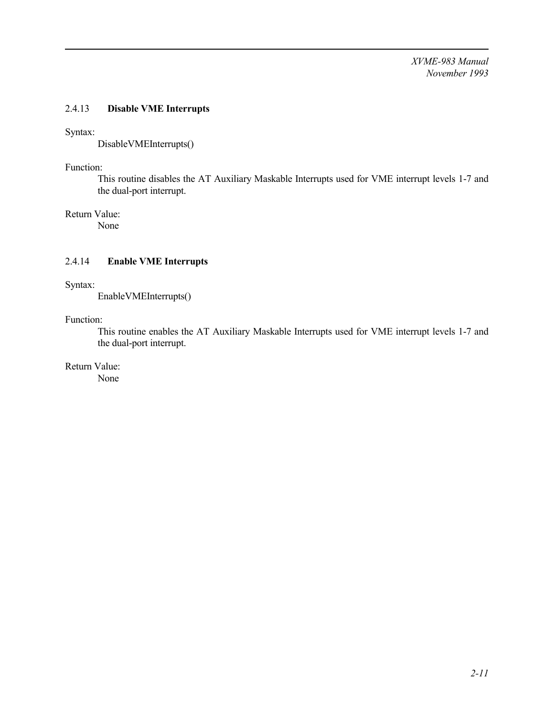*XVME-983 Manual November 1993*

#### 2.4.13 **Disable VME Interrupts**

Syntax:

DisableVMEInterrupts()

Function:

This routine disables the AT Auxiliary Maskable Interrupts used for VME interrupt levels 1-7 and the dual-port interrupt.

Return Value:

None

## 2.4.14 **Enable VME Interrupts**

Syntax:

EnableVMEInterrupts()

Function:

This routine enables the AT Auxiliary Maskable Interrupts used for VME interrupt levels 1-7 and the dual-port interrupt.

Return Value:

None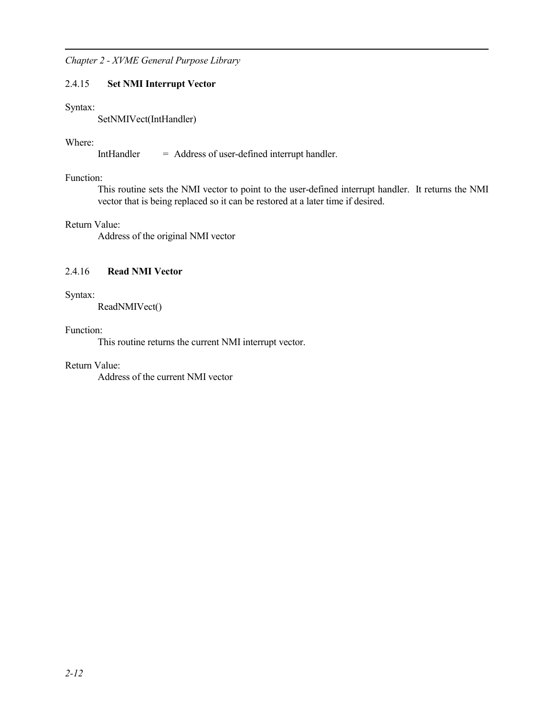## 2.4.15 **Set NMI Interrupt Vector**

#### Syntax:

SetNMIVect(IntHandler)

#### Where:

IntHandler = Address of user-defined interrupt handler.

#### Function:

This routine sets the NMI vector to point to the user-defined interrupt handler. It returns the NMI vector that is being replaced so it can be restored at a later time if desired.

## Return Value:

Address of the original NMI vector

## 2.4.16 **Read NMI Vector**

#### Syntax:

ReadNMIVect()

### Function:

This routine returns the current NMI interrupt vector.

## Return Value:

Address of the current NMI vector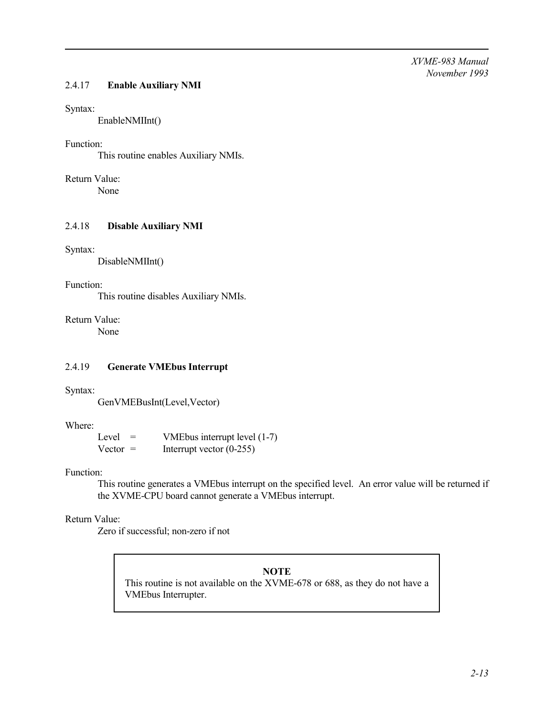### 2.4.17 **Enable Auxiliary NMI**

#### Syntax:

EnableNMIInt()

## Function:

This routine enables Auxiliary NMIs.

## Return Value:

None

## 2.4.18 **Disable Auxiliary NMI**

## Syntax:

DisableNMIInt()

### Function:

This routine disables Auxiliary NMIs.

## Return Value:

None

## 2.4.19 **Generate VMEbus Interrupt**

#### Syntax:

GenVMEBusInt(Level,Vector)

## Where:

| Level<br>$=$ | VME bus interrupt level (1-7) |
|--------------|-------------------------------|
| $Vector =$   | Interrupt vector $(0-255)$    |

## Function:

This routine generates a VMEbus interrupt on the specified level. An error value will be returned if the XVME-CPU board cannot generate a VMEbus interrupt.

## Return Value:

Zero if successful; non-zero if not

## **NOTE**

This routine is not available on the XVME-678 or 688, as they do not have a VMEbus Interrupter.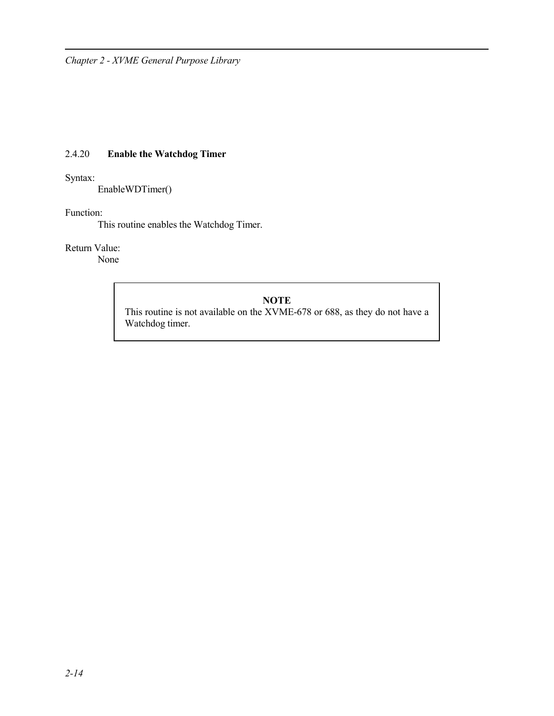## 2.4.20 **Enable the Watchdog Timer**

#### Syntax:

EnableWDTimer()

#### Function:

This routine enables the Watchdog Timer.

#### Return Value:

None

## **NOTE**

This routine is not available on the XVME-678 or 688, as they do not have a Watchdog timer.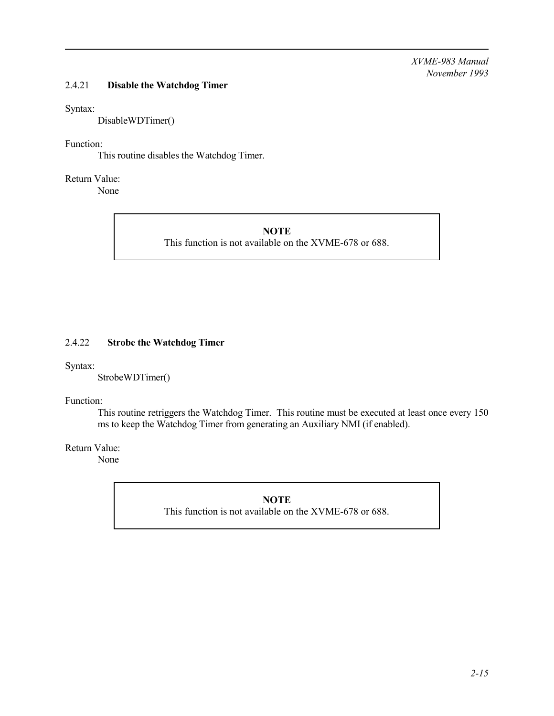## 2.4.21 **Disable the Watchdog Timer**

#### Syntax:

DisableWDTimer()

### Function:

This routine disables the Watchdog Timer.

## Return Value:

None

**NOTE** This function is not available on the XVME-678 or 688.

## 2.4.22 **Strobe the Watchdog Timer**

Syntax:

StrobeWDTimer()

Function:

This routine retriggers the Watchdog Timer. This routine must be executed at least once every 150 ms to keep the Watchdog Timer from generating an Auxiliary NMI (if enabled).

Return Value:

None

## **NOTE**

This function is not available on the XVME-678 or 688.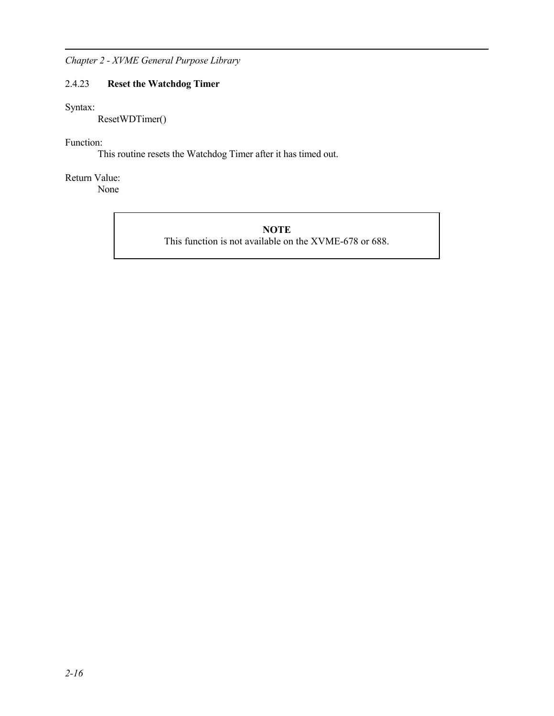## 2.4.23 **Reset the Watchdog Timer**

## Syntax:

ResetWDTimer()

## Function:

This routine resets the Watchdog Timer after it has timed out.

## Return Value:

None

**NOTE** This function is not available on the XVME-678 or 688.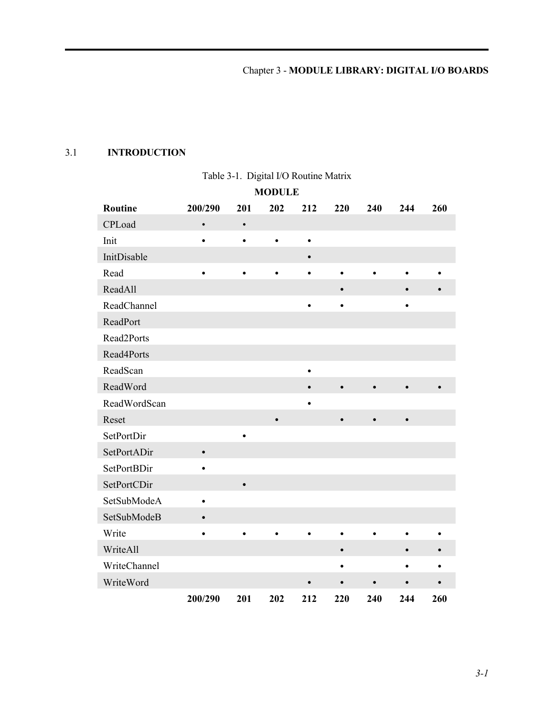## 3.1 **INTRODUCTION**

| <b>MODULE</b> |           |           |           |           |           |           |           |     |
|---------------|-----------|-----------|-----------|-----------|-----------|-----------|-----------|-----|
| Routine       | 200/290   | 201       | 202       | 212       | 220       | 240       | 244       | 260 |
| CPLoad        | $\bullet$ | $\bullet$ |           |           |           |           |           |     |
| Init          | $\bullet$ | $\bullet$ | $\bullet$ | $\bullet$ |           |           |           |     |
| InitDisable   |           |           |           |           |           |           |           |     |
| Read          |           | $\bullet$ |           |           |           |           |           |     |
| ReadAll       |           |           |           |           | $\bullet$ |           | $\bullet$ |     |
| ReadChannel   |           |           |           | $\bullet$ | $\bullet$ |           | $\bullet$ |     |
| ReadPort      |           |           |           |           |           |           |           |     |
| Read2Ports    |           |           |           |           |           |           |           |     |
| Read4Ports    |           |           |           |           |           |           |           |     |
| ReadScan      |           |           |           | $\bullet$ |           |           |           |     |
| ReadWord      |           |           |           |           | $\bullet$ | $\bullet$ | $\bullet$ |     |
| ReadWordScan  |           |           |           |           |           |           |           |     |
| Reset         |           |           | $\bullet$ |           | $\bullet$ |           | $\bullet$ |     |
| SetPortDir    |           | $\bullet$ |           |           |           |           |           |     |
| SetPortADir   | $\bullet$ |           |           |           |           |           |           |     |
| SetPortBDir   |           |           |           |           |           |           |           |     |
| SetPortCDir   |           | $\bullet$ |           |           |           |           |           |     |
| SetSubModeA   | $\bullet$ |           |           |           |           |           |           |     |
| SetSubModeB   | $\bullet$ |           |           |           |           |           |           |     |
| Write         | $\bullet$ | $\bullet$ |           |           | $\bullet$ |           |           |     |
| WriteAll      |           |           |           |           | $\bullet$ |           |           |     |
| WriteChannel  |           |           |           |           |           |           |           |     |
| WriteWord     |           |           |           | $\bullet$ | $\bullet$ | $\bullet$ | $\bullet$ |     |
|               | 200/290   | 201       | 202       | 212       | 220       | 240       | 244       | 260 |

# Table 3-1. Digital I/O Routine Matrix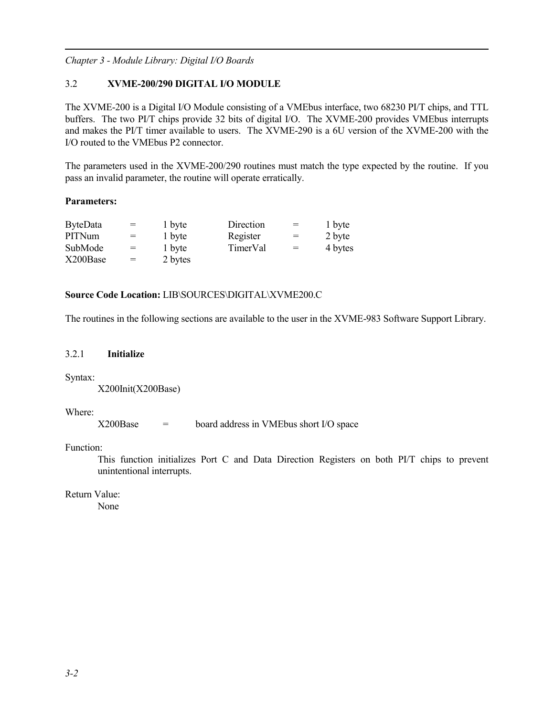*Chapter 3 - Module Library: Digital I/O Boards*

## 3.2 **XVME-200/290 DIGITAL I/O MODULE**

The XVME-200 is a Digital I/O Module consisting of a VMEbus interface, two 68230 PI/T chips, and TTL buffers. The two PI/T chips provide 32 bits of digital I/O. The XVME-200 provides VMEbus interrupts and makes the PI/T timer available to users. The XVME-290 is a 6U version of the XVME-200 with the I/O routed to the VMEbus P2 connector.

The parameters used in the XVME-200/290 routines must match the type expected by the routine. If you pass an invalid parameter, the routine will operate erratically.

### **Parameters:**

| <b>ByteData</b> | $=$ | 1 byte  | Direction | $=$ | 1 byte  |
|-----------------|-----|---------|-----------|-----|---------|
| <b>PITNum</b>   | $=$ | 1 byte  | Register  | $=$ | 2 byte  |
| SubMode         | $=$ | 1 byte  | TimerVal  | $=$ | 4 bytes |
| X200Base        | $=$ | 2 bytes |           |     |         |

### **Source Code Location:** LIB\SOURCES\DIGITAL\XVME200.C

The routines in the following sections are available to the user in the XVME-983 Software Support Library.

## 3.2.1 **Initialize**

Syntax:

X200Init(X200Base)

Where:

X200Base = board address in VMEbus short I/O space

Function:

This function initializes Port C and Data Direction Registers on both PI/T chips to prevent unintentional interrupts.

Return Value:

None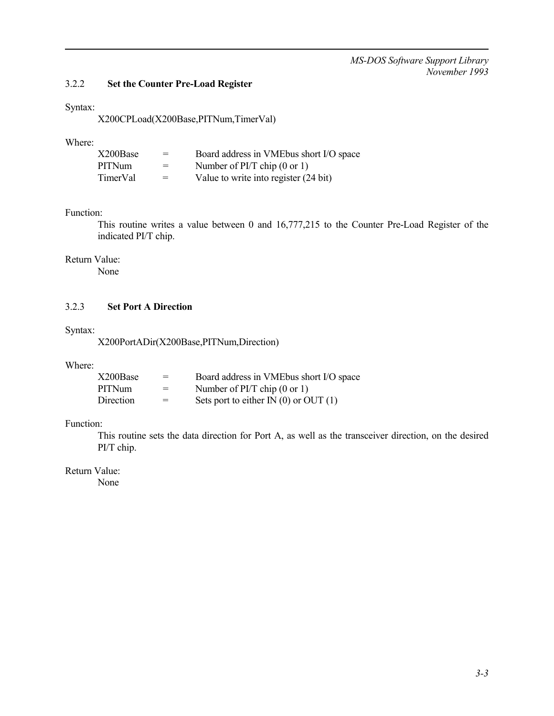## 3.2.2 **Set the Counter Pre-Load Register**

#### Syntax:

X200CPLoad(X200Base,PITNum,TimerVal)

### Where:

| X200Base      | $=$ | Board address in VMEbus short I/O space |
|---------------|-----|-----------------------------------------|
| <b>PITNum</b> | $=$ | Number of $PI/T$ chip (0 or 1)          |
| TimerVal      | $=$ | Value to write into register (24 bit)   |

### Function:

This routine writes a value between 0 and 16,777,215 to the Counter Pre-Load Register of the indicated PI/T chip.

# Return Value:

None

### 3.2.3 **Set Port A Direction**

### Syntax:

X200PortADir(X200Base,PITNum,Direction)

### Where:

| X200Base  | $=$ | Board address in VMEbus short I/O space   |
|-----------|-----|-------------------------------------------|
| PITNum    | $=$ | Number of $PI/T$ chip (0 or 1)            |
| Direction | $=$ | Sets port to either IN $(0)$ or OUT $(1)$ |

# Function:

This routine sets the data direction for Port A, as well as the transceiver direction, on the desired PI/T chip.

Return Value: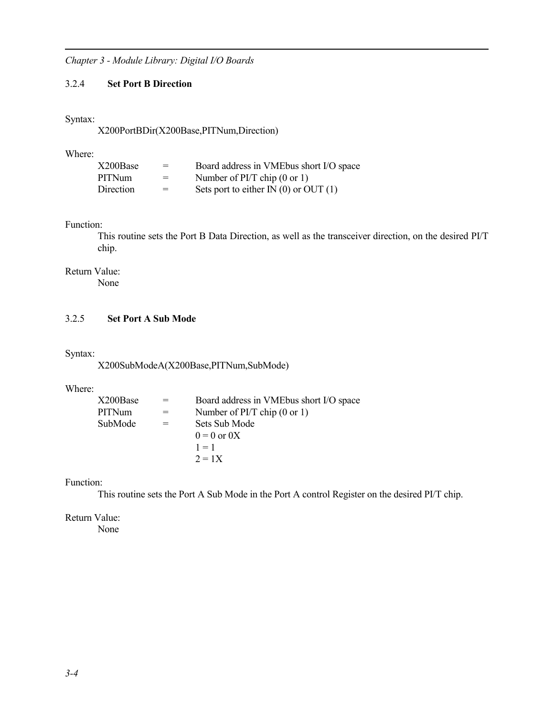## 3.2.4 **Set Port B Direction**

### Syntax:

X200PortBDir(X200Base,PITNum,Direction)

### Where:

| X200Base  | $=$ | Board address in VME bus short I/O space  |
|-----------|-----|-------------------------------------------|
| PITNum    | $=$ | Number of $PI/T$ chip (0 or 1)            |
| Direction | $=$ | Sets port to either IN $(0)$ or OUT $(1)$ |

# Function:

This routine sets the Port B Data Direction, as well as the transceiver direction, on the desired PI/T chip.

## Return Value:

None

# 3.2.5 **Set Port A Sub Mode**

### Syntax:

X200SubModeA(X200Base,PITNum,SubMode)

# Where:

| X200Base | = | Board address in VME bus short I/O space |
|----------|---|------------------------------------------|
| PITNum   |   | Number of $PI/T$ chip (0 or 1)           |
| SubMode  |   | Sets Sub Mode                            |
|          |   | $0 = 0$ or $0X$                          |
|          |   | $1 = 1$                                  |
|          |   | $2 = 1X$                                 |

## Function:

This routine sets the Port A Sub Mode in the Port A control Register on the desired PI/T chip.

# Return Value: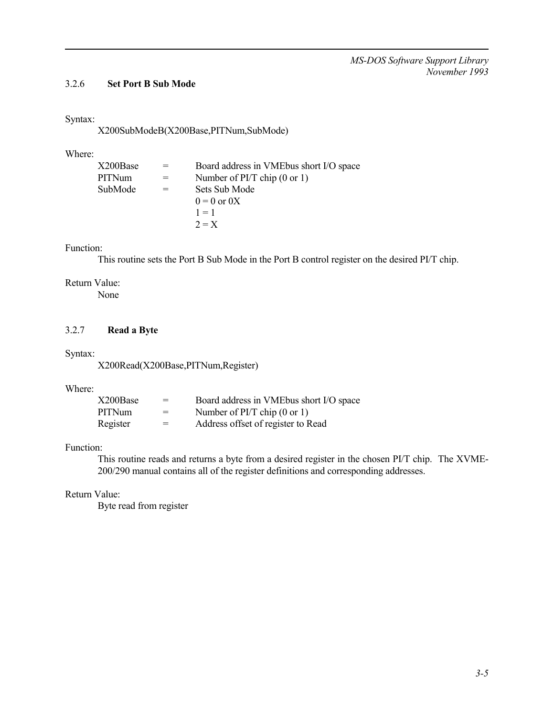# 3.2.6 **Set Port B Sub Mode**

### Syntax:

X200SubModeB(X200Base,PITNum,SubMode)

### Where:

| X200Base | Board address in VMEbus short I/O space |
|----------|-----------------------------------------|
| PITNum   | Number of $PI/T$ chip (0 or 1)          |
| SubMode  | Sets Sub Mode                           |
|          | $0 = 0$ or $0X$                         |
|          | $1 = 1$                                 |
|          | $2 = X$                                 |

### Function:

This routine sets the Port B Sub Mode in the Port B control register on the desired PI/T chip.

## Return Value:

None

## 3.2.7 **Read a Byte**

#### Syntax:

X200Read(X200Base,PITNum,Register)

# Where:

| X200Base | $=$ | Board address in VMEbus short I/O space |
|----------|-----|-----------------------------------------|
| PITNum   | $=$ | Number of $PI/T$ chip (0 or 1)          |
| Register | $=$ | Address offset of register to Read      |

# Function:

This routine reads and returns a byte from a desired register in the chosen PI/T chip. The XVME-200/290 manual contains all of the register definitions and corresponding addresses.

# Return Value:

Byte read from register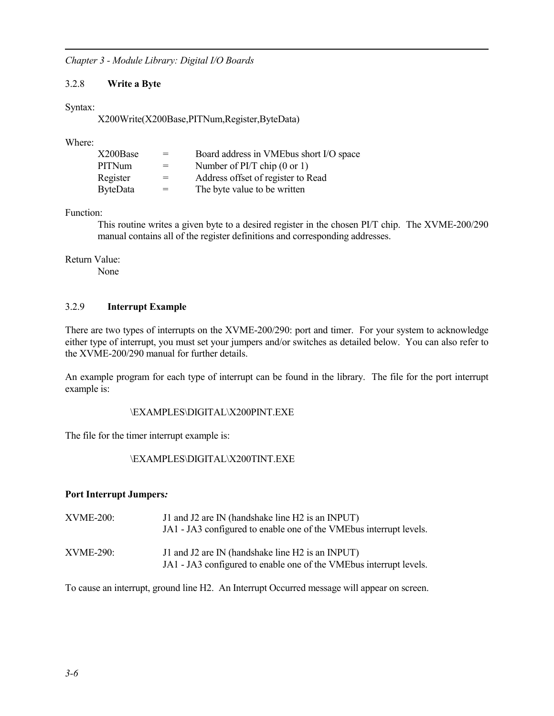# 3.2.8 **Write a Byte**

Syntax:

X200Write(X200Base,PITNum,Register,ByteData)

# Where:

| $=$ | Board address in VMEbus short I/O space |
|-----|-----------------------------------------|
| $=$ | Number of $PI/T$ chip (0 or 1)          |
| $=$ | Address offset of register to Read      |
| $=$ | The byte value to be written            |
|     |                                         |

# Function:

This routine writes a given byte to a desired register in the chosen PI/T chip. The XVME-200/290 manual contains all of the register definitions and corresponding addresses.

Return Value:

None

# 3.2.9 **Interrupt Example**

There are two types of interrupts on the XVME-200/290: port and timer. For your system to acknowledge either type of interrupt, you must set your jumpers and/or switches as detailed below. You can also refer to the XVME-200/290 manual for further details.

An example program for each type of interrupt can be found in the library. The file for the port interrupt example is:

# \EXAMPLES\DIGITAL\X200PINT.EXE

The file for the timer interrupt example is:

# \EXAMPLES\DIGITAL\X200TINT.EXE

## **Port Interrupt Jumpers***:*

| XVME-200: | J1 and J2 are IN (handshake line H2 is an INPUT)<br>JA1 - JA3 configured to enable one of the VME bus interrupt levels. |
|-----------|-------------------------------------------------------------------------------------------------------------------------|
| XVME-290: | J1 and J2 are IN (handshake line H2 is an INPUT)<br>JA1 - JA3 configured to enable one of the VME bus interrupt levels. |

To cause an interrupt, ground line H2. An Interrupt Occurred message will appear on screen.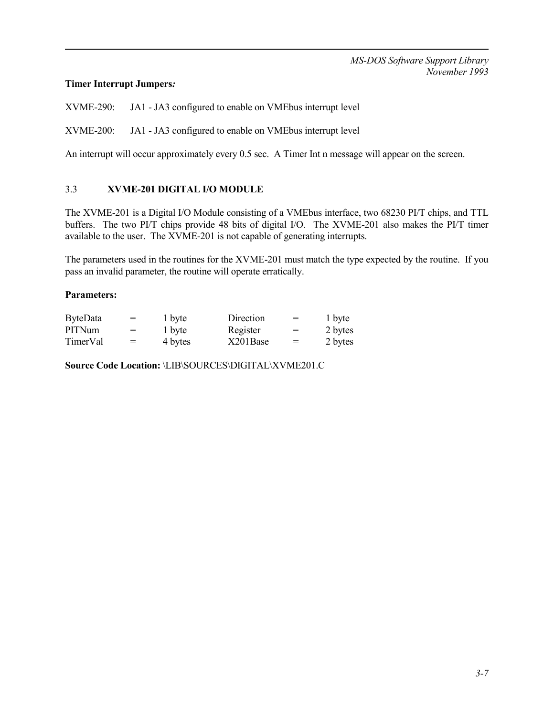# **Timer Interrupt Jumpers***:*

XVME-290: JA1 - JA3 configured to enable on VMEbus interrupt level

XVME-200: JA1 - JA3 configured to enable on VMEbus interrupt level

An interrupt will occur approximately every 0.5 sec. A Timer Int n message will appear on the screen.

# 3.3 **XVME-201 DIGITAL I/O MODULE**

The XVME-201 is a Digital I/O Module consisting of a VMEbus interface, two 68230 PI/T chips, and TTL buffers. The two PI/T chips provide 48 bits of digital I/O. The XVME-201 also makes the PI/T timer available to the user. The XVME-201 is not capable of generating interrupts.

The parameters used in the routines for the XVME-201 must match the type expected by the routine. If you pass an invalid parameter, the routine will operate erratically.

# **Parameters:**

| <b>ByteData</b> | $=$ | 1 byte  | Direction | $=$ | 1 byte  |
|-----------------|-----|---------|-----------|-----|---------|
| <b>PITNum</b>   | $=$ | 1 byte  | Register  | $=$ | 2 bytes |
| TimerVal        | $=$ | 4 bytes | X201Base  | $=$ | 2 bytes |

**Source Code Location:** \LIB\SOURCES\DIGITAL\XVME201.C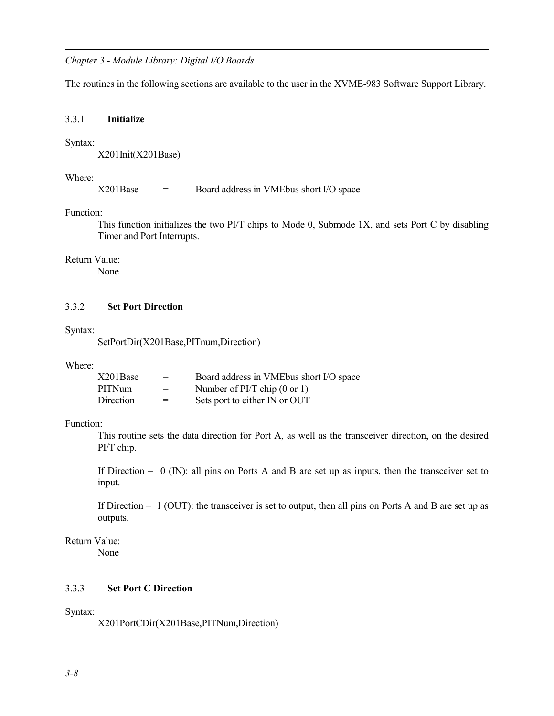The routines in the following sections are available to the user in the XVME-983 Software Support Library.

### 3.3.1 **Initialize**

### Syntax:

X201Init(X201Base)

### Where:

X201Base = Board address in VMEbus short I/O space

#### Function:

This function initializes the two PI/T chips to Mode 0, Submode 1X, and sets Port C by disabling Timer and Port Interrupts.

## Return Value:

None

## 3.3.2 **Set Port Direction**

Syntax:

SetPortDir(X201Base,PITnum,Direction)

#### Where:

| X201Base      | $=$ | Board address in VMEbus short I/O space |
|---------------|-----|-----------------------------------------|
| <b>PITNum</b> | $=$ | Number of $PI/T$ chip (0 or 1)          |
| Direction     | $=$ | Sets port to either IN or OUT           |

### Function:

This routine sets the data direction for Port A, as well as the transceiver direction, on the desired PI/T chip.

If Direction =  $\theta$  (IN): all pins on Ports A and B are set up as inputs, then the transceiver set to input.

If Direction = 1 (OUT): the transceiver is set to output, then all pins on Ports A and B are set up as outputs.

# Return Value:

None

### 3.3.3 **Set Port C Direction**

### Syntax:

X201PortCDir(X201Base,PITNum,Direction)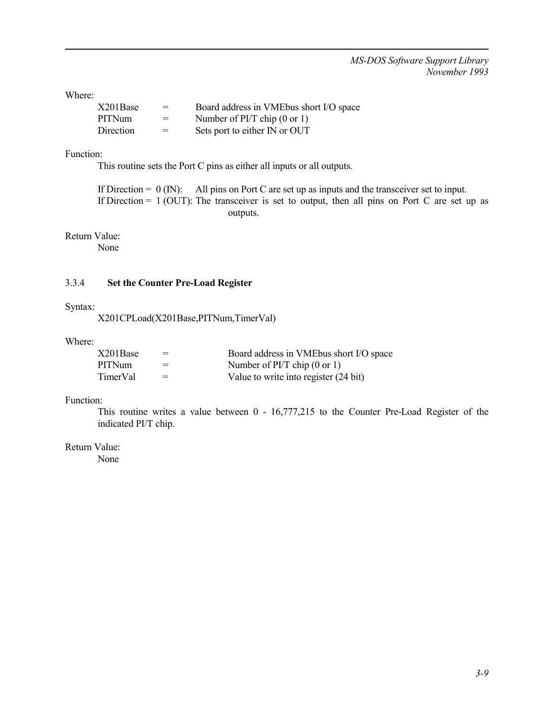Where:

| X201Base  | $=$ | Board address in VME bus short I/O space |
|-----------|-----|------------------------------------------|
| PITNum    | $=$ | Number of $PI/T$ chip (0 or 1)           |
| Direction | $=$ | Sets port to either IN or OUT            |

## Function:

This routine sets the Port C pins as either all inputs or all outputs.

If Direction =  $0$  (IN): All pins on Port C are set up as inputs and the transceiver set to input. If Direction =  $1 (OUT)$ : The transceiver is set to output, then all pins on Port C are set up as outputs.

Return Value:

None

# 3.3.4 **Set the Counter Pre-Load Register**

#### Syntax:

X201CPLoad(X201Base,PITNum,TimerVal)

#### Where:

| X201Base | $=$ | Board address in VMEbus short I/O space |
|----------|-----|-----------------------------------------|
| PITNum   | $=$ | Number of $PI/T$ chip (0 or 1)          |
| TimerVal | $=$ | Value to write into register (24 bit)   |

### Function:

This routine writes a value between 0 - 16,777,215 to the Counter Pre-Load Register of the indicated PI/T chip.

### Return Value: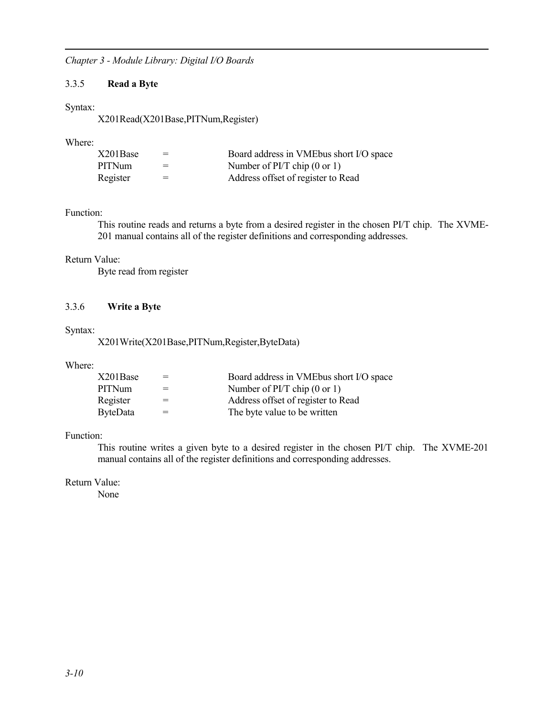## 3.3.5 **Read a Byte**

### Syntax:

X201Read(X201Base,PITNum,Register)

### Where:

| X201Base      | $=$ | Board address in VMEbus short I/O space |
|---------------|-----|-----------------------------------------|
| <b>PITNum</b> | $=$ | Number of $PI/T$ chip (0 or 1)          |
| Register      | $=$ | Address offset of register to Read      |

### Function:

This routine reads and returns a byte from a desired register in the chosen PI/T chip. The XVME-201 manual contains all of the register definitions and corresponding addresses.

### Return Value:

Byte read from register

## 3.3.6 **Write a Byte**

### Syntax:

X201Write(X201Base,PITNum,Register,ByteData)

## Where:

| X201Base        | $=$ | Board address in VMEbus short I/O space |
|-----------------|-----|-----------------------------------------|
| PITNum          |     | Number of $PI/T$ chip (0 or 1)          |
| Register        |     | Address offset of register to Read      |
| <b>ByteData</b> |     | The byte value to be written            |

### Function:

This routine writes a given byte to a desired register in the chosen PI/T chip. The XVME-201 manual contains all of the register definitions and corresponding addresses.

## Return Value: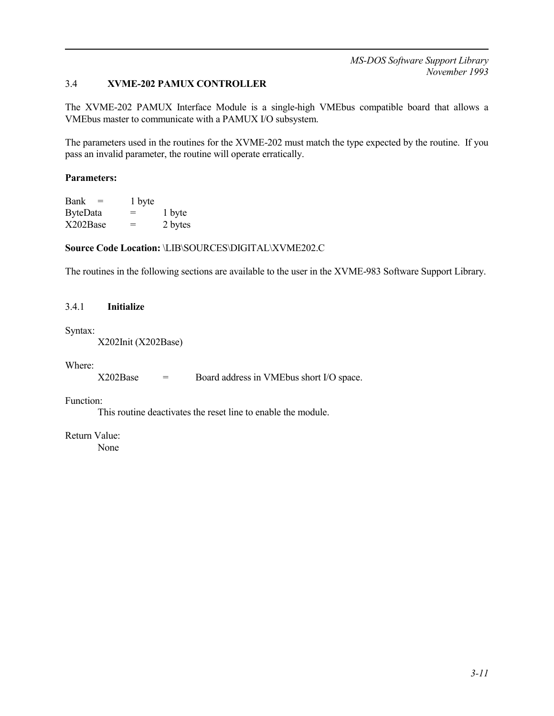# 3.4 **XVME-202 PAMUX CONTROLLER**

The XVME-202 PAMUX Interface Module is a single-high VMEbus compatible board that allows a VMEbus master to communicate with a PAMUX I/O subsystem.

The parameters used in the routines for the XVME-202 must match the type expected by the routine. If you pass an invalid parameter, the routine will operate erratically.

## **Parameters:**

| Bank<br>$=$     | 1 byte |         |
|-----------------|--------|---------|
| <b>ByteData</b> | $=$    | 1 byte  |
| X202Base        | $=$    | 2 bytes |

## **Source Code Location:** \LIB\SOURCES\DIGITAL\XVME202.C

The routines in the following sections are available to the user in the XVME-983 Software Support Library.

## 3.4.1 **Initialize**

### Syntax:

X202Init (X202Base)

#### Where:

X202Base = Board address in VMEbus short I/O space.

### Function:

This routine deactivates the reset line to enable the module.

## Return Value: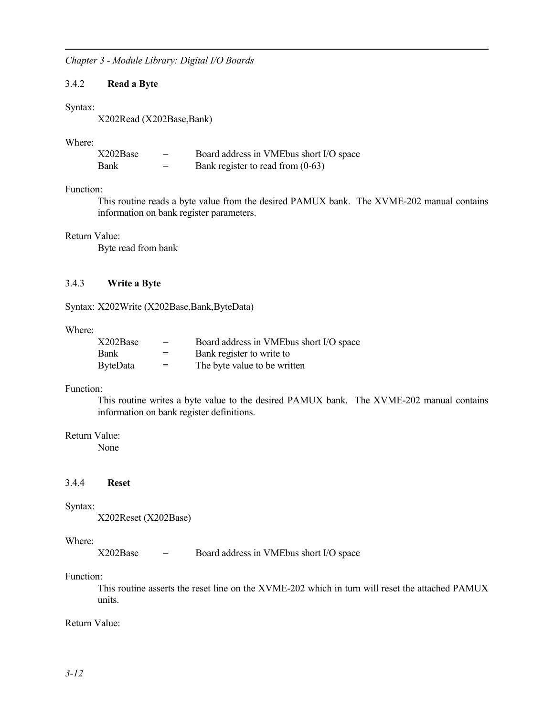### 3.4.2 **Read a Byte**

#### Syntax:

X202Read (X202Base,Bank)

### Where:

| X202Base | $=$ | Board address in VME bus short I/O space |
|----------|-----|------------------------------------------|
| Bank     | =   | Bank register to read from $(0-63)$      |

### Function:

This routine reads a byte value from the desired PAMUX bank. The XVME-202 manual contains information on bank register parameters.

## Return Value:

Byte read from bank

# 3.4.3 **Write a Byte**

Syntax: X202Write (X202Base,Bank,ByteData)

#### Where:

| X202Base        | $=$ | Board address in VMEbus short I/O space |
|-----------------|-----|-----------------------------------------|
| Bank            | $=$ | Bank register to write to               |
| <b>ByteData</b> | $=$ | The byte value to be written            |

# Function:

This routine writes a byte value to the desired PAMUX bank. The XVME-202 manual contains information on bank register definitions.

## Return Value:

None

## 3.4.4 **Reset**

#### Syntax:

X202Reset (X202Base)

#### Where:

X202Base = Board address in VMEbus short I/O space

## Function:

This routine asserts the reset line on the XVME-202 which in turn will reset the attached PAMUX units.

## Return Value: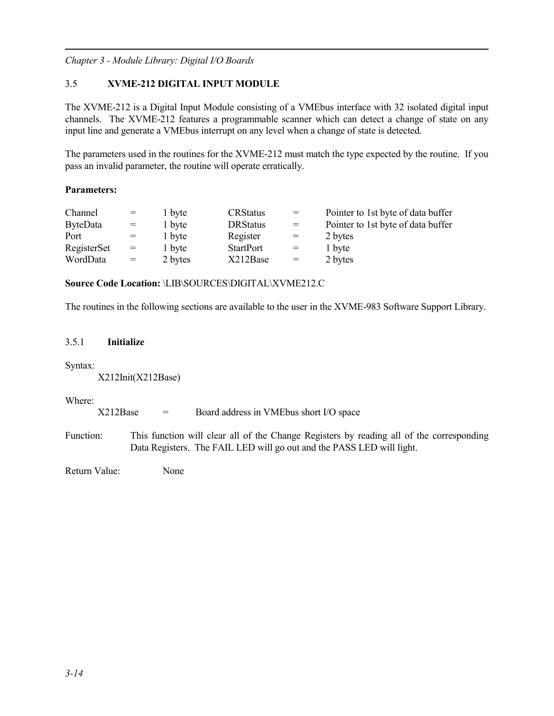# 3.5 **XVME-212 DIGITAL INPUT MODULE**

The XVME-212 is a Digital Input Module consisting of a VMEbus interface with 32 isolated digital input channels. The XVME-212 features a programmable scanner which can detect a change of state on any input line and generate a VMEbus interrupt on any level when a change of state is detected.

The parameters used in the routines for the XVME-212 must match the type expected by the routine. If you pass an invalid parameter, the routine will operate erratically.

## **Parameters:**

| Channel         | $=$ | 1 byte  | <b>CRStatus</b>  | $=$ | Pointer to 1st byte of data buffer |
|-----------------|-----|---------|------------------|-----|------------------------------------|
| <b>ByteData</b> | $=$ | 1 byte  | <b>DRStatus</b>  | $=$ | Pointer to 1st byte of data buffer |
| Port            |     | 1 byte  | Register         | $=$ | 2 bytes                            |
| RegisterSet     | $=$ | 1 byte  | <b>StartPort</b> | $=$ | 1 byte                             |
| WordData        | $=$ | 2 bytes | X212Base         | $=$ | 2 bytes                            |

**Source Code Location:** \LIB\SOURCES\DIGITAL\XVME212.C

The routines in the following sections are available to the user in the XVME-983 Software Support Library.

## 3.5.1 **Initialize**

Syntax:

X212Init(X212Base)

Where:

| X212Base | Board address in VME bus short I/O space |
|----------|------------------------------------------|
|          |                                          |

Function: This function will clear all of the Change Registers by reading all of the corresponding Data Registers. The FAIL LED will go out and the PASS LED will light.

Return Value: None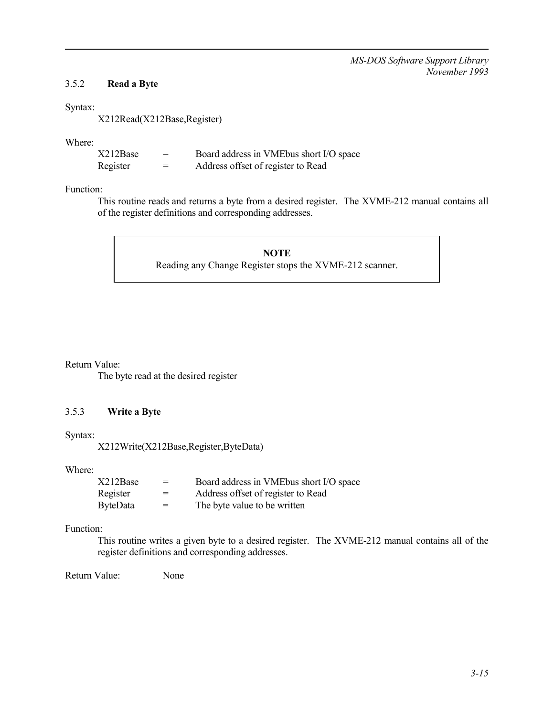## 3.5.2 **Read a Byte**

### Syntax:

X212Read(X212Base,Register)

## Where:

| X212Base | $=$ | Board address in VME bus short I/O space |
|----------|-----|------------------------------------------|
| Register | $=$ | Address offset of register to Read       |

## Function:

This routine reads and returns a byte from a desired register. The XVME-212 manual contains all of the register definitions and corresponding addresses.

> **NOTE** Reading any Change Register stops the XVME-212 scanner.

# Return Value:

The byte read at the desired register

## 3.5.3 **Write a Byte**

Syntax:

```
X212Write(X212Base,Register,ByteData)
```
Where:

| X212Base        | $=$ | Board address in VMEbus short I/O space |
|-----------------|-----|-----------------------------------------|
| Register        | $=$ | Address offset of register to Read      |
| <b>ByteData</b> | $=$ | The byte value to be written            |

## Function:

This routine writes a given byte to a desired register. The XVME-212 manual contains all of the register definitions and corresponding addresses.

Return Value: None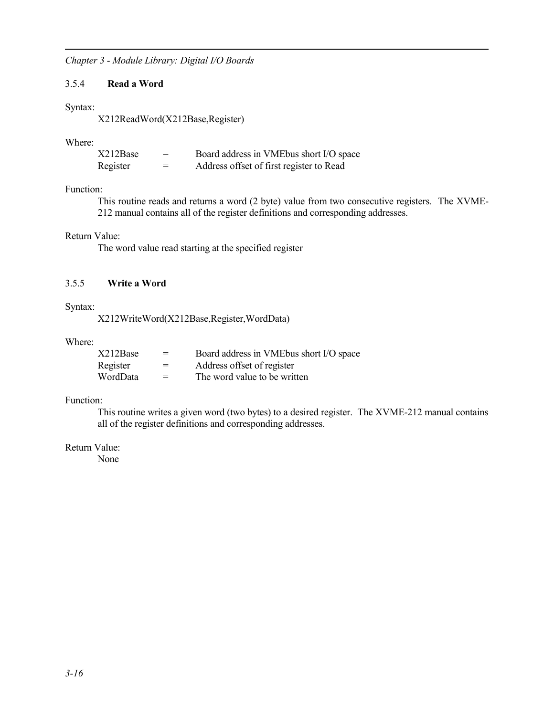# 3.5.4 **Read a Word**

### Syntax:

X212ReadWord(X212Base,Register)

## Where:

| X212Base | $=$ | Board address in VME bus short I/O space |
|----------|-----|------------------------------------------|
| Register | $=$ | Address offset of first register to Read |

## Function:

This routine reads and returns a word (2 byte) value from two consecutive registers. The XVME-212 manual contains all of the register definitions and corresponding addresses.

# Return Value:

The word value read starting at the specified register

# 3.5.5 **Write a Word**

### Syntax:

X212WriteWord(X212Base,Register,WordData)

## Where:

| X212Base | $=$ | Board address in VMEbus short I/O space |
|----------|-----|-----------------------------------------|
| Register | $=$ | Address offset of register              |
| WordData | $=$ | The word value to be written            |

### Function:

This routine writes a given word (two bytes) to a desired register. The XVME-212 manual contains all of the register definitions and corresponding addresses.

# Return Value: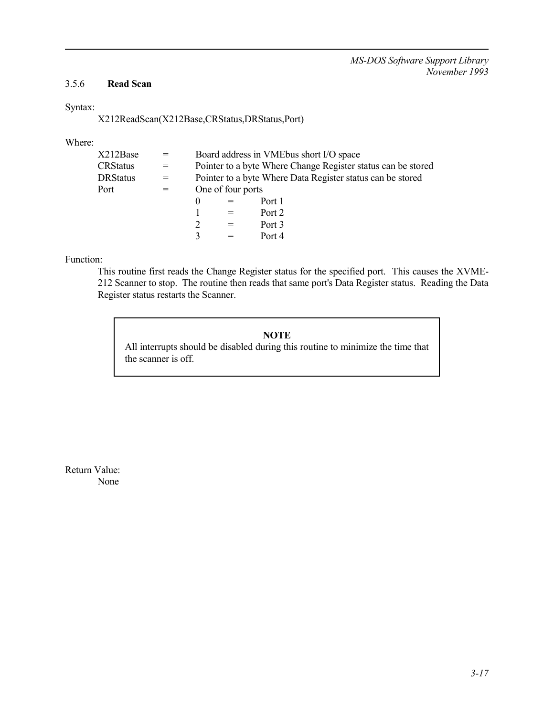## 3.5.6 **Read Scan**

Syntax:

X212ReadScan(X212Base,CRStatus,DRStatus,Port)

Where:

| X212Base        |     |          |                   | Board address in VMEbus short I/O space                      |
|-----------------|-----|----------|-------------------|--------------------------------------------------------------|
| <b>CRStatus</b> |     |          |                   | Pointer to a byte Where Change Register status can be stored |
| <b>DRStatus</b> | $=$ |          |                   | Pointer to a byte Where Data Register status can be stored   |
| Port            |     |          | One of four ports |                                                              |
|                 |     | $\theta$ |                   | Port 1                                                       |
|                 |     |          |                   | Port 2                                                       |
|                 |     |          | $=$               | Port 3                                                       |
|                 |     |          |                   | Port 4                                                       |

Function:

This routine first reads the Change Register status for the specified port. This causes the XVME-212 Scanner to stop. The routine then reads that same port's Data Register status. Reading the Data Register status restarts the Scanner.

# **NOTE**

All interrupts should be disabled during this routine to minimize the time that the scanner is off.

Return Value: None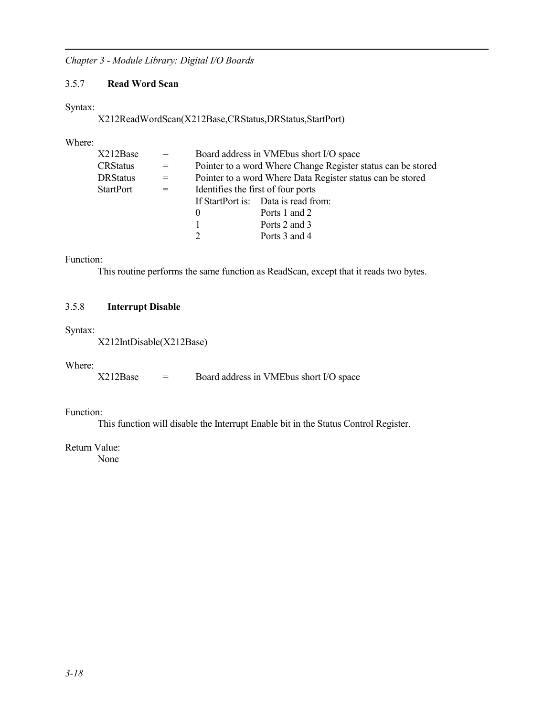# 3.5.7 **Read Word Scan**

Syntax:

X212ReadWordScan(X212Base,CRStatus,DRStatus,StartPort)

Where:

| X212Base         | $=$ |                                                              | Board address in VMEbus short I/O space |  |
|------------------|-----|--------------------------------------------------------------|-----------------------------------------|--|
| <b>CRStatus</b>  | $=$ | Pointer to a word Where Change Register status can be stored |                                         |  |
| <b>DRStatus</b>  | $=$ | Pointer to a word Where Data Register status can be stored   |                                         |  |
| <b>StartPort</b> | $=$ |                                                              | Identifies the first of four ports      |  |
|                  |     |                                                              | If StartPort is: Data is read from:     |  |
|                  |     | $\theta$                                                     | Ports 1 and 2                           |  |
|                  |     |                                                              | Ports 2 and 3                           |  |
|                  |     | $\mathcal{D}$                                                | Ports 3 and 4                           |  |

## Function:

This routine performs the same function as ReadScan, except that it reads two bytes.

# 3.5.8 **Interrupt Disable**

## Syntax:

X212IntDisable(X212Base)

## Where:

```
X212Base = Board address in VMEbus short I/O space
```
# Function:

This function will disable the Interrupt Enable bit in the Status Control Register.

# Return Value: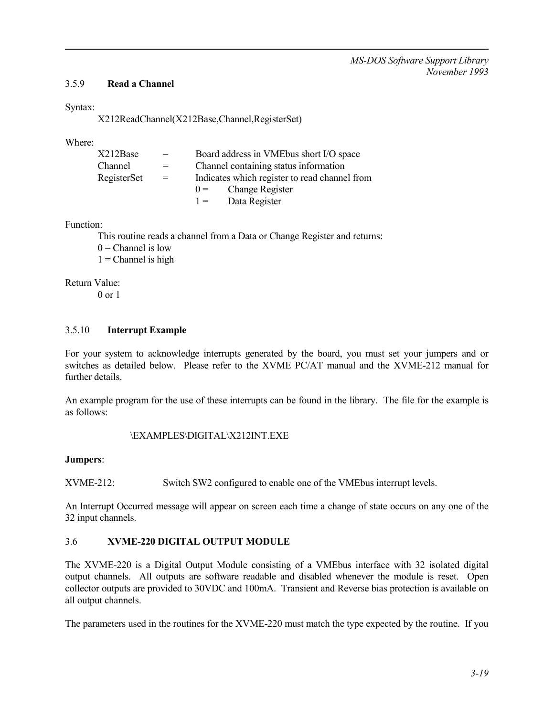## 3.5.9 **Read a Channel**

Syntax:

X212ReadChannel(X212Base,Channel,RegisterSet)

Where:

| X212Base    | $=$ | Board address in VME bus short I/O space      |  |  |
|-------------|-----|-----------------------------------------------|--|--|
| Channel     | $=$ | Channel containing status information         |  |  |
| RegisterSet | $=$ | Indicates which register to read channel from |  |  |
|             |     | Change Register<br>$() =$                     |  |  |
|             |     | Data Register<br>$1 =$                        |  |  |

Function:

This routine reads a channel from a Data or Change Register and returns:

 $0$  = Channel is low

 $1$  = Channel is high

Return Value:

0 or 1

# 3.5.10 **Interrupt Example**

For your system to acknowledge interrupts generated by the board, you must set your jumpers and or switches as detailed below. Please refer to the XVME PC/AT manual and the XVME-212 manual for further details.

An example program for the use of these interrupts can be found in the library. The file for the example is as follows:

# \EXAMPLES\DIGITAL\X212INT.EXE

## **Jumpers**:

XVME-212: Switch SW2 configured to enable one of the VMEbus interrupt levels.

An Interrupt Occurred message will appear on screen each time a change of state occurs on any one of the 32 input channels.

# 3.6 **XVME-220 DIGITAL OUTPUT MODULE**

The XVME-220 is a Digital Output Module consisting of a VMEbus interface with 32 isolated digital output channels. All outputs are software readable and disabled whenever the module is reset. Open collector outputs are provided to 30VDC and 100mA. Transient and Reverse bias protection is available on all output channels.

The parameters used in the routines for the XVME-220 must match the type expected by the routine. If you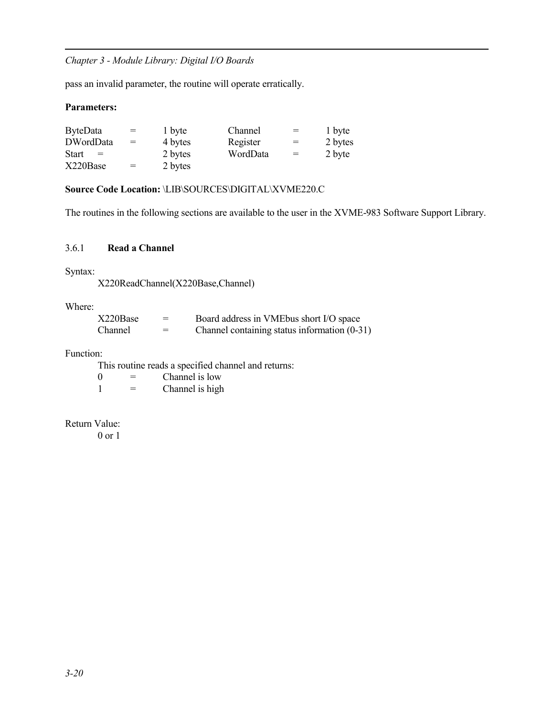pass an invalid parameter, the routine will operate erratically.

# **Parameters:**

| <b>ByteData</b>  | $=$ | 1 byte  | Channel  | $=$ | 1 byte  |
|------------------|-----|---------|----------|-----|---------|
| <b>DWordData</b> | $=$ | 4 bytes | Register | $=$ | 2 bytes |
| Start<br>$=$     |     | 2 bytes | WordData | $=$ | 2 byte  |
| X220Base         | $=$ | 2 bytes |          |     |         |

## **Source Code Location:** \LIB\SOURCES\DIGITAL\XVME220.C

The routines in the following sections are available to the user in the XVME-983 Software Support Library.

# 3.6.1 **Read a Channel**

Syntax:

X220ReadChannel(X220Base,Channel)

### Where:

| X220Base |   | Board address in VME bus short I/O space       |
|----------|---|------------------------------------------------|
| Channel  | = | Channel containing status information $(0-31)$ |

# Function:

This routine reads a specified channel and returns:

 $0 =$  Channel is low<br>  $1 =$  Channel is high  $=$  Channel is high

Return Value:

0 or 1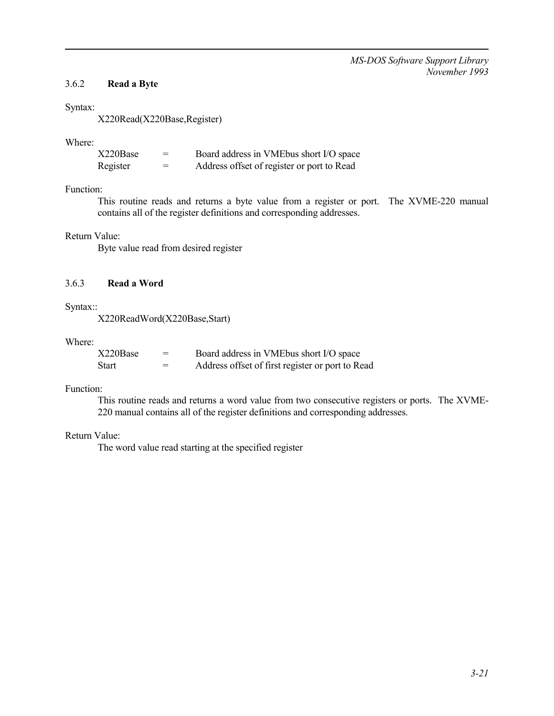## 3.6.2 **Read a Byte**

#### Syntax:

X220Read(X220Base,Register)

## Where:

| X220Base | $=$ | Board address in VME bus short I/O space   |
|----------|-----|--------------------------------------------|
| Register | $=$ | Address offset of register or port to Read |

### Function:

This routine reads and returns a byte value from a register or port. The XVME-220 manual contains all of the register definitions and corresponding addresses.

# Return Value:

Byte value read from desired register

# 3.6.3 **Read a Word**

#### Syntax::

X220ReadWord(X220Base,Start)

#### Where:

| X220Base | = | Board address in VME bus short I/O space         |
|----------|---|--------------------------------------------------|
| Start    | = | Address offset of first register or port to Read |

# Function:

This routine reads and returns a word value from two consecutive registers or ports. The XVME-220 manual contains all of the register definitions and corresponding addresses.

### Return Value:

The word value read starting at the specified register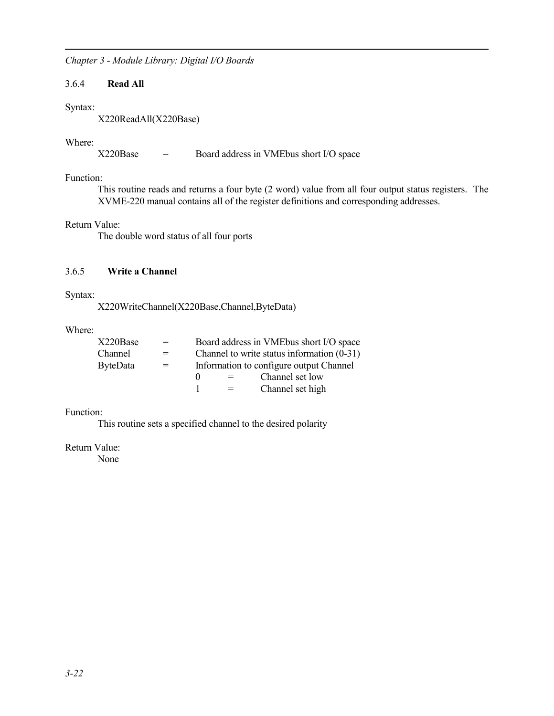# 3.6.4 **Read All**

Syntax:

X220ReadAll(X220Base)

## Where:

X220Base = Board address in VMEbus short I/O space

## Function:

This routine reads and returns a four byte (2 word) value from all four output status registers. The XVME-220 manual contains all of the register definitions and corresponding addresses.

# Return Value:

The double word status of all four ports

# 3.6.5 **Write a Channel**

## Syntax:

X220WriteChannel(X220Base,Channel,ByteData)

## Where:

| X220Base        | $=$ |                                              |  | Board address in VME bus short I/O space |
|-----------------|-----|----------------------------------------------|--|------------------------------------------|
| Channel         | $=$ | Channel to write status information $(0-31)$ |  |                                          |
| <b>ByteData</b> | $=$ | Information to configure output Channel      |  |                                          |
|                 |     | $\mathbf{0}$                                 |  | Channel set low                          |
|                 |     |                                              |  | Channel set high                         |

## Function:

This routine sets a specified channel to the desired polarity

# Return Value: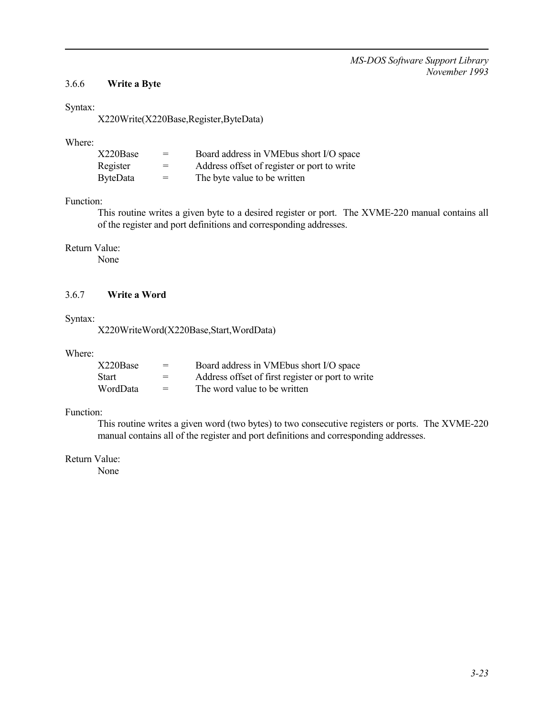### 3.6.6 **Write a Byte**

#### Syntax:

X220Write(X220Base,Register,ByteData)

## Where:

| X220Base        | $=$ | Board address in VMEbus short I/O space     |
|-----------------|-----|---------------------------------------------|
| Register        | $=$ | Address offset of register or port to write |
| <b>ByteData</b> | $=$ | The byte value to be written                |

# Function:

This routine writes a given byte to a desired register or port. The XVME-220 manual contains all of the register and port definitions and corresponding addresses.

#### Return Value:

None

## 3.6.7 **Write a Word**

### Syntax:

X220WriteWord(X220Base,Start,WordData)

## Where:

| X220Base | $=$ | Board address in VMEbus short I/O space           |
|----------|-----|---------------------------------------------------|
| Start    | $=$ | Address offset of first register or port to write |
| WordData | $=$ | The word value to be written                      |

### Function:

This routine writes a given word (two bytes) to two consecutive registers or ports. The XVME-220 manual contains all of the register and port definitions and corresponding addresses.

### Return Value: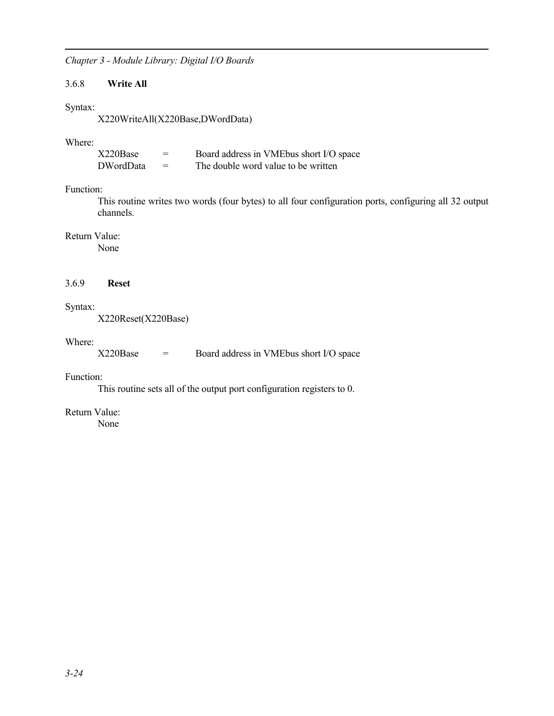# 3.6.8 **Write All**

Syntax:

X220WriteAll(X220Base,DWordData)

## Where:

| X220Base  | $=$ | Board address in VME bus short I/O space |
|-----------|-----|------------------------------------------|
| DWordData | $=$ | The double word value to be written      |

## Function:

This routine writes two words (four bytes) to all four configuration ports, configuring all 32 output channels.

## Return Value:

None

# 3.6.9 **Reset**

### Syntax:

X220Reset(X220Base)

## Where:

X220Base = Board address in VMEbus short I/O space

## Function:

This routine sets all of the output port configuration registers to 0.

# Return Value: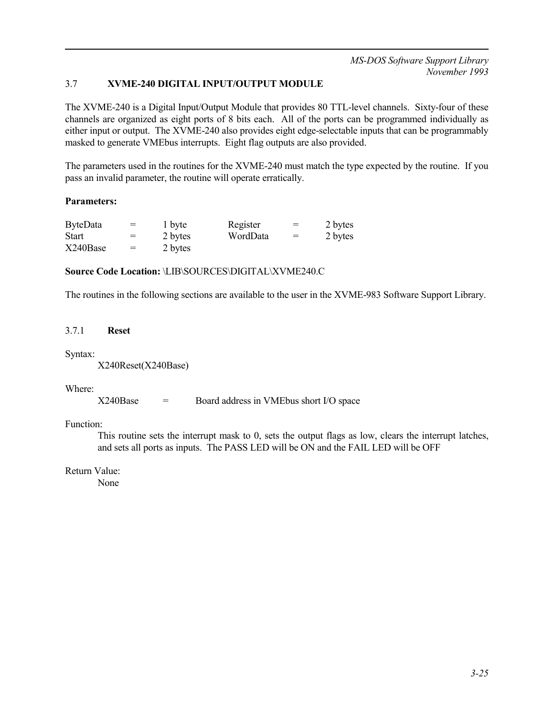# 3.7 **XVME-240 DIGITAL INPUT/OUTPUT MODULE**

The XVME-240 is a Digital Input/Output Module that provides 80 TTL-level channels. Sixty-four of these channels are organized as eight ports of 8 bits each. All of the ports can be programmed individually as either input or output. The XVME-240 also provides eight edge-selectable inputs that can be programmably masked to generate VMEbus interrupts. Eight flag outputs are also provided.

The parameters used in the routines for the XVME-240 must match the type expected by the routine. If you pass an invalid parameter, the routine will operate erratically.

# **Parameters:**

| <b>ByteData</b> | $=$ | 1 byte  | Register | $=$ | 2 bytes |
|-----------------|-----|---------|----------|-----|---------|
| <b>Start</b>    | $=$ | 2 bytes | WordData | $=$ | 2 bytes |
| X240Base        | $=$ | 2 bytes |          |     |         |

## **Source Code Location:** \LIB\SOURCES\DIGITAL\XVME240.C

The routines in the following sections are available to the user in the XVME-983 Software Support Library.

## 3.7.1 **Reset**

## Syntax:

X240Reset(X240Base)

## Where:

X240Base = Board address in VMEbus short I/O space

## Function:

This routine sets the interrupt mask to 0, sets the output flags as low, clears the interrupt latches, and sets all ports as inputs. The PASS LED will be ON and the FAIL LED will be OFF

Return Value: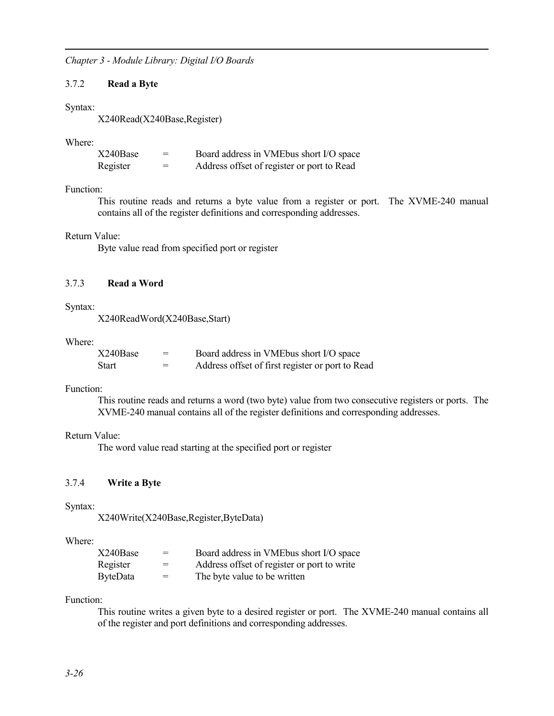### 3.7.2 **Read a Byte**

#### Syntax:

X240Read(X240Base,Register)

#### Where:

| X240Base | $=$ | Board address in VMEbus short I/O space    |
|----------|-----|--------------------------------------------|
| Register | $=$ | Address offset of register or port to Read |

### Function:

This routine reads and returns a byte value from a register or port. The XVME-240 manual contains all of the register definitions and corresponding addresses.

### Return Value:

Byte value read from specified port or register

# 3.7.3 **Read a Word**

#### Syntax:

X240ReadWord(X240Base,Start)

#### Where:

| X240Base | = | Board address in VME bus short I/O space         |
|----------|---|--------------------------------------------------|
| Start    | = | Address offset of first register or port to Read |

# Function:

This routine reads and returns a word (two byte) value from two consecutive registers or ports. The XVME-240 manual contains all of the register definitions and corresponding addresses.

## Return Value:

The word value read starting at the specified port or register

#### 3.7.4 **Write a Byte**

#### Syntax:

X240Write(X240Base,Register,ByteData)

#### Where:

| X240Base | $=$ | Board address in VMEbus short I/O space     |
|----------|-----|---------------------------------------------|
| Register | $=$ | Address offset of register or port to write |
| ByteData | $=$ | The byte value to be written                |

# Function:

This routine writes a given byte to a desired register or port. The XVME-240 manual contains all of the register and port definitions and corresponding addresses.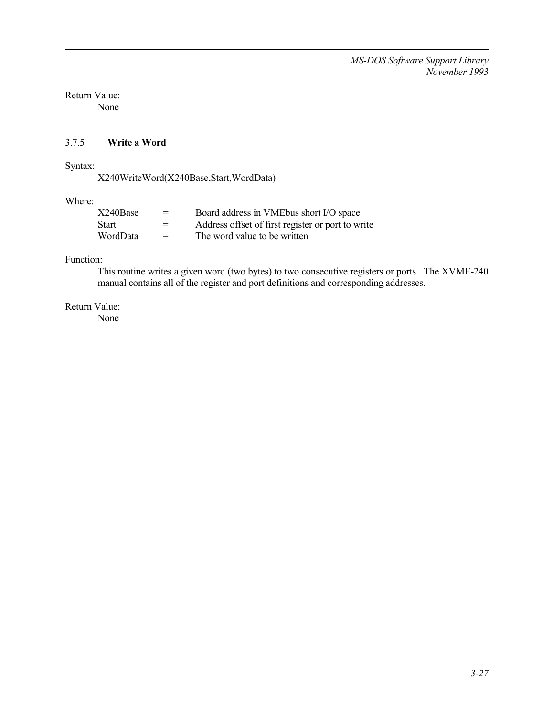Return Value: None

### 3.7.5 **Write a Word**

Syntax:

X240WriteWord(X240Base,Start,WordData)

# Where:

| X240Base     | $=$ | Board address in VMEbus short I/O space           |
|--------------|-----|---------------------------------------------------|
| <b>Start</b> | $=$ | Address offset of first register or port to write |
| WordData     | $=$ | The word value to be written                      |

# Function:

This routine writes a given word (two bytes) to two consecutive registers or ports. The XVME-240 manual contains all of the register and port definitions and corresponding addresses.

# Return Value: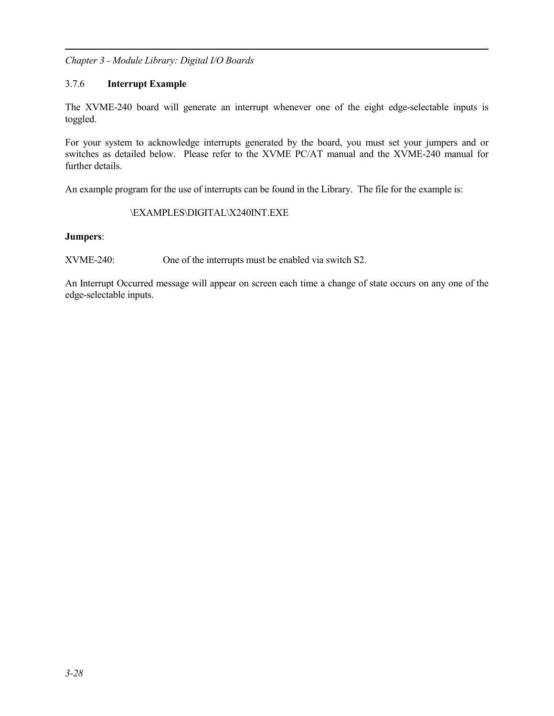# 3.7.6 **Interrupt Example**

The XVME-240 board will generate an interrupt whenever one of the eight edge-selectable inputs is toggled.

For your system to acknowledge interrupts generated by the board, you must set your jumpers and or switches as detailed below. Please refer to the XVME PC/AT manual and the XVME-240 manual for further details.

An example program for the use of interrupts can be found in the Library. The file for the example is:

# \EXAMPLES\DIGITAL\X240INT.EXE

# **Jumpers**:

XVME-240: One of the interrupts must be enabled via switch S2.

An Interrupt Occurred message will appear on screen each time a change of state occurs on any one of the edge-selectable inputs.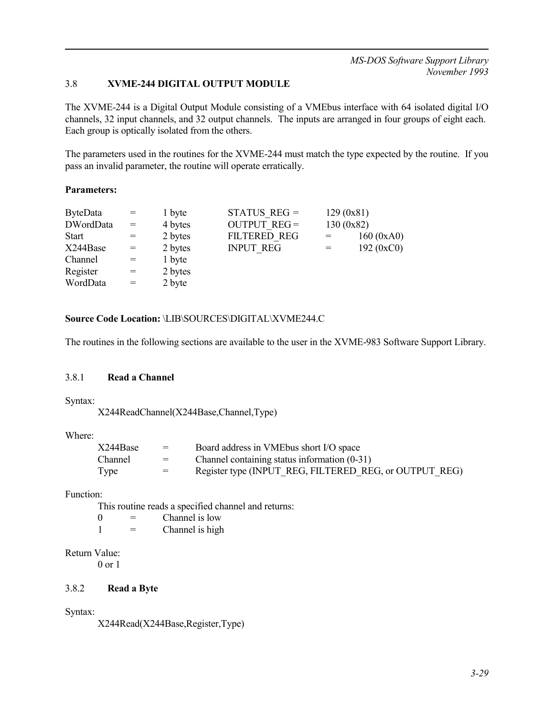# 3.8 **XVME-244 DIGITAL OUTPUT MODULE**

The XVME-244 is a Digital Output Module consisting of a VMEbus interface with 64 isolated digital I/O channels, 32 input channels, and 32 output channels. The inputs are arranged in four groups of eight each. Each group is optically isolated from the others.

The parameters used in the routines for the XVME-244 must match the type expected by the routine. If you pass an invalid parameter, the routine will operate erratically.

### **Parameters:**

| STATUS REG $=$<br>129(0x81)       |
|-----------------------------------|
| <b>OUTPUT REG=</b><br>130(0x82)   |
| FILTERED REG<br>160 (0xA0)<br>$=$ |
| 192 (0xC0)<br>$=$                 |
|                                   |
|                                   |
|                                   |
|                                   |

## **Source Code Location:** \LIB\SOURCES\DIGITAL\XVME244.C

The routines in the following sections are available to the user in the XVME-983 Software Support Library.

## 3.8.1 **Read a Channel**

#### Syntax:

X244ReadChannel(X244Base,Channel,Type)

## Where:

| X244Base | $=$ | Board address in VME bus short I/O space               |
|----------|-----|--------------------------------------------------------|
| Channel  | $=$ | Channel containing status information $(0-31)$         |
| Type     | $=$ | Register type (INPUT REG, FILTERED REG, or OUTPUT REG) |

# Function:

This routine reads a specified channel and returns:

 $0 =$  Channel is low

 $1 =$  Channel is high

# Return Value:

0 or 1

## 3.8.2 **Read a Byte**

## Syntax:

X244Read(X244Base,Register,Type)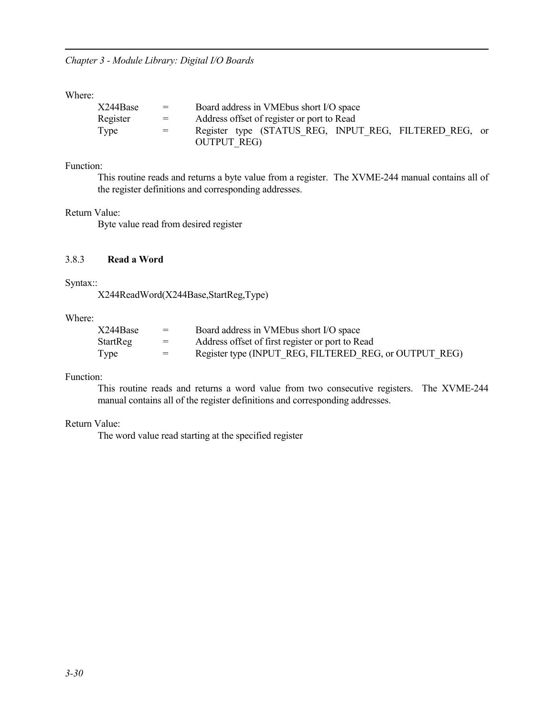Where:

| X244Base | $=$ | Board address in VME bus short I/O space                                     |
|----------|-----|------------------------------------------------------------------------------|
| Register | $=$ | Address offset of register or port to Read                                   |
| Type     | $=$ | Register type (STATUS REG, INPUT REG, FILTERED REG, or<br><b>OUTPUT REG)</b> |

## Function:

This routine reads and returns a byte value from a register. The XVME-244 manual contains all of the register definitions and corresponding addresses.

### Return Value:

Byte value read from desired register

# 3.8.3 **Read a Word**

### Syntax::

X244ReadWord(X244Base,StartReg,Type)

### Where:

| X244Base        | $=$ | Board address in VME bus short I/O space               |
|-----------------|-----|--------------------------------------------------------|
| <b>StartReg</b> | $=$ | Address offset of first register or port to Read       |
| Type            | $=$ | Register type (INPUT REG, FILTERED REG, or OUTPUT REG) |

### Function:

This routine reads and returns a word value from two consecutive registers. The XVME-244 manual contains all of the register definitions and corresponding addresses.

# Return Value:

The word value read starting at the specified register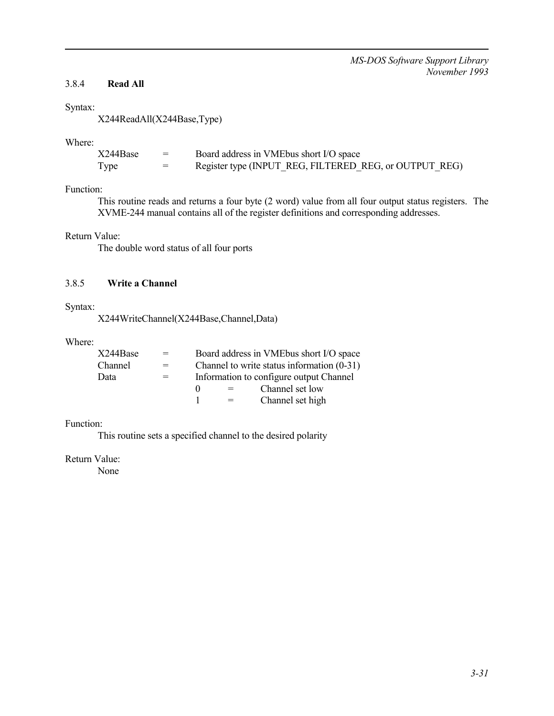## 3.8.4 **Read All**

#### Syntax:

X244ReadAll(X244Base,Type)

## Where:

| X244Base | $=$ | Board address in VME bus short I/O space               |
|----------|-----|--------------------------------------------------------|
| Type     | $=$ | Register type (INPUT REG, FILTERED REG, or OUTPUT REG) |

# Function:

This routine reads and returns a four byte (2 word) value from all four output status registers. The XVME-244 manual contains all of the register definitions and corresponding addresses.

## Return Value:

The double word status of all four ports

# 3.8.5 **Write a Channel**

### Syntax:

X244WriteChannel(X244Base,Channel,Data)

#### Where:

| X244Base | $=$ |                   |         | Board address in VME bus short I/O space     |
|----------|-----|-------------------|---------|----------------------------------------------|
| Channel  | $=$ |                   |         | Channel to write status information $(0-31)$ |
| Data     |     |                   |         | Information to configure output Channel      |
|          |     | $\mathbf{\Omega}$ | $=$ $-$ | Channel set low                              |
|          |     |                   |         | Channel set high                             |

# Function:

This routine sets a specified channel to the desired polarity

# Return Value: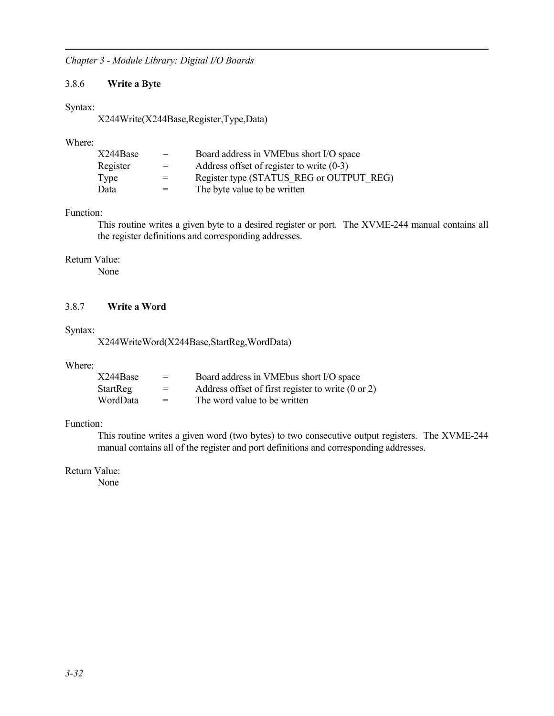## 3.8.6 **Write a Byte**

### Syntax:

X244Write(X244Base,Register,Type,Data)

## Where:

| X244Base | $=$ | Board address in VMEbus short I/O space     |
|----------|-----|---------------------------------------------|
| Register | $=$ | Address offset of register to write $(0-3)$ |
| Type     | $=$ | Register type (STATUS REG or OUTPUT REG)    |
| Data     | $=$ | The byte value to be written                |

## Function:

This routine writes a given byte to a desired register or port. The XVME-244 manual contains all the register definitions and corresponding addresses.

# Return Value:

None

# 3.8.7 **Write a Word**

### Syntax:

X244WriteWord(X244Base,StartReg,WordData)

## Where:

| X244Base | $=$ | Board address in VMEbus short I/O space            |
|----------|-----|----------------------------------------------------|
| StartReg | $=$ | Address offset of first register to write (0 or 2) |
| WordData | $=$ | The word value to be written                       |

# Function:

This routine writes a given word (two bytes) to two consecutive output registers. The XVME-244 manual contains all of the register and port definitions and corresponding addresses.

Return Value: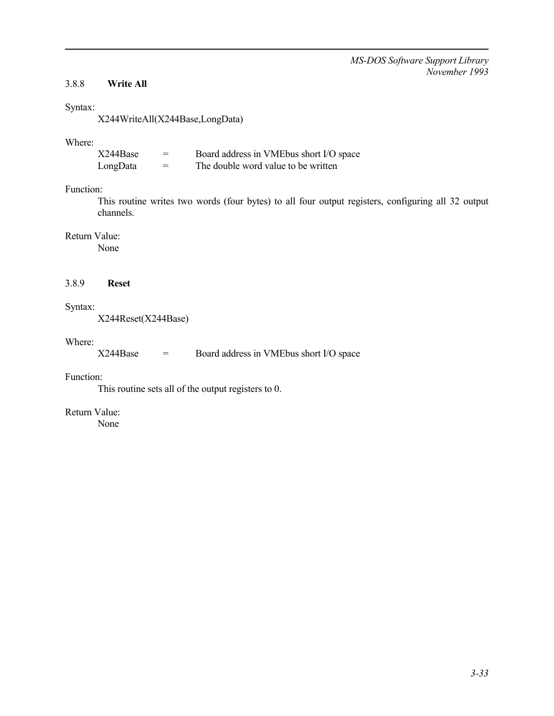## 3.8.8 **Write All**

## Syntax:

X244WriteAll(X244Base,LongData)

## Where:

| X244Base | $=$ | Board address in VME bus short I/O space |
|----------|-----|------------------------------------------|
| LongData | $=$ | The double word value to be written      |

## Function:

This routine writes two words (four bytes) to all four output registers, configuring all 32 output channels.

# Return Value:

None

# 3.8.9 **Reset**

### Syntax:

X244Reset(X244Base)

## Where:

X244Base = Board address in VMEbus short I/O space

## Function:

This routine sets all of the output registers to 0.

# Return Value: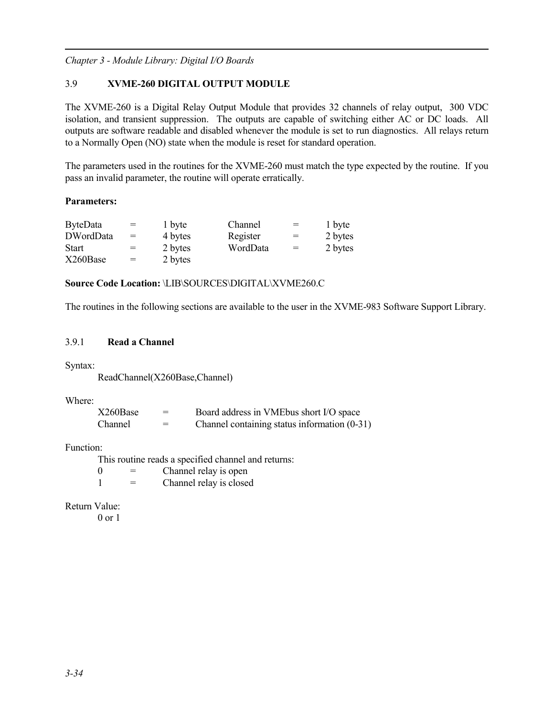# 3.9 **XVME-260 DIGITAL OUTPUT MODULE**

The XVME-260 is a Digital Relay Output Module that provides 32 channels of relay output, 300 VDC isolation, and transient suppression. The outputs are capable of switching either AC or DC loads. All outputs are software readable and disabled whenever the module is set to run diagnostics. All relays return to a Normally Open (NO) state when the module is reset for standard operation.

The parameters used in the routines for the XVME-260 must match the type expected by the routine. If you pass an invalid parameter, the routine will operate erratically.

# **Parameters:**

| <b>ByteData</b> | $=$ | 1 byte  | Channel  | $=$ | 1 byte  |
|-----------------|-----|---------|----------|-----|---------|
| DWordData       | $=$ | 4 bytes | Register | $=$ | 2 bytes |
| <b>Start</b>    | $=$ | 2 bytes | WordData | $=$ | 2 bytes |
| X260Base        | $=$ | 2 bytes |          |     |         |

**Source Code Location:** \LIB\SOURCES\DIGITAL\XVME260.C

The routines in the following sections are available to the user in the XVME-983 Software Support Library.

# 3.9.1 **Read a Channel**

Syntax:

ReadChannel(X260Base,Channel)

Where:

| X260Base | =   | Board address in VME bus short I/O space     |
|----------|-----|----------------------------------------------|
| Channel  | $=$ | Channel containing status information (0-31) |

# Function:

This routine reads a specified channel and returns:  $0 =$  Channel relay is open

 $1 =$  Channel relay is closed

Return Value:

0 or 1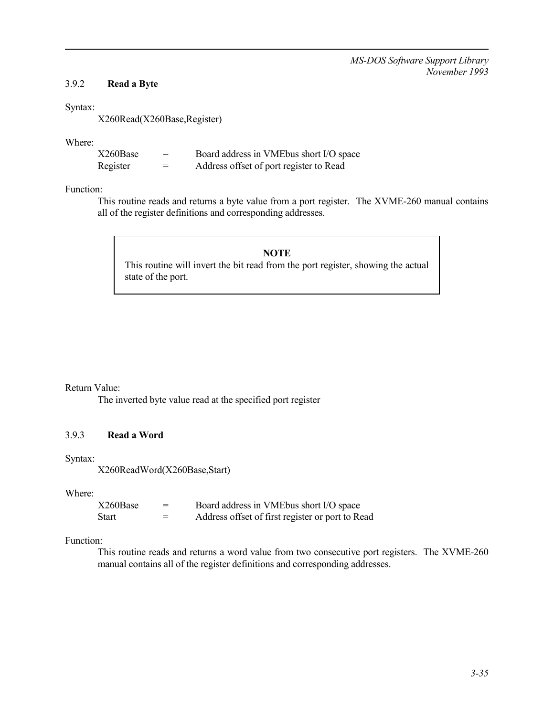## 3.9.2 **Read a Byte**

#### Syntax:

X260Read(X260Base,Register)

#### Where:

| X260Base | =   | Board address in VME bus short I/O space |
|----------|-----|------------------------------------------|
| Register | $=$ | Address offset of port register to Read  |

## Function:

This routine reads and returns a byte value from a port register. The XVME-260 manual contains all of the register definitions and corresponding addresses.

#### **NOTE**

This routine will invert the bit read from the port register, showing the actual state of the port.

### Return Value:

The inverted byte value read at the specified port register

# 3.9.3 **Read a Word**

#### Syntax:

```
X260ReadWord(X260Base,Start)
```
### Where:

| X260Base | Board address in VME bus short I/O space         |
|----------|--------------------------------------------------|
| Start    | Address offset of first register or port to Read |

#### Function:

This routine reads and returns a word value from two consecutive port registers. The XVME-260 manual contains all of the register definitions and corresponding addresses.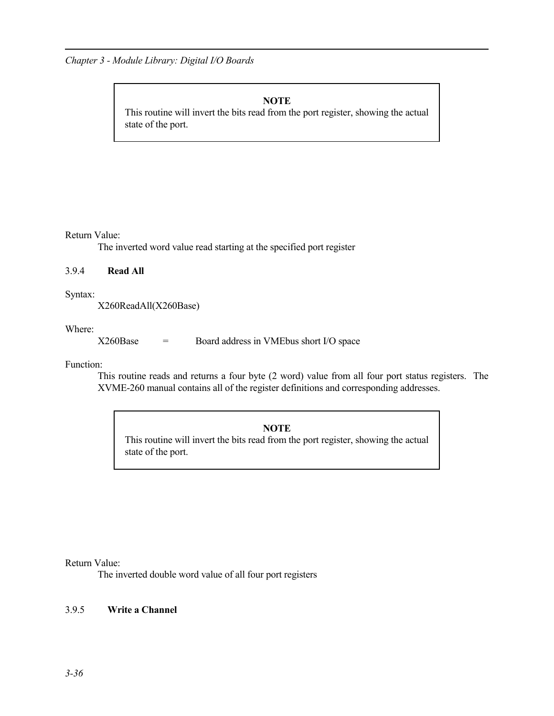### **NOTE**

This routine will invert the bits read from the port register, showing the actual state of the port.

Return Value:

The inverted word value read starting at the specified port register

#### 3.9.4 **Read All**

Syntax:

X260ReadAll(X260Base)

Where:

X260Base = Board address in VMEbus short I/O space

Function:

This routine reads and returns a four byte (2 word) value from all four port status registers. The XVME-260 manual contains all of the register definitions and corresponding addresses.

# **NOTE**

This routine will invert the bits read from the port register, showing the actual state of the port.

Return Value:

The inverted double word value of all four port registers

## 3.9.5 **Write a Channel**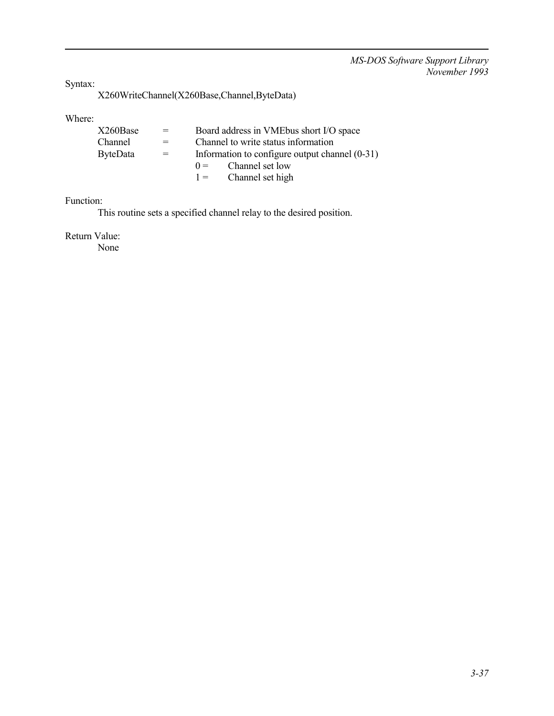Syntax:

X260WriteChannel(X260Base,Channel,ByteData)

Where:

| X260Base        | $=$ | Board address in VME bus short I/O space         |  |
|-----------------|-----|--------------------------------------------------|--|
| Channel         | $=$ | Channel to write status information              |  |
| <b>ByteData</b> | $=$ | Information to configure output channel $(0-31)$ |  |
|                 |     | Channel set low<br>$() =$                        |  |
|                 |     | Channel set high<br>$1 =$                        |  |

Function:

This routine sets a specified channel relay to the desired position.

Return Value: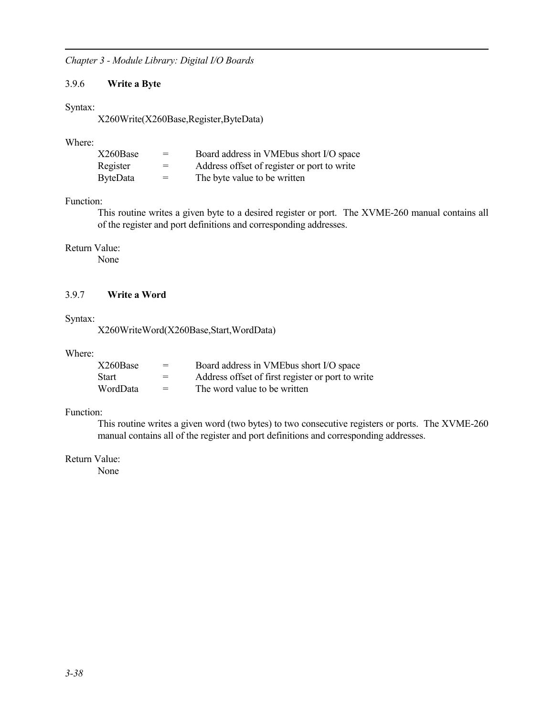# 3.9.6 **Write a Byte**

## Syntax:

X260Write(X260Base,Register,ByteData)

## Where:

| X260Base | $=$ | Board address in VME bus short I/O space    |
|----------|-----|---------------------------------------------|
| Register | $=$ | Address offset of register or port to write |
| ByteData | $=$ | The byte value to be written                |

# Function:

This routine writes a given byte to a desired register or port. The XVME-260 manual contains all of the register and port definitions and corresponding addresses.

### Return Value:

None

# 3.9.7 **Write a Word**

## Syntax:

X260WriteWord(X260Base,Start,WordData)

# Where:

| X260Base | $=$ | Board address in VME bus short I/O space          |
|----------|-----|---------------------------------------------------|
| Start    |     | Address offset of first register or port to write |
| WordData | $=$ | The word value to be written                      |

# Function:

This routine writes a given word (two bytes) to two consecutive registers or ports. The XVME-260 manual contains all of the register and port definitions and corresponding addresses.

## Return Value: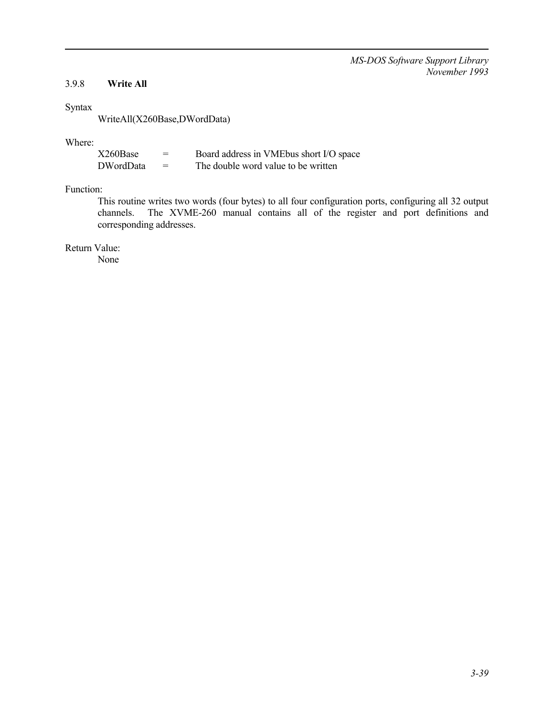# 3.9.8 **Write All**

### Syntax

WriteAll(X260Base,DWordData)

### Where:

| X260Base  | $=$ | Board address in VME bus short I/O space |
|-----------|-----|------------------------------------------|
| DWordData | $=$ | The double word value to be written      |

# Function:

This routine writes two words (four bytes) to all four configuration ports, configuring all 32 output channels. The XVME-260 manual contains all of the register and port definitions and corresponding addresses.

Return Value: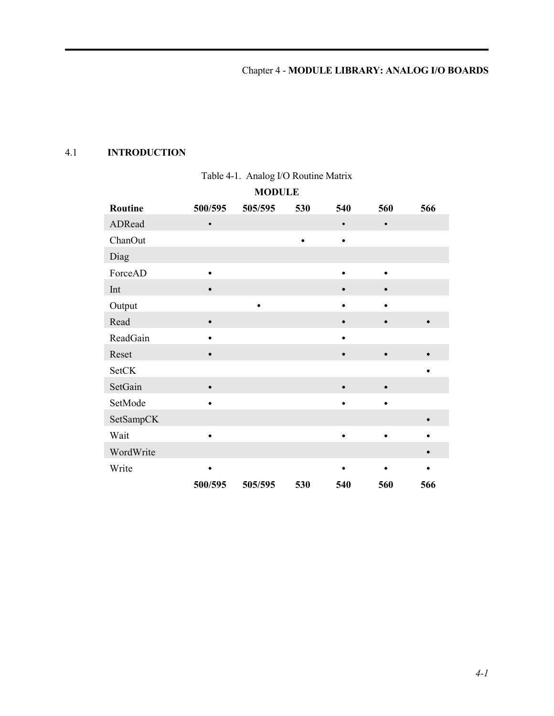# 4.1 **INTRODUCTION**

| MODULE       |           |           |     |           |           |           |
|--------------|-----------|-----------|-----|-----------|-----------|-----------|
| Routine      | 500/595   | 505/595   | 530 | 540       | 560       | 566       |
| ADRead       | $\bullet$ |           |     | $\bullet$ | $\bullet$ |           |
| ChanOut      |           |           |     |           |           |           |
| Diag         |           |           |     |           |           |           |
| ForceAD      | $\bullet$ |           |     |           | $\bullet$ |           |
| Int          | $\bullet$ |           |     |           | $\bullet$ |           |
| Output       |           | $\bullet$ |     |           | ٠         |           |
| Read         | $\bullet$ |           |     | $\bullet$ | $\bullet$ | $\bullet$ |
| ReadGain     | $\bullet$ |           |     |           |           |           |
| Reset        | $\bullet$ |           |     |           | $\bullet$ |           |
| <b>SetCK</b> |           |           |     |           |           |           |
| SetGain      | $\bullet$ |           |     | $\bullet$ | $\bullet$ |           |
| SetMode      | $\bullet$ |           |     |           | $\bullet$ |           |
| SetSampCK    |           |           |     |           |           |           |
| Wait         | $\bullet$ |           |     |           |           |           |
| WordWrite    |           |           |     |           |           |           |
| Write        |           |           |     |           |           |           |
|              | 500/595   | 505/595   | 530 | 540       | 560       | 566       |

# Table 4-1. Analog I/O Routine Matrix **MODULE**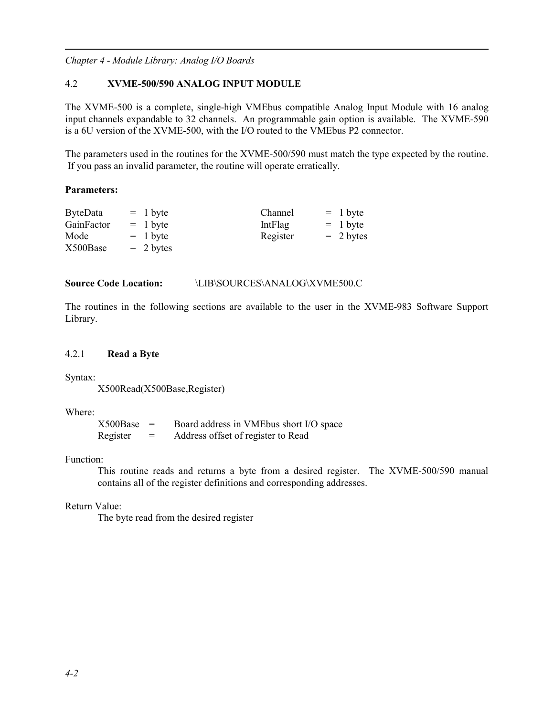# 4.2 **XVME-500/590 ANALOG INPUT MODULE**

The XVME-500 is a complete, single-high VMEbus compatible Analog Input Module with 16 analog input channels expandable to 32 channels. An programmable gain option is available. The XVME-590 is a 6U version of the XVME-500, with the I/O routed to the VMEbus P2 connector.

The parameters used in the routines for the XVME-500/590 must match the type expected by the routine. If you pass an invalid parameter, the routine will operate erratically.

# **Parameters:**

| <b>ByteData</b> | $= 1$ byte  | Channel  | $= 1$ byte  |
|-----------------|-------------|----------|-------------|
| GainFactor      | $= 1$ byte  | IntFlag  | $= 1$ byte  |
| Mode            | $= 1$ byte  | Register | $= 2 bytes$ |
| X500Base        | $= 2 bytes$ |          |             |

# **Source Code Location:** \LIB\SOURCES\ANALOG\XVME500.C

The routines in the following sections are available to the user in the XVME-983 Software Support Library.

# 4.2.1 **Read a Byte**

Syntax:

X500Read(X500Base,Register)

Where:

| X500Base | $=$ | Board address in VMEbus short I/O space |
|----------|-----|-----------------------------------------|
| Register | $=$ | Address offset of register to Read      |

### Function:

This routine reads and returns a byte from a desired register. The XVME-500/590 manual contains all of the register definitions and corresponding addresses.

# Return Value:

The byte read from the desired register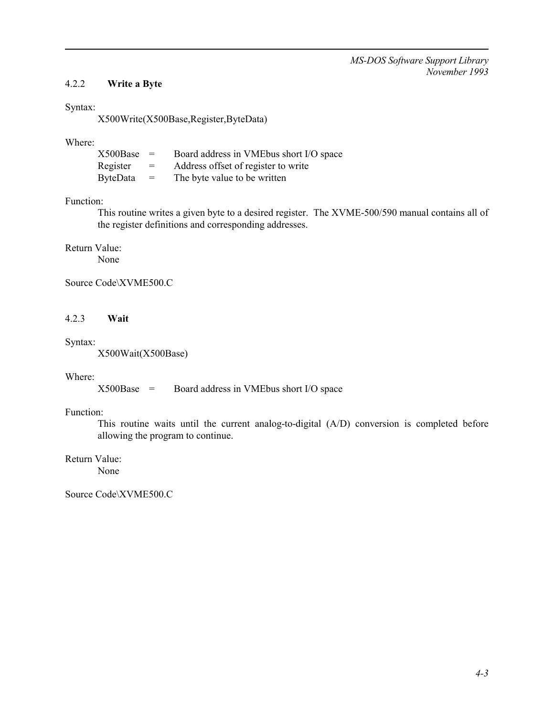# 4.2.2 **Write a Byte**

#### Syntax:

X500Write(X500Base,Register,ByteData)

### Where:

| X500Base        | $=$ | Board address in VMEbus short I/O space |
|-----------------|-----|-----------------------------------------|
| Register        | $=$ | Address offset of register to write     |
| <b>ByteData</b> | $=$ | The byte value to be written            |

# Function:

This routine writes a given byte to a desired register. The XVME-500/590 manual contains all of the register definitions and corresponding addresses.

#### Return Value:

None

### Source Code\XVME500.C

# 4.2.3 **Wait**

#### Syntax:

X500Wait(X500Base)

### Where:

X500Base = Board address in VMEbus short I/O space

# Function:

This routine waits until the current analog-to-digital (A/D) conversion is completed before allowing the program to continue.

# Return Value:

None

Source Code\XVME500.C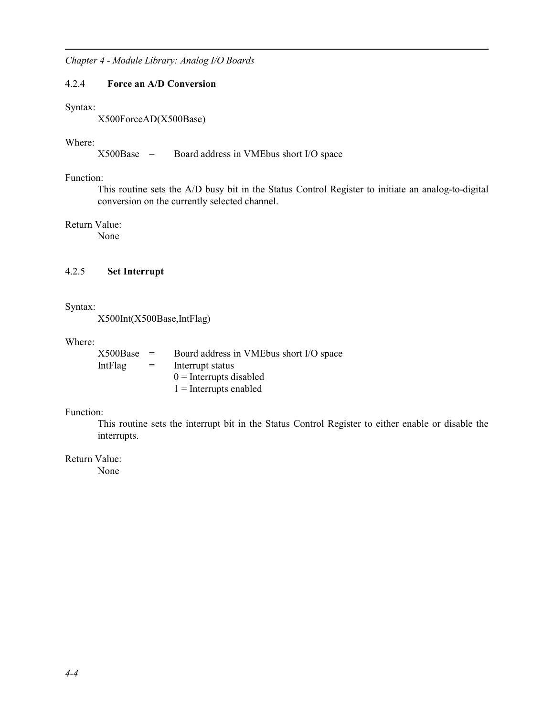# 4.2.4 **Force an A/D Conversion**

### Syntax:

X500ForceAD(X500Base)

# Where:

X500Base = Board address in VMEbus short I/O space

### Function:

This routine sets the A/D busy bit in the Status Control Register to initiate an analog-to-digital conversion on the currently selected channel.

# Return Value:

None

# 4.2.5 **Set Interrupt**

Syntax:

X500Int(X500Base,IntFlag)

### Where:

| X500Base | $=$ | Board address in VMEbus short I/O space |
|----------|-----|-----------------------------------------|
| IntFlag  | $=$ | Interrupt status                        |
|          |     | $0 =$ Interrupts disabled               |
|          |     | $1 =$ Interrupts enabled                |

# Function:

This routine sets the interrupt bit in the Status Control Register to either enable or disable the interrupts.

# Return Value: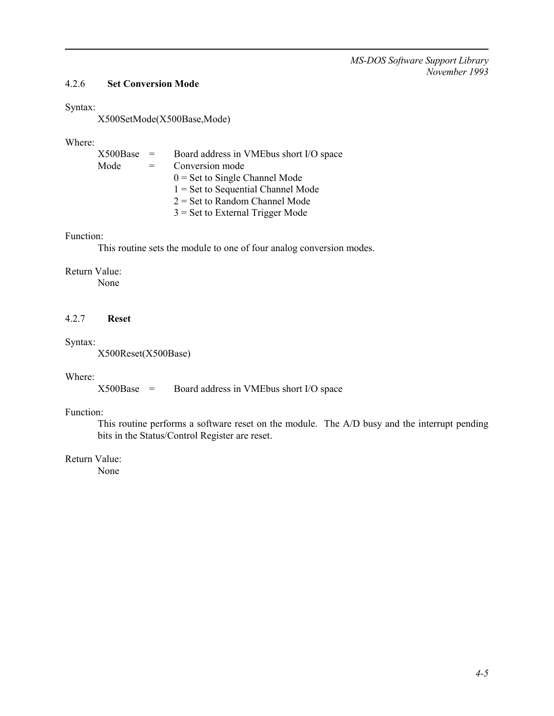### 4.2.6 **Set Conversion Mode**

#### Syntax:

X500SetMode(X500Base,Mode)

# Where:

| X500Base | $=$ | Board address in VMEbus short I/O space |
|----------|-----|-----------------------------------------|
| Mode     | $=$ | Conversion mode                         |
|          |     | $0 = Set$ to Single Channel Mode        |
|          |     | $1 = Set$ to Sequential Channel Mode    |
|          |     | $2 = Set$ to Random Channel Mode        |
|          |     | $3 = Set$ to External Trigger Mode      |
|          |     |                                         |

# Function:

This routine sets the module to one of four analog conversion modes.

# Return Value:

None

# 4.2.7 **Reset**

#### Syntax:

X500Reset(X500Base)

#### Where:

X500Base = Board address in VMEbus short I/O space

# Function:

This routine performs a software reset on the module. The A/D busy and the interrupt pending bits in the Status/Control Register are reset.

# Return Value: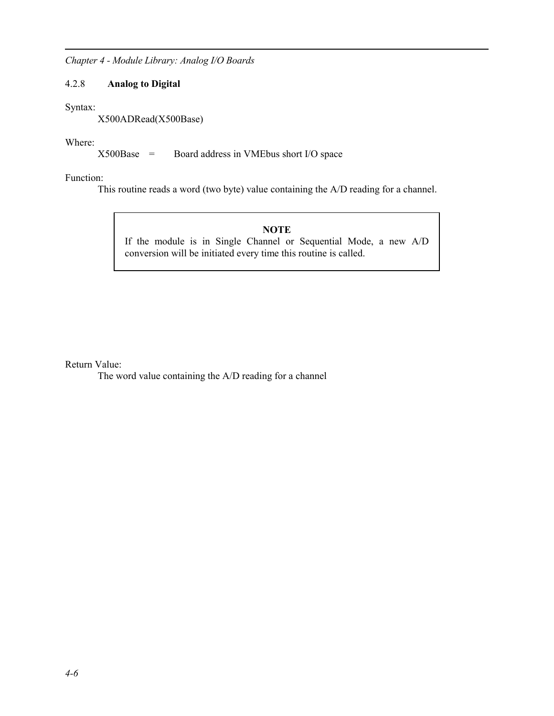# 4.2.8 **Analog to Digital**

Syntax:

X500ADRead(X500Base)

Where:

X500Base = Board address in VMEbus short I/O space

Function:

This routine reads a word (two byte) value containing the A/D reading for a channel.

# **NOTE**

If the module is in Single Channel or Sequential Mode, a new A/D conversion will be initiated every time this routine is called.

Return Value:

The word value containing the A/D reading for a channel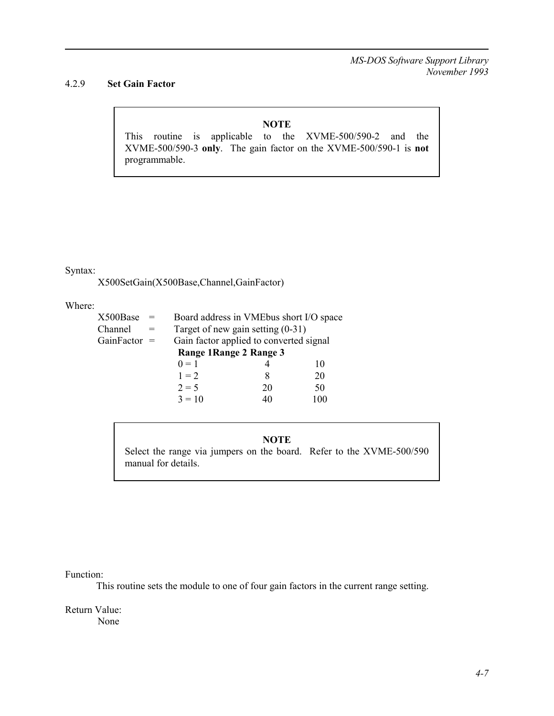# 4.2.9 **Set Gain Factor**

# **NOTE**

This routine is applicable to the XVME-500/590-2 and the XVME-500/590-3 **only**. The gain factor on the XVME-500/590-1 is **not** programmable.

#### Syntax:

X500SetGain(X500Base,Channel,GainFactor)

# Where:

| X500Base<br>$=$                                           |          | Board address in VMEbus short I/O space |     |  |  |
|-----------------------------------------------------------|----------|-----------------------------------------|-----|--|--|
| Channel                                                   |          | Target of new gain setting $(0-31)$     |     |  |  |
| Gain factor applied to converted signal<br>GainFactor $=$ |          |                                         |     |  |  |
|                                                           |          | Range 1 Range 2 Range 3                 |     |  |  |
|                                                           | $0 = 1$  |                                         | 10  |  |  |
|                                                           | $1 = 2$  | 8                                       | 20  |  |  |
|                                                           | $2 = 5$  | 20                                      | 50  |  |  |
|                                                           | $3 = 10$ | 40                                      | 100 |  |  |

#### **NOTE**

Select the range via jumpers on the board. Refer to the XVME-500/590 manual for details.

Function:

This routine sets the module to one of four gain factors in the current range setting.

Return Value: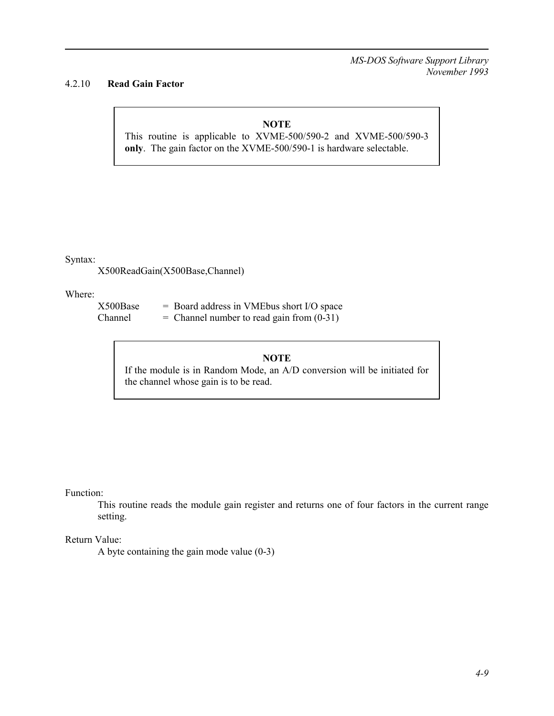# 4.2.10 **Read Gain Factor**

# **NOTE**

This routine is applicable to XVME-500/590-2 and XVME-500/590-3 **only**. The gain factor on the XVME-500/590-1 is hardware selectable.

Syntax:

X500ReadGain(X500Base,Channel)

Where:

| X500Base | $=$ Board address in VME bus short I/O space  |
|----------|-----------------------------------------------|
| Channel  | $=$ Channel number to read gain from $(0-31)$ |

#### **NOTE**

If the module is in Random Mode, an A/D conversion will be initiated for the channel whose gain is to be read.

Function:

This routine reads the module gain register and returns one of four factors in the current range setting.

# Return Value:

A byte containing the gain mode value (0-3)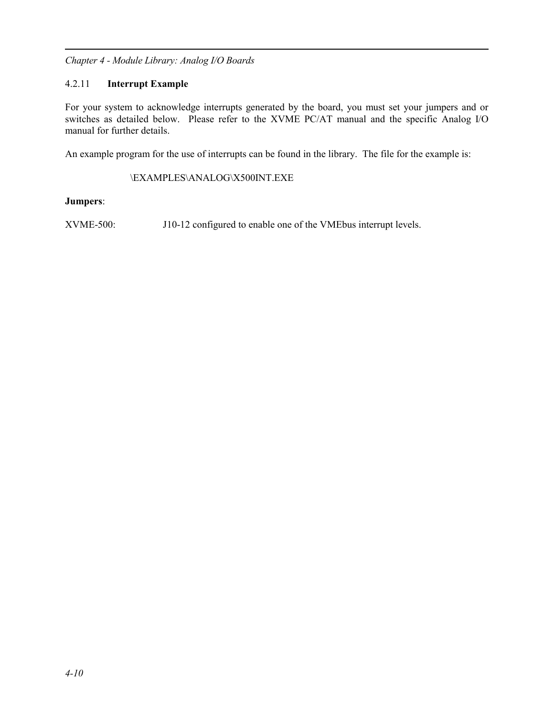# 4.2.11 **Interrupt Example**

For your system to acknowledge interrupts generated by the board, you must set your jumpers and or switches as detailed below. Please refer to the XVME PC/AT manual and the specific Analog I/O manual for further details.

An example program for the use of interrupts can be found in the library. The file for the example is:

# \EXAMPLES\ANALOG\X500INT.EXE

# **Jumpers**:

XVME-500: J10-12 configured to enable one of the VMEbus interrupt levels.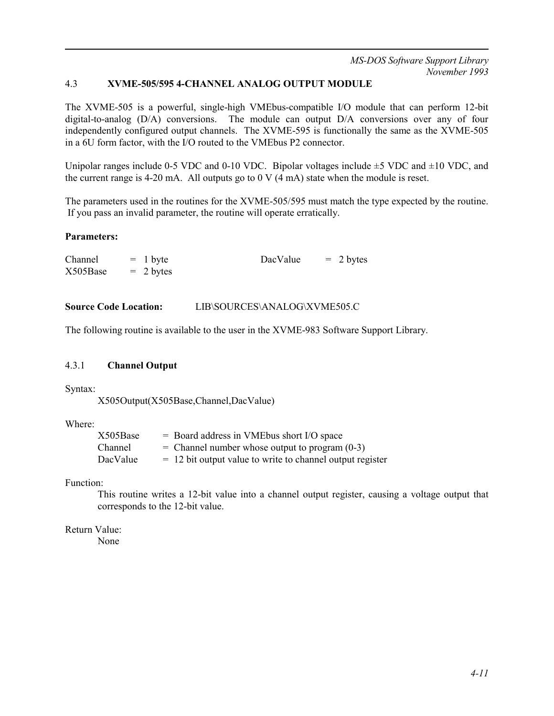# 4.3 **XVME-505/595 4-CHANNEL ANALOG OUTPUT MODULE**

The XVME-505 is a powerful, single-high VMEbus-compatible I/O module that can perform 12-bit digital-to-analog (D/A) conversions. The module can output D/A conversions over any of four independently configured output channels. The XVME-595 is functionally the same as the XVME-505 in a 6U form factor, with the I/O routed to the VMEbus P2 connector.

Unipolar ranges include 0-5 VDC and 0-10 VDC. Bipolar voltages include  $\pm$ 5 VDC and  $\pm$ 10 VDC, and the current range is 4-20 mA. All outputs go to  $0 \text{ V}$  (4 mA) state when the module is reset.

The parameters used in the routines for the XVME-505/595 must match the type expected by the routine. If you pass an invalid parameter, the routine will operate erratically.

### **Parameters:**

| Channel  | $= 1$ byte          | DacValue | $= 2$ bytes |
|----------|---------------------|----------|-------------|
| X505Base | $= 2 \text{ bytes}$ |          |             |
|          |                     |          |             |

### **Source Code Location:** LIB\SOURCES\ANALOG\XVME505.C

The following routine is available to the user in the XVME-983 Software Support Library.

### 4.3.1 **Channel Output**

#### Syntax:

X505Output(X505Base,Channel,DacValue)

### Where:

| X505Base       | $=$ Board address in VME bus short I/O space                |
|----------------|-------------------------------------------------------------|
| <b>Channel</b> | $=$ Channel number whose output to program $(0-3)$          |
| DacValue       | $= 12$ bit output value to write to channel output register |

### Function:

This routine writes a 12-bit value into a channel output register, causing a voltage output that corresponds to the 12-bit value.

# Return Value: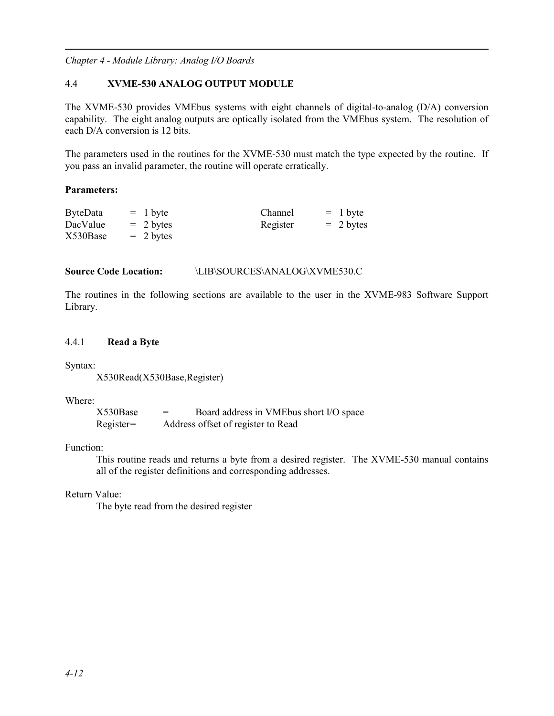# 4.4 **XVME-530 ANALOG OUTPUT MODULE**

The XVME-530 provides VMEbus systems with eight channels of digital-to-analog (D/A) conversion capability. The eight analog outputs are optically isolated from the VMEbus system. The resolution of each D/A conversion is 12 bits.

The parameters used in the routines for the XVME-530 must match the type expected by the routine. If you pass an invalid parameter, the routine will operate erratically.

# **Parameters:**

| <b>ByteData</b> | $= 1$ byte          | Channel  | $= 1$ byte  |
|-----------------|---------------------|----------|-------------|
| DacValue        | $= 2$ bytes         | Register | $= 2 bytes$ |
| X530Base        | $= 2 \text{ bytes}$ |          |             |

# **Source Code Location:** \LIB\SOURCES\ANALOG\XVME530.C

The routines in the following sections are available to the user in the XVME-983 Software Support Library.

# 4.4.1 **Read a Byte**

Syntax:

X530Read(X530Base,Register)

Where:

X530Base = Board address in VMEbus short I/O space Register= Address offset of register to Read

# Function:

This routine reads and returns a byte from a desired register. The XVME-530 manual contains all of the register definitions and corresponding addresses.

# Return Value:

The byte read from the desired register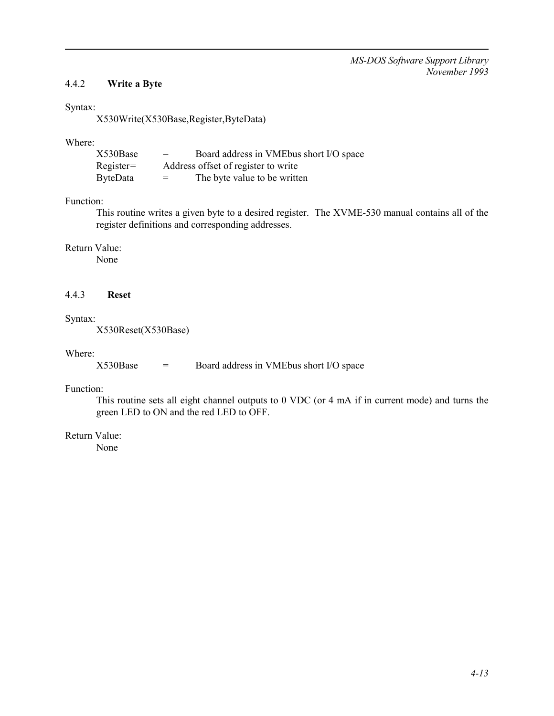# 4.4.2 **Write a Byte**

#### Syntax:

X530Write(X530Base,Register,ByteData)

# Where:

| X530Base        | Board address in VME bus short I/O space<br>$=$ |
|-----------------|-------------------------------------------------|
| $Register=$     | Address offset of register to write             |
| <b>ByteData</b> | The byte value to be written<br>$=$             |

# Function:

This routine writes a given byte to a desired register. The XVME-530 manual contains all of the register definitions and corresponding addresses.

#### Return Value:

None

# 4.4.3 **Reset**

# Syntax:

X530Reset(X530Base)

# Where:

X530Base = Board address in VMEbus short I/O space

# Function:

This routine sets all eight channel outputs to 0 VDC (or 4 mA if in current mode) and turns the green LED to ON and the red LED to OFF.

# Return Value: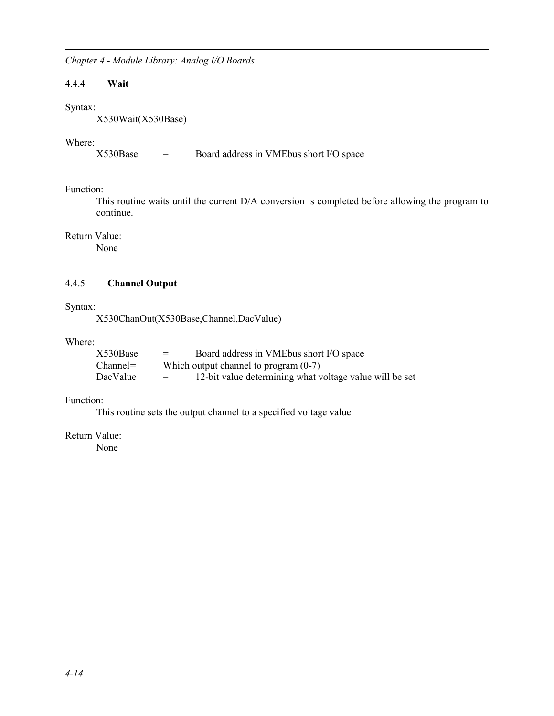# 4.4.4 **Wait**

# Syntax:

X530Wait(X530Base)

# Where:

X530Base = Board address in VMEbus short I/O space

# Function:

This routine waits until the current D/A conversion is completed before allowing the program to continue.

# Return Value:

None

# 4.4.5 **Channel Output**

### Syntax:

X530ChanOut(X530Base,Channel,DacValue)

# Where:

| X530Base | Board address in VME bus short I/O space<br>$=$                    |
|----------|--------------------------------------------------------------------|
| Channel= | Which output channel to program $(0-7)$                            |
| DacValue | 12-bit value determining what voltage value will be set<br>$=$ $-$ |

#### Function:

This routine sets the output channel to a specified voltage value

# Return Value: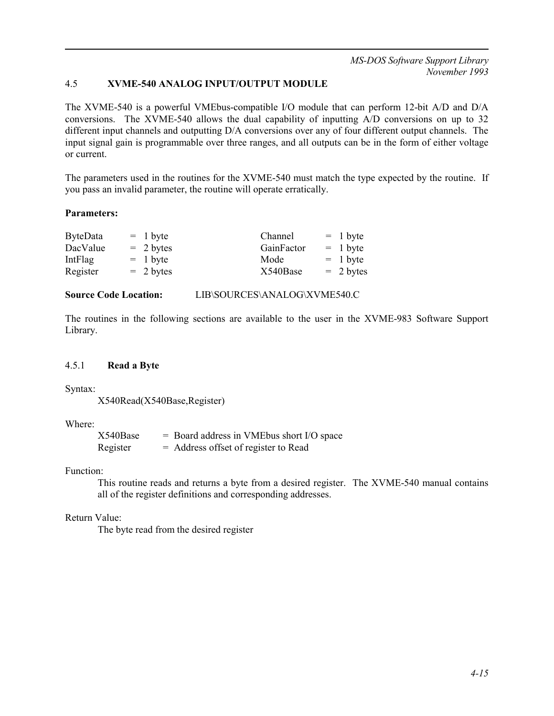# 4.5 **XVME-540 ANALOG INPUT/OUTPUT MODULE**

The XVME-540 is a powerful VMEbus-compatible I/O module that can perform 12-bit A/D and D/A conversions. The XVME-540 allows the dual capability of inputting A/D conversions on up to 32 different input channels and outputting D/A conversions over any of four different output channels. The input signal gain is programmable over three ranges, and all outputs can be in the form of either voltage or current.

The parameters used in the routines for the XVME-540 must match the type expected by the routine. If you pass an invalid parameter, the routine will operate erratically.

# **Parameters:**

| <b>ByteData</b> | $= 1$ byte  | Channel    | $= 1$ byte  |
|-----------------|-------------|------------|-------------|
| DacValue        | $= 2$ bytes | GainFactor | $= 1$ byte  |
| IntFlag         | $= 1$ byte  | Mode       | $= 1$ byte  |
| Register        | $= 2 bytes$ | X540Base   | $= 2 bytes$ |

# **Source Code Location:** LIB\SOURCES\ANALOG\XVME540.C

The routines in the following sections are available to the user in the XVME-983 Software Support Library.

### 4.5.1 **Read a Byte**

Syntax:

```
X540Read(X540Base,Register)
```
### Where:

| X540Base | $=$ Board address in VME bus short I/O space |
|----------|----------------------------------------------|
| Register | $=$ Address offset of register to Read       |

### Function:

This routine reads and returns a byte from a desired register. The XVME-540 manual contains all of the register definitions and corresponding addresses.

### Return Value:

The byte read from the desired register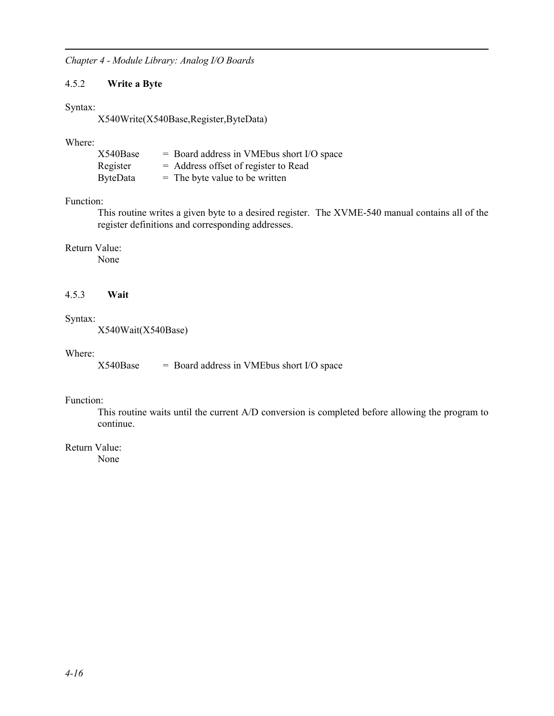# 4.5.2 **Write a Byte**

Syntax:

X540Write(X540Base,Register,ByteData)

# Where:

| X540Base        | $=$ Board address in VMEbus short I/O space |
|-----------------|---------------------------------------------|
| Register        | $=$ Address offset of register to Read      |
| <b>ByteData</b> | $=$ The byte value to be written            |

# Function:

This routine writes a given byte to a desired register. The XVME-540 manual contains all of the register definitions and corresponding addresses.

### Return Value:

None

# 4.5.3 **Wait**

# Syntax:

X540Wait(X540Base)

# Where:

 $X540Base$  = Board address in VMEbus short I/O space

### Function:

This routine waits until the current A/D conversion is completed before allowing the program to continue.

# Return Value: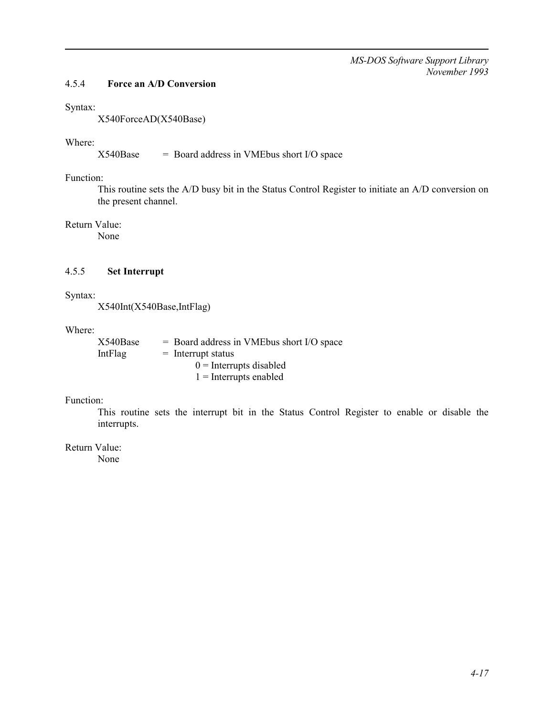### 4.5.4 **Force an A/D Conversion**

#### Syntax:

X540ForceAD(X540Base)

### Where:

 $X540Base$  = Board address in VMEbus short I/O space

### Function:

This routine sets the A/D busy bit in the Status Control Register to initiate an A/D conversion on the present channel.

# Return Value:

None

# 4.5.5 **Set Interrupt**

Syntax:

X540Int(X540Base,IntFlag)

### Where:

| X540Base | $=$ Board address in VME bus short I/O space |
|----------|----------------------------------------------|
| IntFlag  | $=$ Interrupt status                         |
|          | $0$ = Interrupts disabled                    |
|          | $1 =$ Interrupts enabled                     |

# Function:

This routine sets the interrupt bit in the Status Control Register to enable or disable the interrupts.

# Return Value: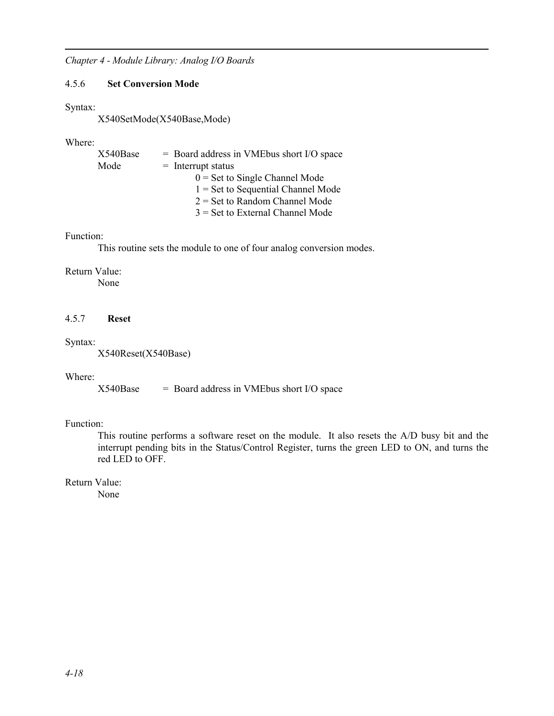# 4.5.6 **Set Conversion Mode**

### Syntax:

X540SetMode(X540Base,Mode)

# Where:

| X540Base | = Board address in VMEbus short I/O space |
|----------|-------------------------------------------|
| Mode     | $=$ Interrupt status                      |
|          | $0 = Set$ to Single Channel Mode          |
|          | $1 = Set to Sequential Channel Mode$      |
|          | $2 = Set$ to Random Channel Mode          |
|          | $3 = Set$ to External Channel Mode        |
|          |                                           |

# Function:

This routine sets the module to one of four analog conversion modes.

# Return Value:

None

# 4.5.7 **Reset**

### Syntax:

X540Reset(X540Base)

### Where:

 $X540Base$  = Board address in VMEbus short I/O space

# Function:

This routine performs a software reset on the module. It also resets the A/D busy bit and the interrupt pending bits in the Status/Control Register, turns the green LED to ON, and turns the red LED to OFF.

Return Value: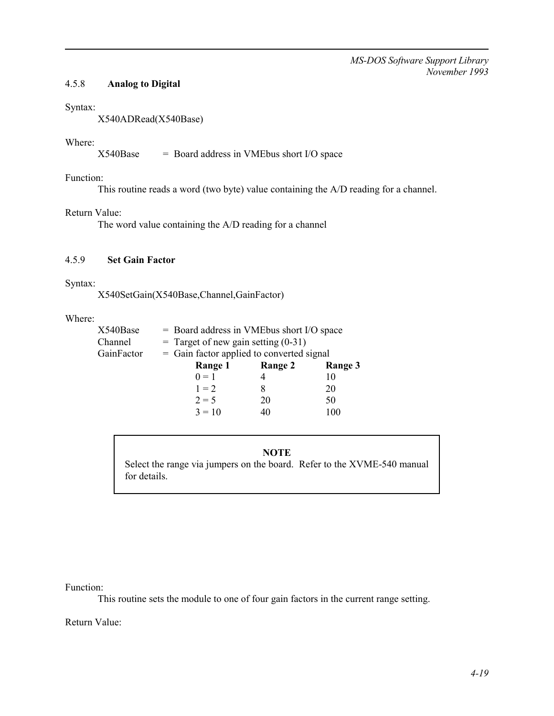# 4.5.8 **Analog to Digital**

#### Syntax:

X540ADRead(X540Base)

### Where:

 $X540Base$  = Board address in VMEbus short I/O space

#### Function:

This routine reads a word (two byte) value containing the A/D reading for a channel.

#### Return Value:

The word value containing the A/D reading for a channel

# 4.5.9 **Set Gain Factor**

#### Syntax:

X540SetGain(X540Base,Channel,GainFactor)

#### Where:

| X540Base   | $=$ Board address in VME bus short I/O space |                |         |  |
|------------|----------------------------------------------|----------------|---------|--|
| Channel    | $=$ Target of new gain setting (0-31)        |                |         |  |
| GainFactor | = Gain factor applied to converted signal    |                |         |  |
|            | Range 1                                      | <b>Range 2</b> | Range 3 |  |
|            | $0 = 1$                                      | 4              | 10      |  |
|            | $1 = 2$                                      | 8              | 20      |  |
|            | $2 = 5$                                      | 20             | 50      |  |
|            | $3 = 10$                                     | 40             | 100     |  |
|            |                                              |                |         |  |

# **NOTE**

Select the range via jumpers on the board. Refer to the XVME-540 manual for details.

Function:

This routine sets the module to one of four gain factors in the current range setting.

Return Value: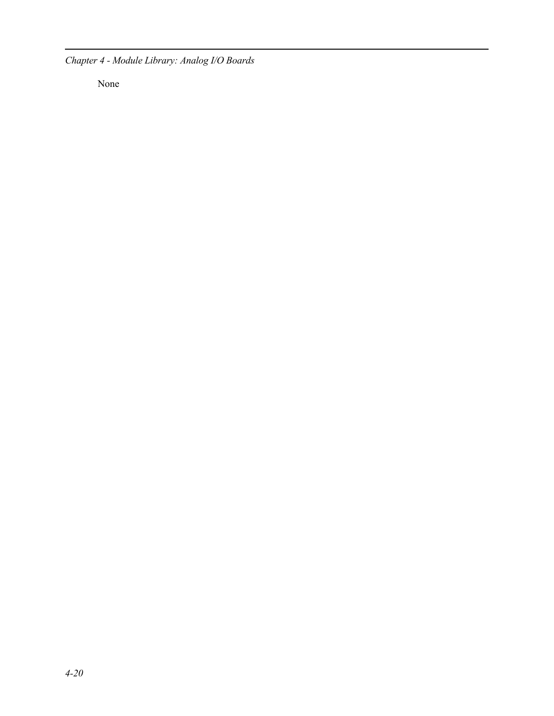*Chapter 4 - Module Library: Analog I/O Boards*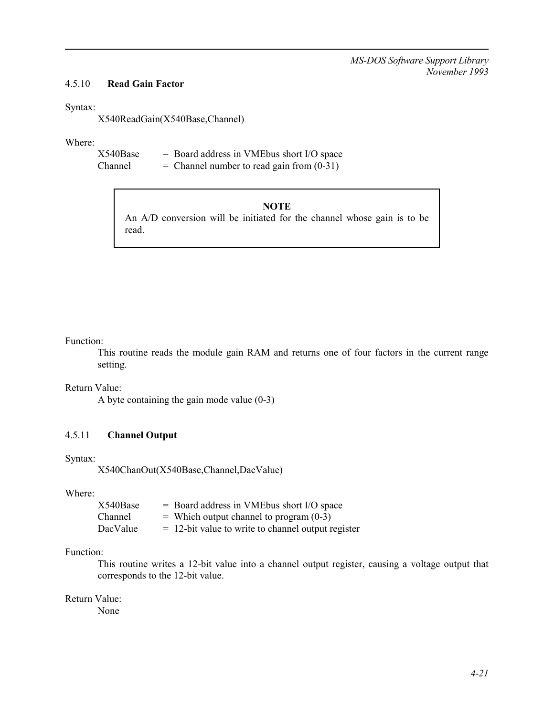# 4.5.10 **Read Gain Factor**

#### Syntax:

X540ReadGain(X540Base,Channel)

#### Where:

| X540Base | $=$ Board address in VMEbus short I/O space   |
|----------|-----------------------------------------------|
| Channel  | $=$ Channel number to read gain from $(0-31)$ |

# **NOTE**

An A/D conversion will be initiated for the channel whose gain is to be read.

#### Function:

This routine reads the module gain RAM and returns one of four factors in the current range setting.

# Return Value:

A byte containing the gain mode value (0-3)

# 4.5.11 **Channel Output**

# Syntax:

X540ChanOut(X540Base,Channel,DacValue)

#### Where:

 $X540Base$  = Board address in VMEbus short I/O space  $Channel = Which output channel to program (0-3)$ DacValue  $= 12$ -bit value to write to channel output register

# Function:

This routine writes a 12-bit value into a channel output register, causing a voltage output that corresponds to the 12-bit value.

# Return Value: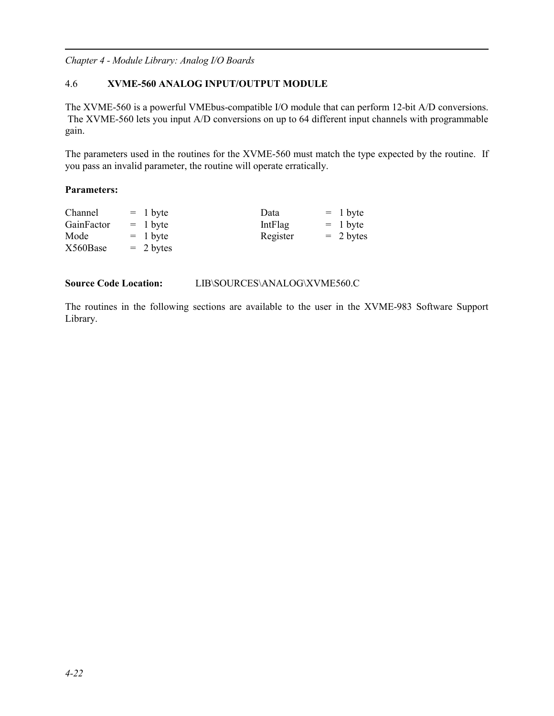# 4.6 **XVME-560 ANALOG INPUT/OUTPUT MODULE**

The XVME-560 is a powerful VMEbus-compatible I/O module that can perform 12-bit A/D conversions. The XVME-560 lets you input A/D conversions on up to 64 different input channels with programmable gain.

The parameters used in the routines for the XVME-560 must match the type expected by the routine. If you pass an invalid parameter, the routine will operate erratically.

# **Parameters:**

| Channel    | $= 1$ byte  | Data     | $= 1$ byte  |
|------------|-------------|----------|-------------|
| GainFactor | $= 1$ byte  | IntFlag  | $= 1$ byte  |
| Mode       | $= 1$ byte  | Register | $= 2 bytes$ |
| X560Base   | $= 2 bytes$ |          |             |

**Source Code Location:** LIB\SOURCES\ANALOG\XVME560.C

The routines in the following sections are available to the user in the XVME-983 Software Support Library.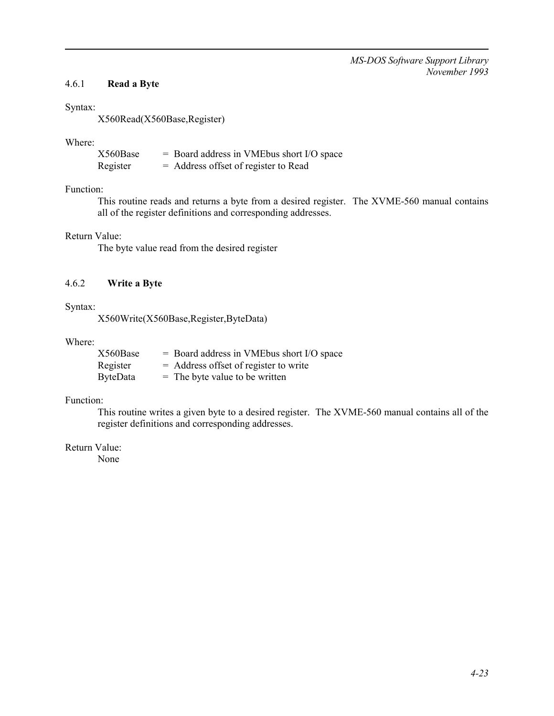# 4.6.1 **Read a Byte**

#### Syntax:

X560Read(X560Base,Register)

### Where:

| X560Base | $=$ Board address in VME bus short I/O space |
|----------|----------------------------------------------|
| Register | $=$ Address offset of register to Read       |

### Function:

This routine reads and returns a byte from a desired register. The XVME-560 manual contains all of the register definitions and corresponding addresses.

# Return Value:

The byte value read from the desired register

# 4.6.2 **Write a Byte**

### Syntax:

X560Write(X560Base,Register,ByteData)

#### Where:

| X560Base        | $=$ Board address in VMEbus short I/O space |
|-----------------|---------------------------------------------|
| Register        | $=$ Address offset of register to write     |
| <b>ByteData</b> | $=$ The byte value to be written            |

#### Function:

This routine writes a given byte to a desired register. The XVME-560 manual contains all of the register definitions and corresponding addresses.

# Return Value: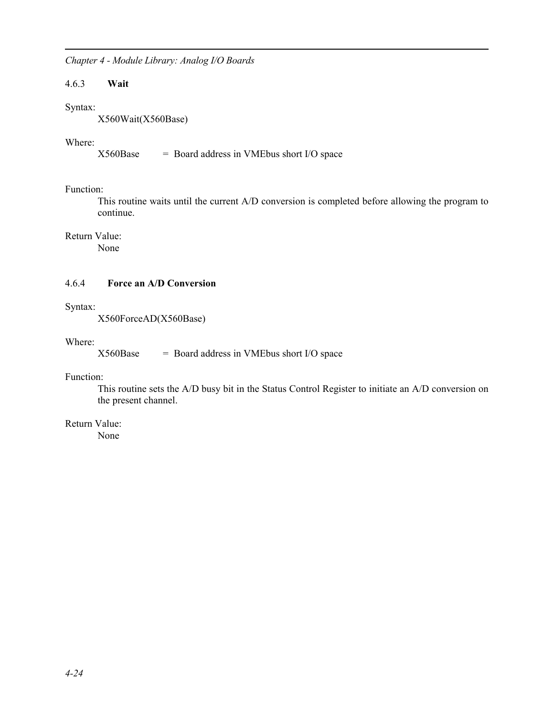# 4.6.3 **Wait**

# Syntax:

X560Wait(X560Base)

# Where:

 $X560Base$  = Board address in VMEbus short I/O space

# Function:

This routine waits until the current A/D conversion is completed before allowing the program to continue.

# Return Value:

None

# 4.6.4 **Force an A/D Conversion**

# Syntax:

X560ForceAD(X560Base)

# Where:

 $X560Base$  = Board address in VMEbus short I/O space

# Function:

This routine sets the A/D busy bit in the Status Control Register to initiate an A/D conversion on the present channel.

# Return Value: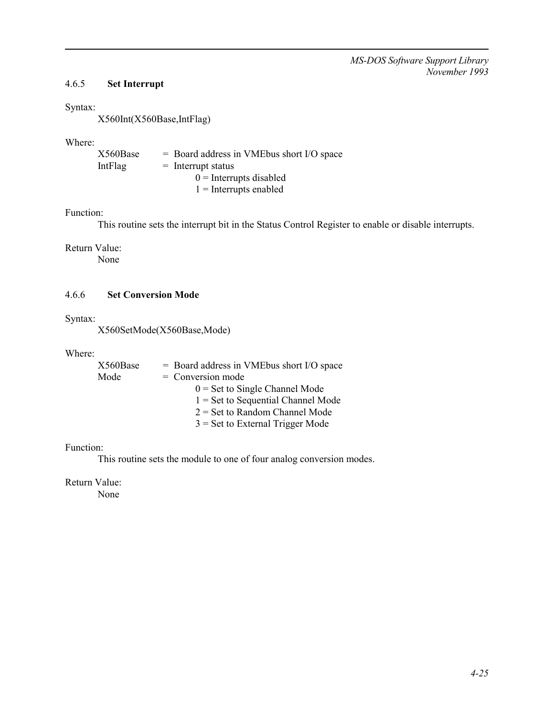# 4.6.5 **Set Interrupt**

### Syntax:

X560Int(X560Base,IntFlag)

# Where:

| X560Base | $=$ Board address in VME bus short I/O space |
|----------|----------------------------------------------|
| IntFlag  | $=$ Interrupt status                         |
|          | $0$ = Interrupts disabled                    |
|          | $1 =$ Interrupts enabled                     |

#### Function:

This routine sets the interrupt bit in the Status Control Register to enable or disable interrupts.

#### Return Value:

None

# 4.6.6 **Set Conversion Mode**

# Syntax:

```
X560SetMode(X560Base,Mode)
```
### Where:

| X560Base | $=$ Board address in VME bus short I/O space |
|----------|----------------------------------------------|
| Mode     | $=$ Conversion mode                          |
|          | $0 = Set$ to Single Channel Mode             |
|          | $1 = Set$ to Sequential Channel Mode         |
|          | $2 = Set$ to Random Channel Mode             |
|          | $3 = Set$ to External Trigger Mode           |

# Function:

This routine sets the module to one of four analog conversion modes.

# Return Value: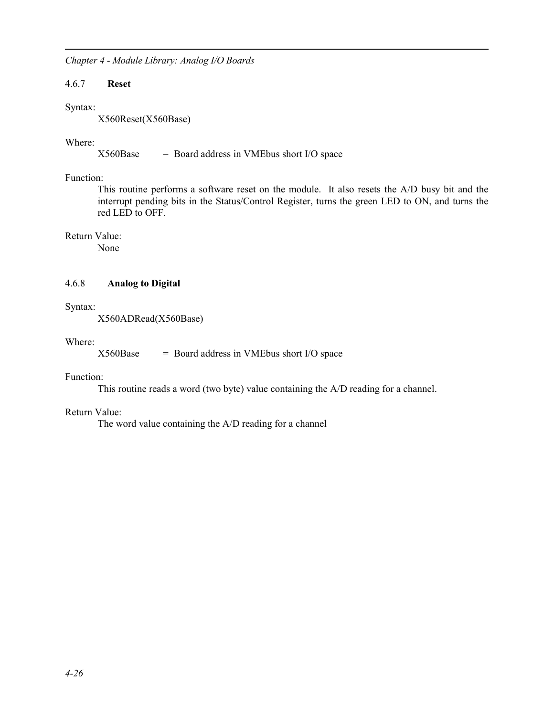4.6.7 **Reset**

Syntax:

X560Reset(X560Base)

#### Where:

 $X560Base$  = Board address in VMEbus short I/O space

### Function:

This routine performs a software reset on the module. It also resets the A/D busy bit and the interrupt pending bits in the Status/Control Register, turns the green LED to ON, and turns the red LED to OFF.

Return Value:

None

# 4.6.8 **Analog to Digital**

Syntax:

X560ADRead(X560Base)

#### Where:

 $X560Base$  = Board address in VMEbus short I/O space

# Function:

This routine reads a word (two byte) value containing the A/D reading for a channel.

# Return Value:

The word value containing the A/D reading for a channel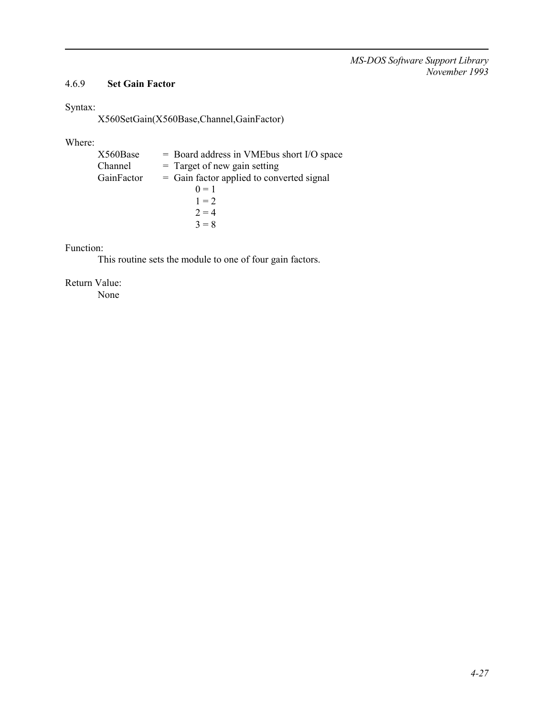# 4.6.9 **Set Gain Factor**

Syntax:

X560SetGain(X560Base,Channel,GainFactor)

Where:

| X560Base   | = Board address in VMEbus short I/O space   |  |  |
|------------|---------------------------------------------|--|--|
| Channel    | $=$ Target of new gain setting              |  |  |
| GainFactor | $=$ Gain factor applied to converted signal |  |  |
|            | $0 = 1$                                     |  |  |
|            | $1 = 2$                                     |  |  |
|            | $2 = 4$                                     |  |  |
|            | $3 = 8$                                     |  |  |
|            |                                             |  |  |

# Function:

This routine sets the module to one of four gain factors.

# Return Value: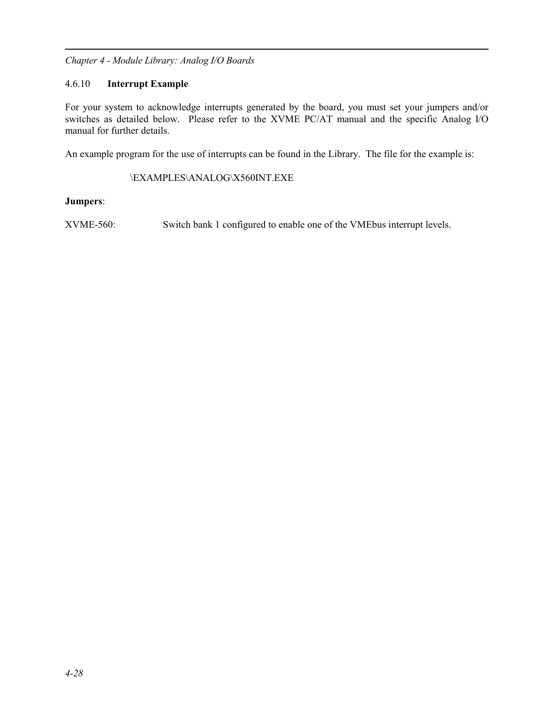# 4.6.10 **Interrupt Example**

For your system to acknowledge interrupts generated by the board, you must set your jumpers and/or switches as detailed below. Please refer to the XVME PC/AT manual and the specific Analog I/O manual for further details.

An example program for the use of interrupts can be found in the Library. The file for the example is:

# \EXAMPLES\ANALOG\X560INT.EXE

# **Jumpers**:

XVME-560: Switch bank 1 configured to enable one of the VMEbus interrupt levels.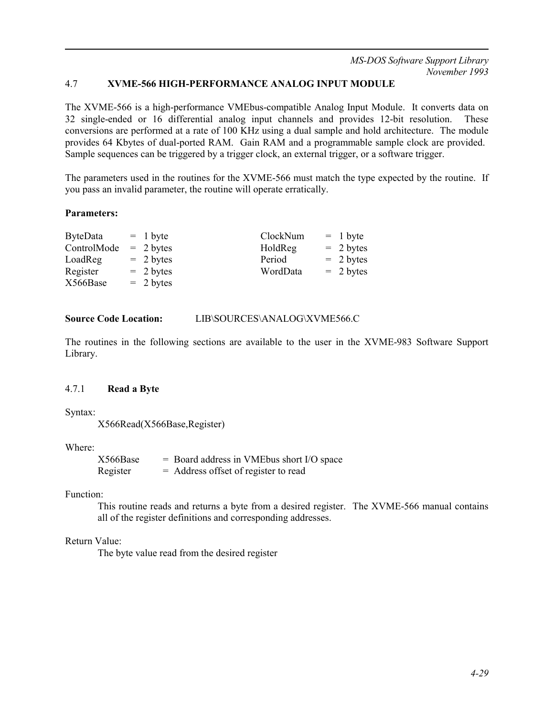# 4.7 **XVME-566 HIGH-PERFORMANCE ANALOG INPUT MODULE**

The XVME-566 is a high-performance VMEbus-compatible Analog Input Module. It converts data on 32 single-ended or 16 differential analog input channels and provides 12-bit resolution. These conversions are performed at a rate of 100 KHz using a dual sample and hold architecture. The module provides 64 Kbytes of dual-ported RAM. Gain RAM and a programmable sample clock are provided. Sample sequences can be triggered by a trigger clock, an external trigger, or a software trigger.

The parameters used in the routines for the XVME-566 must match the type expected by the routine. If you pass an invalid parameter, the routine will operate erratically.

#### **Parameters:**

| <b>ByteData</b> | $= 1$ byte  | ClockNum | $= 1$ byte  |
|-----------------|-------------|----------|-------------|
| ControlMode     | $= 2 bytes$ | HoldReg  | $= 2 bytes$ |
| LoadReg         | $= 2 bytes$ | Period   | $= 2 bytes$ |
| Register        | $= 2 bytes$ | WordData | $= 2 bytes$ |
| X566Base        | $= 2 bytes$ |          |             |

#### **Source Code Location:** LIB\SOURCES\ANALOG\XVME566.C

The routines in the following sections are available to the user in the XVME-983 Software Support Library.

#### 4.7.1 **Read a Byte**

Syntax:

X566Read(X566Base,Register)

### Where:

| X566Base | $=$ Board address in VME bus short I/O space |
|----------|----------------------------------------------|
| Register | $=$ Address offset of register to read       |

#### Function:

This routine reads and returns a byte from a desired register. The XVME-566 manual contains all of the register definitions and corresponding addresses.

### Return Value:

The byte value read from the desired register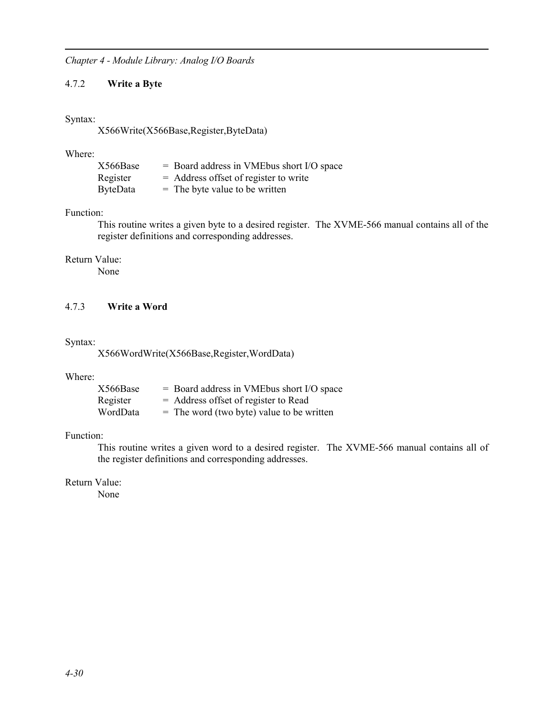### 4.7.2 **Write a Byte**

#### Syntax:

X566Write(X566Base,Register,ByteData)

#### Where:

| X566Base        | $=$ Board address in VMEbus short I/O space |
|-----------------|---------------------------------------------|
| Register        | $=$ Address offset of register to write     |
| <b>ByteData</b> | $=$ The byte value to be written            |

#### Function:

This routine writes a given byte to a desired register. The XVME-566 manual contains all of the register definitions and corresponding addresses.

# Return Value:

None

### 4.7.3 **Write a Word**

#### Syntax:

X566WordWrite(X566Base,Register,WordData)

#### Where:

| X566Base | $=$ Board address in VMEbus short I/O space |
|----------|---------------------------------------------|
| Register | $=$ Address offset of register to Read      |
| WordData | $=$ The word (two byte) value to be written |

### Function:

This routine writes a given word to a desired register. The XVME-566 manual contains all of the register definitions and corresponding addresses.

# Return Value: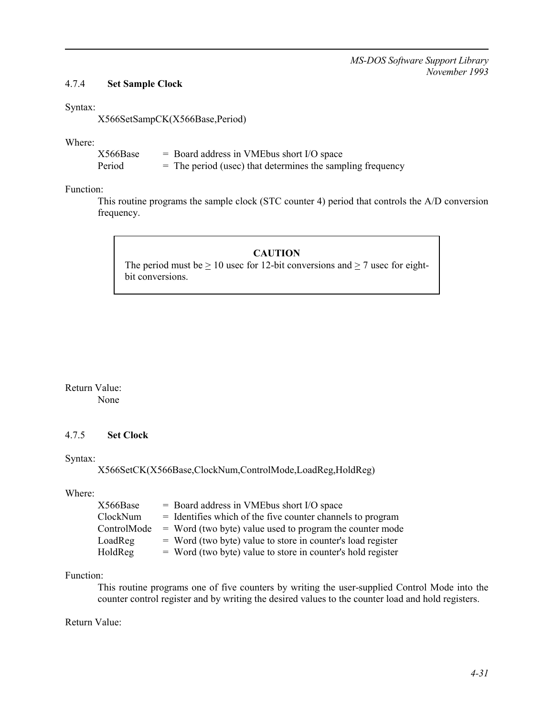### 4.7.4 **Set Sample Clock**

#### Syntax:

X566SetSampCK(X566Base,Period)

#### Where:

| X566Base | $=$ Board address in VME bus short I/O space                 |
|----------|--------------------------------------------------------------|
| Period   | $=$ The period (usec) that determines the sampling frequency |

# Function:

This routine programs the sample clock (STC counter 4) period that controls the A/D conversion frequency.

#### **CAUTION**

The period must be  $\geq 10$  usec for 12-bit conversions and  $\geq 7$  usec for eightbit conversions.

#### Return Value: None

#### 4.7.5 **Set Clock**

#### Syntax:

X566SetCK(X566Base,ClockNum,ControlMode,LoadReg,HoldReg)

#### Where:

 $X566Base$  = Board address in VMEbus short I/O space  $ClockNum = Identifies which of the five counter channels to program$ ControlMode  $=$  Word (two byte) value used to program the counter mode  $LoadReg = Word (two byte) value to store in counter's load register$  $HoldReg$  = Word (two byte) value to store in counter's hold register

#### Function:

This routine programs one of five counters by writing the user-supplied Control Mode into the counter control register and by writing the desired values to the counter load and hold registers.

#### Return Value: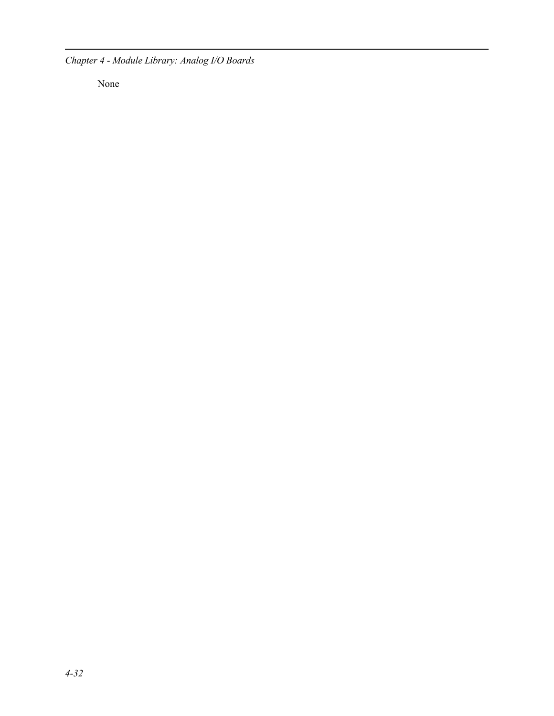*Chapter 4 - Module Library: Analog I/O Boards*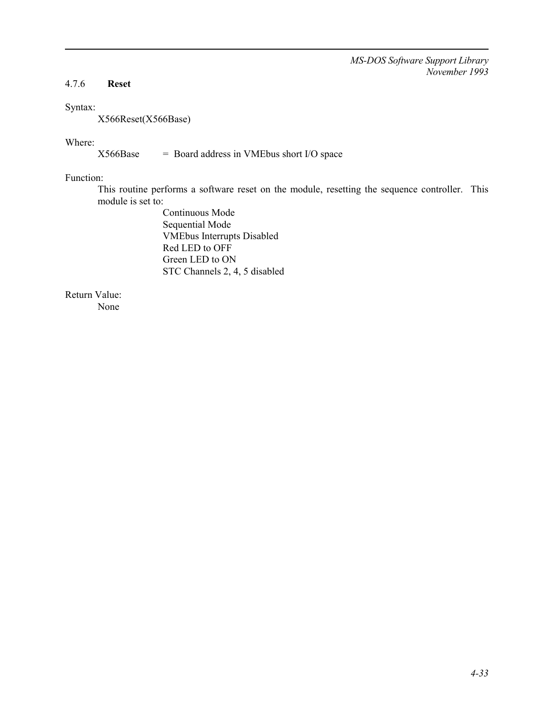# 4.7.6 **Reset**

# Syntax:

X566Reset(X566Base)

# Where:

 $X566Base$  = Board address in VMEbus short I/O space

# Function:

This routine performs a software reset on the module, resetting the sequence controller. This module is set to:

> Continuous Mode Sequential Mode VMEbus Interrupts Disabled Red LED to OFF Green LED to ON STC Channels 2, 4, 5 disabled

Return Value: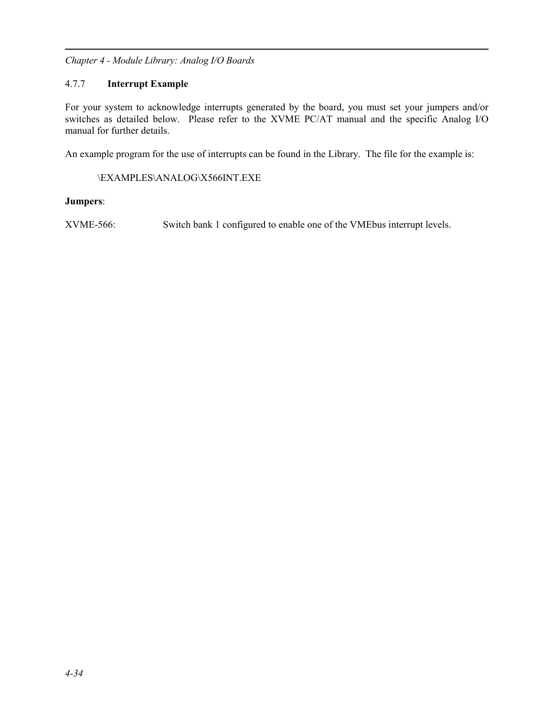# 4.7.7 **Interrupt Example**

For your system to acknowledge interrupts generated by the board, you must set your jumpers and/or switches as detailed below. Please refer to the XVME PC/AT manual and the specific Analog I/O manual for further details.

An example program for the use of interrupts can be found in the Library. The file for the example is:

\EXAMPLES\ANALOG\X566INT.EXE

# **Jumpers**:

XVME-566: Switch bank 1 configured to enable one of the VMEbus interrupt levels.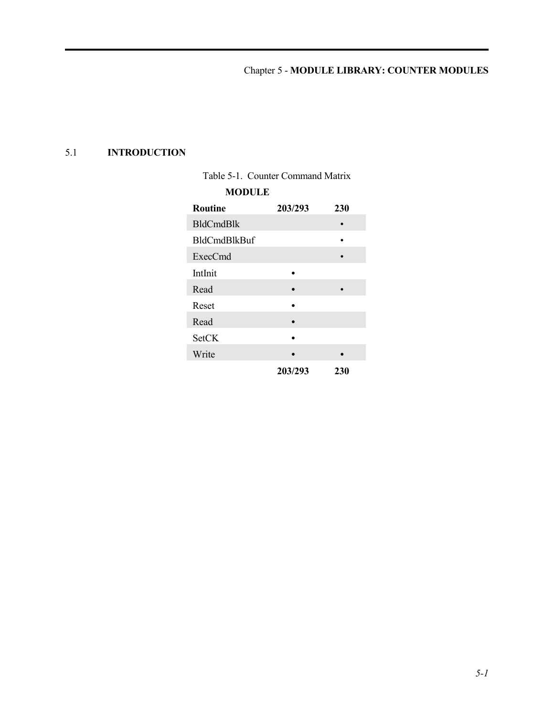# 5.1 **INTRODUCTION**

| <b>MODULE</b>       |         |     |
|---------------------|---------|-----|
| <b>Routine</b>      | 203/293 | 230 |
| <b>BldCmdBlk</b>    |         |     |
| <b>BldCmdBlkBuf</b> |         |     |
| ExecCmd             |         |     |
| IntInit             |         |     |
| Read                |         |     |
| Reset               |         |     |
| Read                |         |     |
| <b>SetCK</b>        |         |     |
| Write               |         |     |
|                     | 203/293 | 230 |

| Table 5-1. Counter Command Matrix |  |
|-----------------------------------|--|
|                                   |  |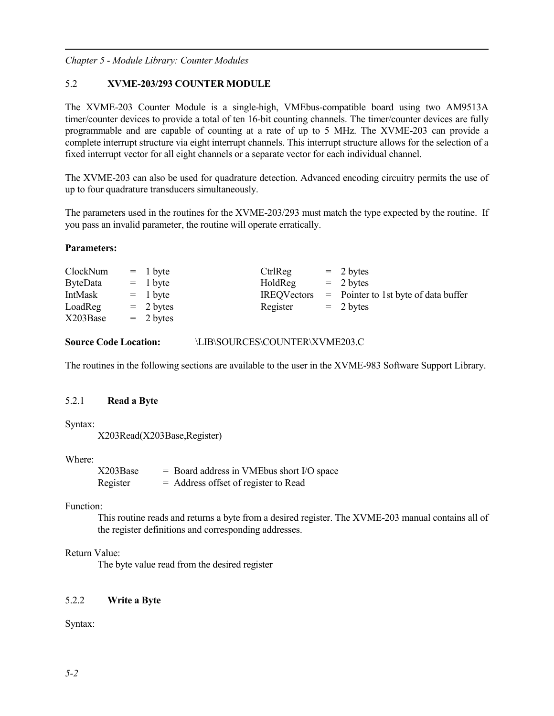## 5.2 **XVME-203/293 COUNTER MODULE**

The XVME-203 Counter Module is a single-high, VMEbus-compatible board using two AM9513A timer/counter devices to provide a total of ten 16-bit counting channels. The timer/counter devices are fully programmable and are capable of counting at a rate of up to 5 MHz. The XVME-203 can provide a complete interrupt structure via eight interrupt channels. This interrupt structure allows for the selection of a fixed interrupt vector for all eight channels or a separate vector for each individual channel.

The XVME-203 can also be used for quadrature detection. Advanced encoding circuitry permits the use of up to four quadrature transducers simultaneously.

The parameters used in the routines for the XVME-203/293 must match the type expected by the routine. If you pass an invalid parameter, the routine will operate erratically.

#### **Parameters:**

| $= 1$ byte          |                                                      | $= 2 \text{ bytes}$                    |
|---------------------|------------------------------------------------------|----------------------------------------|
| $= 1$ byte          |                                                      | $= 2 \text{ bytes}$                    |
| $= 1$ byte          |                                                      | $=$ Pointer to 1st byte of data buffer |
| $= 2 \text{ bytes}$ |                                                      | $= 2 \text{ bytes}$                    |
| $= 2 \text{ bytes}$ |                                                      |                                        |
|                     | CtrlReg<br>HoldReg<br><b>IREQVectors</b><br>Register |                                        |

**Source Code Location:** \LIB\SOURCES\COUNTER\XVME203.C

The routines in the following sections are available to the user in the XVME-983 Software Support Library.

## 5.2.1 **Read a Byte**

Syntax:

X203Read(X203Base,Register)

#### Where:

 $X203Base$  = Board address in VMEbus short I/O space Register  $=$  Address offset of register to Read

#### Function:

This routine reads and returns a byte from a desired register. The XVME-203 manual contains all of the register definitions and corresponding addresses.

## Return Value:

The byte value read from the desired register

## 5.2.2 **Write a Byte**

Syntax: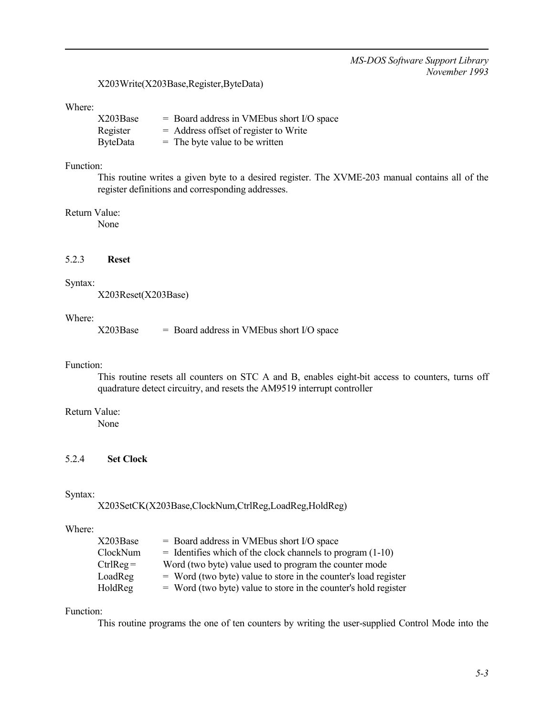X203Write(X203Base,Register,ByteData)

#### Where:

| X203Base        | $=$ Board address in VME bus short I/O space |
|-----------------|----------------------------------------------|
| Register        | $=$ Address offset of register to Write      |
| <b>ByteData</b> | $=$ The byte value to be written             |

## Function:

This routine writes a given byte to a desired register. The XVME-203 manual contains all of the register definitions and corresponding addresses.

#### Return Value:

None

## 5.2.3 **Reset**

## Syntax:

X203Reset(X203Base)

#### Where:

 $X203Base$  = Board address in VMEbus short I/O space

## Function:

This routine resets all counters on STC A and B, enables eight-bit access to counters, turns off quadrature detect circuitry, and resets the AM9519 interrupt controller

## Return Value:

None

#### 5.2.4 **Set Clock**

#### Syntax:

X203SetCK(X203Base,ClockNum,CtrlReg,LoadReg,HoldReg)

#### Where:

| X203Base    | = Board address in VMEbus short I/O space                       |
|-------------|-----------------------------------------------------------------|
| ClockNum    | $=$ Identifies which of the clock channels to program $(1-10)$  |
| $CtrlReg =$ | Word (two byte) value used to program the counter mode          |
| LoadReg     | = Word (two byte) value to store in the counter's load register |
| HoldReg     | = Word (two byte) value to store in the counter's hold register |

#### Function:

This routine programs the one of ten counters by writing the user-supplied Control Mode into the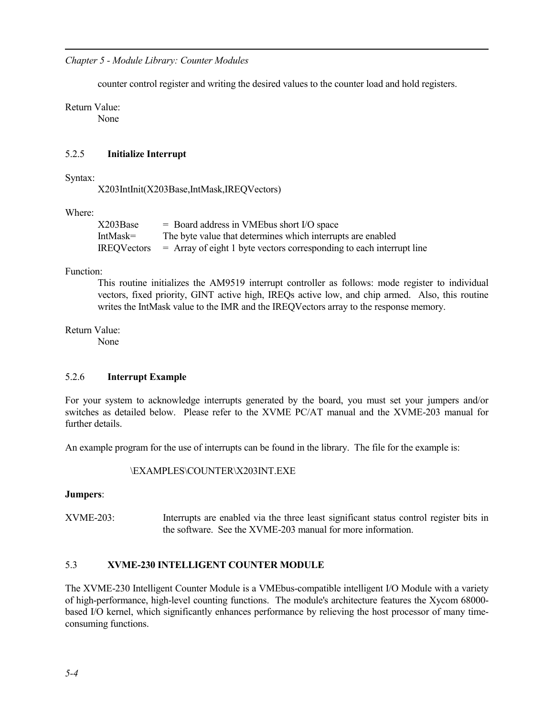counter control register and writing the desired values to the counter load and hold registers.

Return Value:

None

## 5.2.5 **Initialize Interrupt**

Syntax:

X203IntInit(X203Base,IntMask,IREQVectors)

## Where:

| X203Base           | $=$ Board address in VME bus short I/O space                           |
|--------------------|------------------------------------------------------------------------|
| IntMask=           | The byte value that determines which interrupts are enabled            |
| <b>IREQVectors</b> | $=$ Array of eight 1 byte vectors corresponding to each interrupt line |

## Function:

This routine initializes the AM9519 interrupt controller as follows: mode register to individual vectors, fixed priority, GINT active high, IREQs active low, and chip armed. Also, this routine writes the IntMask value to the IMR and the IREQVectors array to the response memory.

## Return Value:

None

## 5.2.6 **Interrupt Example**

For your system to acknowledge interrupts generated by the board, you must set your jumpers and/or switches as detailed below. Please refer to the XVME PC/AT manual and the XVME-203 manual for further details.

An example program for the use of interrupts can be found in the library. The file for the example is:

## \EXAMPLES\COUNTER\X203INT.EXE

## **Jumpers**:

XVME-203: Interrupts are enabled via the three least significant status control register bits in the software. See the XVME-203 manual for more information.

## 5.3 **XVME-230 INTELLIGENT COUNTER MODULE**

The XVME-230 Intelligent Counter Module is a VMEbus-compatible intelligent I/O Module with a variety of high-performance, high-level counting functions. The module's architecture features the Xycom 68000 based I/O kernel, which significantly enhances performance by relieving the host processor of many timeconsuming functions.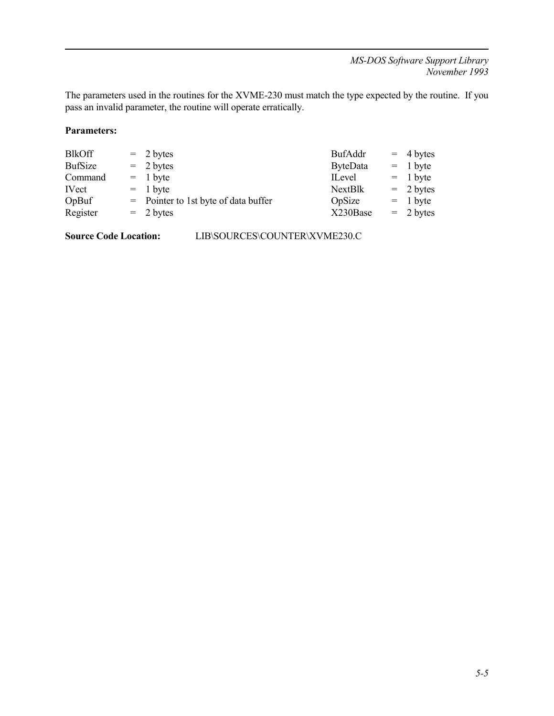The parameters used in the routines for the XVME-230 must match the type expected by the routine. If you pass an invalid parameter, the routine will operate erratically.

## **Parameters:**

| <b>BlkOff</b>  | $= 2 \text{ bytes}$                    | BufAddr         | $=$ 4 bytes         |
|----------------|----------------------------------------|-----------------|---------------------|
| <b>BufSize</b> | $= 2 \text{ bytes}$                    | <b>ByteData</b> | $= 1$ byte          |
| Command        | $= 1$ byte                             | <b>ILevel</b>   | $= 1$ byte          |
| <b>IVect</b>   | $= 1$ byte                             | <b>NextBlk</b>  | $= 2 bytes$         |
| OpBuf          | $=$ Pointer to 1st byte of data buffer | OpSize          | $= 1$ byte          |
| Register       | $= 2 bytes$                            | X230Base        | $= 2 \text{ bytes}$ |

Source Code Location: LIB\SOURCES\COUNTER\XVME230.C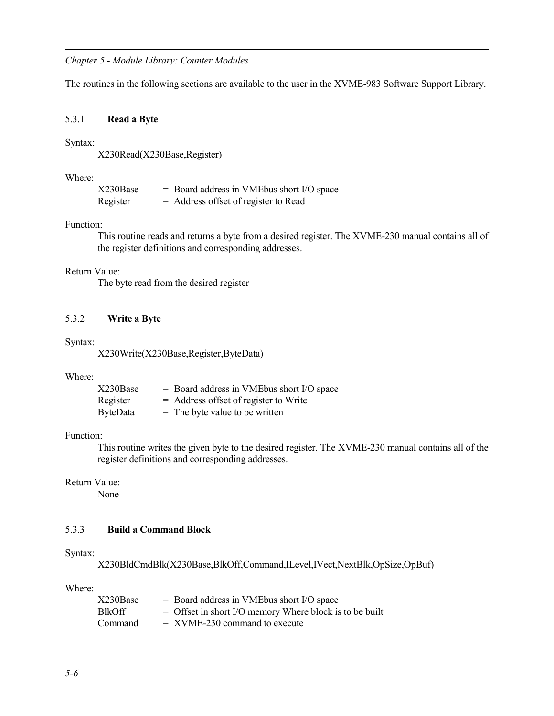The routines in the following sections are available to the user in the XVME-983 Software Support Library.

#### 5.3.1 **Read a Byte**

#### Syntax:

X230Read(X230Base,Register)

#### Where:

| X230Base | $=$ Board address in VMEbus short I/O space |
|----------|---------------------------------------------|
| Register | = Address offset of register to Read        |

#### Function:

This routine reads and returns a byte from a desired register. The XVME-230 manual contains all of the register definitions and corresponding addresses.

#### Return Value:

The byte read from the desired register

## 5.3.2 **Write a Byte**

#### Syntax:

X230Write(X230Base,Register,ByteData)

#### Where:

| X230Base | $=$ Board address in VME bus short I/O space |
|----------|----------------------------------------------|
| Register | $=$ Address offset of register to Write      |
| ByteData | $=$ The byte value to be written             |

## Function:

This routine writes the given byte to the desired register. The XVME-230 manual contains all of the register definitions and corresponding addresses.

## Return Value:

None

## 5.3.3 **Build a Command Block**

#### Syntax:

X230BldCmdBlk(X230Base,BlkOff,Command,ILevel,IVect,NextBlk,OpSize,OpBuf)

## Where:

| X230Base      | $=$ Board address in VME bus short I/O space              |
|---------------|-----------------------------------------------------------|
| <b>BlkOff</b> | $=$ Offset in short I/O memory Where block is to be built |
| Command       | $=$ XVME-230 command to execute                           |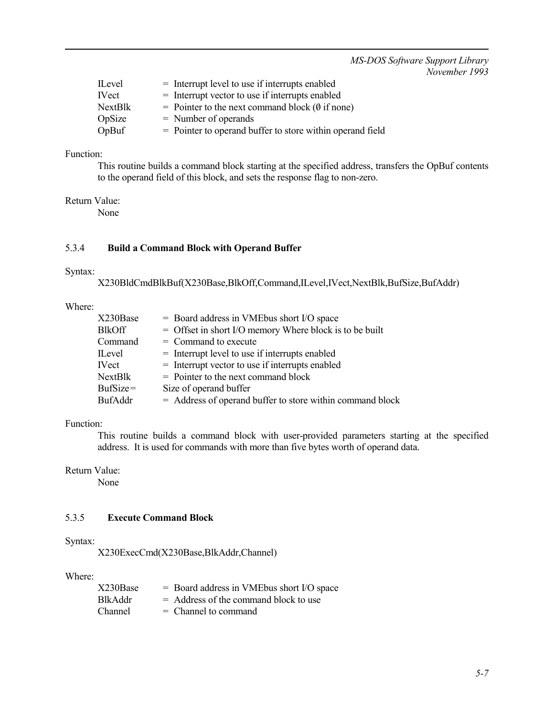| = Interrupt level to use if interrupts enabled               |
|--------------------------------------------------------------|
| = Interrupt vector to use if interrupts enabled              |
| $=$ Pointer to the next command block ( $\emptyset$ if none) |
| $=$ Number of operands                                       |
| = Pointer to operand buffer to store within operand field    |
|                                                              |

## Function:

This routine builds a command block starting at the specified address, transfers the OpBuf contents to the operand field of this block, and sets the response flag to non-zero.

## Return Value:

None

## 5.3.4 **Build a Command Block with Operand Buffer**

#### Syntax:

X230BldCmdBlkBuf(X230Base,BlkOff,Command,ILevel,IVect,NextBlk,BufSize,BufAddr)

#### Where:

| X230Base       | = Board address in VMEbus short I/O space                 |
|----------------|-----------------------------------------------------------|
| <b>BlkOff</b>  | $=$ Offset in short I/O memory Where block is to be built |
| Command        | $=$ Command to execute                                    |
| <b>ILevel</b>  | = Interrupt level to use if interrupts enabled            |
| <b>IVect</b>   | = Interrupt vector to use if interrupts enabled           |
| <b>NextBlk</b> | $=$ Pointer to the next command block                     |
| $ButSize =$    | Size of operand buffer                                    |
| BufAddr        | = Address of operand buffer to store within command block |

#### Function:

This routine builds a command block with user-provided parameters starting at the specified address. It is used for commands with more than five bytes worth of operand data.

#### Return Value:

None

## 5.3.5 **Execute Command Block**

#### Syntax:

X230ExecCmd(X230Base,BlkAddr,Channel)

#### Where:

| X230Base       | $=$ Board address in VME bus short I/O space |
|----------------|----------------------------------------------|
| <b>BlkAddr</b> | $=$ Address of the command block to use      |
| <b>Channel</b> | $=$ Channel to command                       |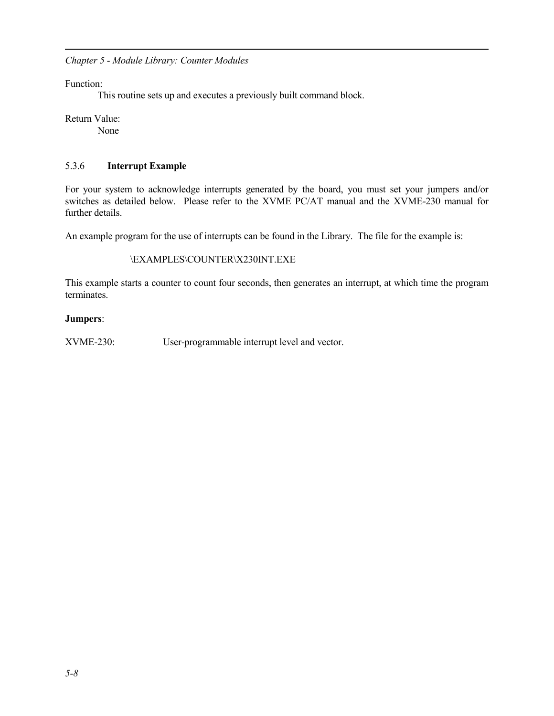Function:

This routine sets up and executes a previously built command block.

Return Value:

None

## 5.3.6 **Interrupt Example**

For your system to acknowledge interrupts generated by the board, you must set your jumpers and/or switches as detailed below. Please refer to the XVME PC/AT manual and the XVME-230 manual for further details.

An example program for the use of interrupts can be found in the Library. The file for the example is:

## \EXAMPLES\COUNTER\X230INT.EXE

This example starts a counter to count four seconds, then generates an interrupt, at which time the program terminates.

## **Jumpers**:

XVME-230: User-programmable interrupt level and vector.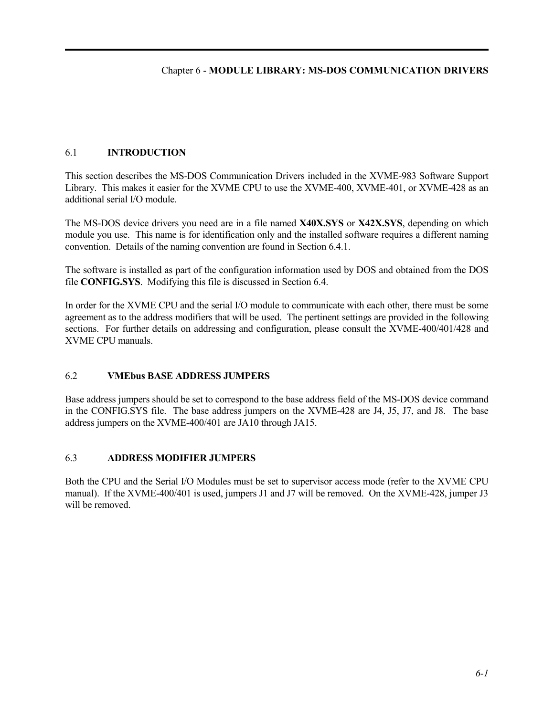## Chapter 6 - **MODULE LIBRARY: MS-DOS COMMUNICATION DRIVERS**

## 6.1 **INTRODUCTION**

This section describes the MS-DOS Communication Drivers included in the XVME-983 Software Support Library. This makes it easier for the XVME CPU to use the XVME-400, XVME-401, or XVME-428 as an additional serial I/O module.

The MS-DOS device drivers you need are in a file named **X40X.SYS** or **X42X.SYS**, depending on which module you use. This name is for identification only and the installed software requires a different naming convention. Details of the naming convention are found in Section 6.4.1.

The software is installed as part of the configuration information used by DOS and obtained from the DOS file **CONFIG.SYS**. Modifying this file is discussed in Section 6.4.

In order for the XVME CPU and the serial I/O module to communicate with each other, there must be some agreement as to the address modifiers that will be used. The pertinent settings are provided in the following sections. For further details on addressing and configuration, please consult the XVME-400/401/428 and XVME CPU manuals.

## 6.2 **VMEbus BASE ADDRESS JUMPERS**

Base address jumpers should be set to correspond to the base address field of the MS-DOS device command in the CONFIG.SYS file. The base address jumpers on the XVME-428 are J4, J5, J7, and J8. The base address jumpers on the XVME-400/401 are JA10 through JA15.

## 6.3 **ADDRESS MODIFIER JUMPERS**

Both the CPU and the Serial I/O Modules must be set to supervisor access mode (refer to the XVME CPU manual). If the XVME-400/401 is used, jumpers J1 and J7 will be removed. On the XVME-428, jumper J3 will be removed.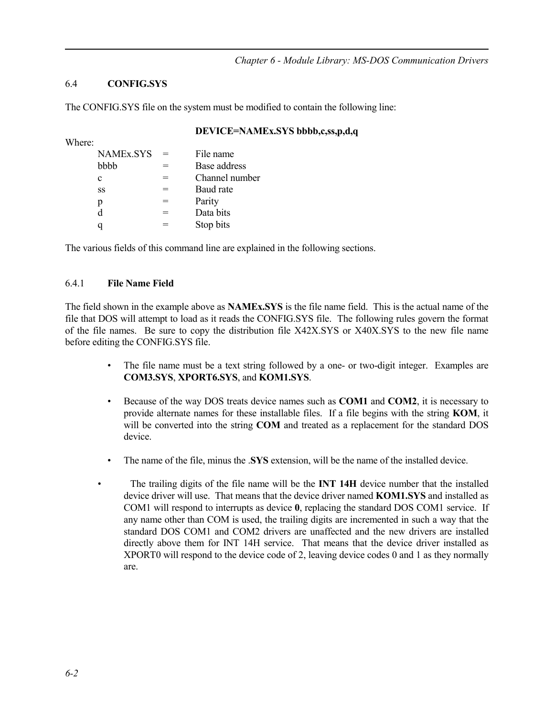*Chapter 6 - Module Library: MS-DOS Communication Drivers*

## 6.4 **CONFIG.SYS**

The CONFIG.SYS file on the system must be modified to contain the following line:

| Where: |                  |     |                |
|--------|------------------|-----|----------------|
|        | <b>NAMEX.SYS</b> | $=$ | File name      |
|        | bbbb             |     | Base address   |
|        | c                |     | Channel number |
|        | SS               |     | Baud rate      |
|        | p                |     | Parity         |
|        |                  |     | Data bits      |
|        |                  |     | Stop bits      |
|        |                  |     |                |

The various fields of this command line are explained in the following sections.

## 6.4.1 **File Name Field**

The field shown in the example above as **NAMEx.SYS** is the file name field. This is the actual name of the file that DOS will attempt to load as it reads the CONFIG.SYS file. The following rules govern the format of the file names. Be sure to copy the distribution file X42X.SYS or X40X.SYS to the new file name before editing the CONFIG.SYS file.

- The file name must be a text string followed by a one- or two-digit integer. Examples are **COM3.SYS**, **XPORT6.SYS**, and **KOM1.SYS**.
- Because of the way DOS treats device names such as **COM1** and **COM2**, it is necessary to provide alternate names for these installable files. If a file begins with the string **KOM**, it will be converted into the string **COM** and treated as a replacement for the standard DOS device.
- The name of the file, minus the .**SYS** extension, will be the name of the installed device.
- The trailing digits of the file name will be the **INT 14H** device number that the installed device driver will use. That means that the device driver named **KOM1.SYS** and installed as COM1 will respond to interrupts as device **0**, replacing the standard DOS COM1 service. If any name other than COM is used, the trailing digits are incremented in such a way that the standard DOS COM1 and COM2 drivers are unaffected and the new drivers are installed directly above them for INT 14H service. That means that the device driver installed as XPORT0 will respond to the device code of 2, leaving device codes 0 and 1 as they normally are.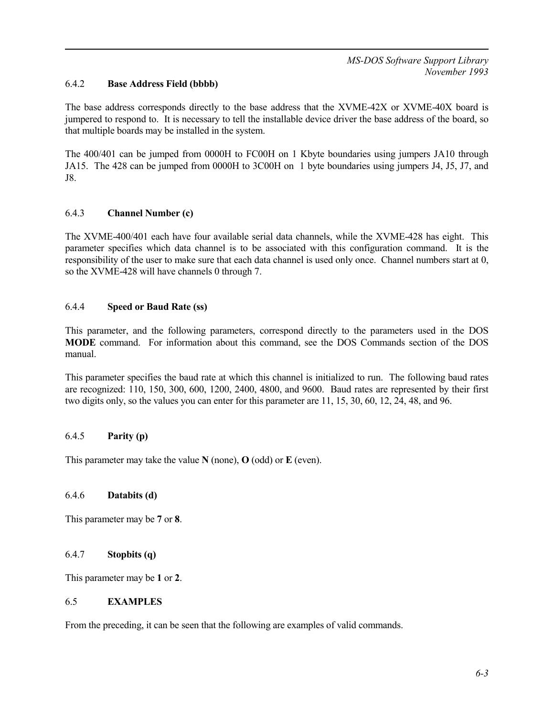## 6.4.2 **Base Address Field (bbbb)**

The base address corresponds directly to the base address that the XVME-42X or XVME-40X board is jumpered to respond to. It is necessary to tell the installable device driver the base address of the board, so that multiple boards may be installed in the system.

The 400/401 can be jumped from 0000H to FC00H on 1 Kbyte boundaries using jumpers JA10 through JA15. The 428 can be jumped from 0000H to 3C00H on 1 byte boundaries using jumpers J4, J5, J7, and J8.

#### 6.4.3 **Channel Number (c)**

The XVME-400/401 each have four available serial data channels, while the XVME-428 has eight. This parameter specifies which data channel is to be associated with this configuration command. It is the responsibility of the user to make sure that each data channel is used only once. Channel numbers start at 0, so the XVME-428 will have channels 0 through 7.

#### 6.4.4 **Speed or Baud Rate (ss)**

This parameter, and the following parameters, correspond directly to the parameters used in the DOS **MODE** command. For information about this command, see the DOS Commands section of the DOS manual.

This parameter specifies the baud rate at which this channel is initialized to run. The following baud rates are recognized: 110, 150, 300, 600, 1200, 2400, 4800, and 9600. Baud rates are represented by their first two digits only, so the values you can enter for this parameter are 11, 15, 30, 60, 12, 24, 48, and 96.

## 6.4.5 **Parity (p)**

This parameter may take the value **N** (none), **O** (odd) or **E** (even).

## 6.4.6 **Databits (d)**

This parameter may be **7** or **8**.

## 6.4.7 **Stopbits (q)**

This parameter may be **1** or **2**.

#### 6.5 **EXAMPLES**

From the preceding, it can be seen that the following are examples of valid commands.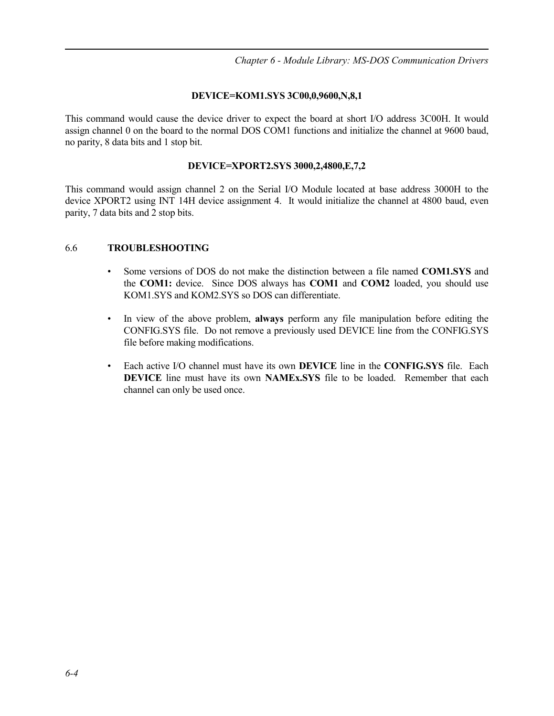*Chapter 6 - Module Library: MS-DOS Communication Drivers*

#### **DEVICE=KOM1.SYS 3C00,0,9600,N,8,1**

This command would cause the device driver to expect the board at short I/O address 3C00H. It would assign channel 0 on the board to the normal DOS COM1 functions and initialize the channel at 9600 baud, no parity, 8 data bits and 1 stop bit.

## **DEVICE=XPORT2.SYS 3000,2,4800,E,7,2**

This command would assign channel 2 on the Serial I/O Module located at base address 3000H to the device XPORT2 using INT 14H device assignment 4. It would initialize the channel at 4800 baud, even parity, 7 data bits and 2 stop bits.

## 6.6 **TROUBLESHOOTING**

- Some versions of DOS do not make the distinction between a file named **COM1.SYS** and the **COM1:** device. Since DOS always has **COM1** and **COM2** loaded, you should use KOM1.SYS and KOM2.SYS so DOS can differentiate.
- In view of the above problem, **always** perform any file manipulation before editing the CONFIG.SYS file. Do not remove a previously used DEVICE line from the CONFIG.SYS file before making modifications.
- Each active I/O channel must have its own **DEVICE** line in the **CONFIG.SYS** file. Each **DEVICE** line must have its own **NAMEx.SYS** file to be loaded. Remember that each channel can only be used once.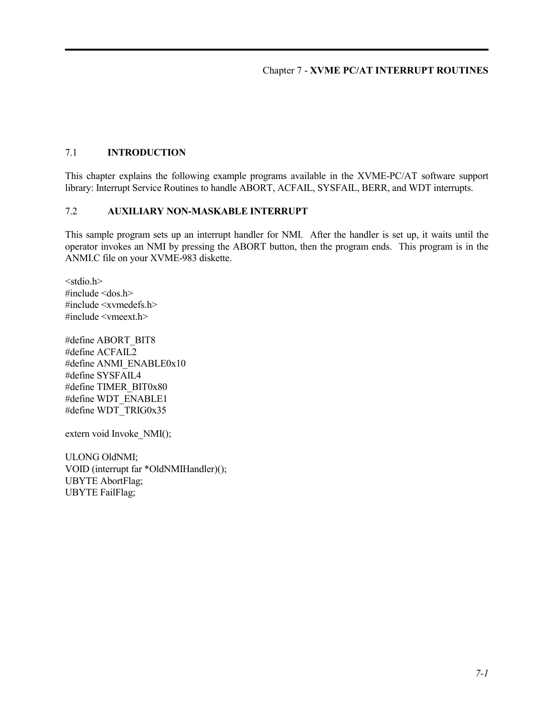## 7.1 **INTRODUCTION**

This chapter explains the following example programs available in the XVME-PC/AT software support library: Interrupt Service Routines to handle ABORT, ACFAIL, SYSFAIL, BERR, and WDT interrupts.

## 7.2 **AUXILIARY NON-MASKABLE INTERRUPT**

This sample program sets up an interrupt handler for NMI. After the handler is set up, it waits until the operator invokes an NMI by pressing the ABORT button, then the program ends. This program is in the ANMI.C file on your XVME-983 diskette.

<stdio.h> #include <dos.h> #include <xvmedefs.h> #include <vmeext.h>

#define ABORT\_BIT8 #define ACFAIL2 #define ANMI\_ENABLE0x10 #define SYSFAIL4 #define TIMER\_BIT0x80 #define WDT\_ENABLE1 #define WDT\_TRIG0x35

extern void Invoke\_NMI();

ULONG OldNMI; VOID (interrupt far \*OldNMIHandler)(); UBYTE AbortFlag; UBYTE FailFlag;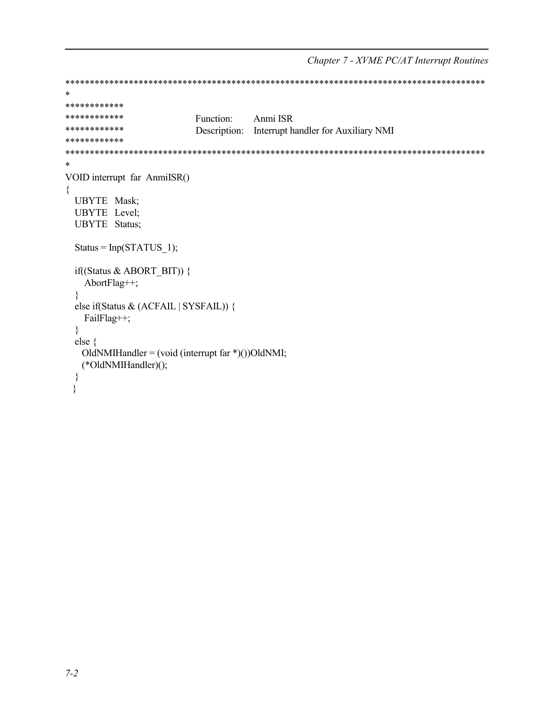```
Chapter 7 - XVME PC/AT Interrupt Routines
\ast************
************
                     Function:
                              Anmi ISR
************
                     Description: Interrupt handler for Auxiliary NMI
************
عط
VOID interrupt far AnmiISR()
\{UBYTE Mask;
 UBYTE Level:
 UBYTE Status;
 Status = Inp(STATUS_1);if((Status & ABORT_BIT)) {
   AbortFlag++;
 \mathcal{E}else if(Status & (ACFAIL | SYSFAIL)) {
  FailFlag++;
 ∤
 else \{OldNMIHandler = (void (interrupt far *)())OldNMI;(*OldNMIHandler)();
 \}\}
```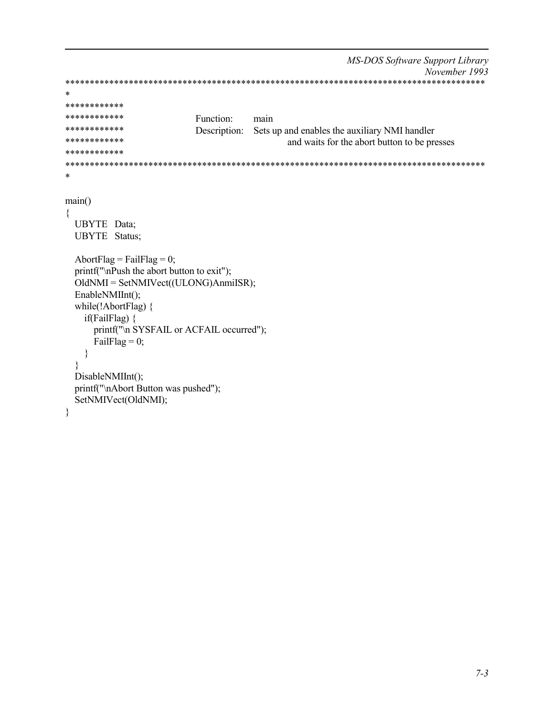```
MS-DOS Software Support Library
                                                                 November 1993
\ast************
************
                       Function:
                                  main
************
                       Description: Sets up and enables the auxiliary NMI handler
************
                                        and waits for the abort button to be presses
************
\astmain()\{UBYTE Data;
 UBYTE Status;
 AbortFlag = FailFlag = 0;
 printf("\nPush the abort button to exit");
 OldNMI = SetNMIVect((ULONG)AnmiISR);
 EnableNMIInt();
 while(!AbortFlag) {
   if(FailFlag) \{printf("\n SYSFAIL or ACFAIL occurred");
     FailFlag = 0;
   \mathcal{E}₹
 DisableNMIInt();
 printf("\nAbort Button was pushed");
 SetNMIVect(OldNMI);
\mathcal{E}
```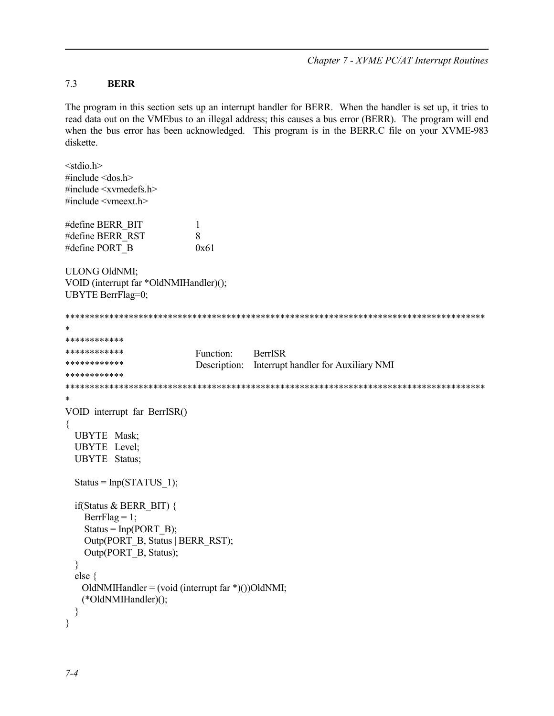Chapter 7 - XVME PC/AT Interrupt Routines

#### $7.3$ **BERR**

The program in this section sets up an interrupt handler for BERR. When the handler is set up, it tries to read data out on the VMEbus to an illegal address; this causes a bus error (BERR). The program will end when the bus error has been acknowledged. This program is in the BERR.C file on your XVME-983 diskette.

<stdio.h> #include  $<$ dos.h> #include  $\leq$ xvmedefs.h> #include  $\leq$ ymeext h> #define BERR BIT  $\mathbf{1}$ #define BERR RST  $\overline{R}$ #define PORT B  $0x61$ **ULONG OldNMI:** VOID (interrupt far \*OldNMIHandler)(); UBYTE BerrFlag=0; \*\*\*\*\*\*\*\*\*\*\*\* \*\*\*\*\*\*\*\*\*\*\*\* Function: **BerrISR** \*\*\*\*\*\*\*\*\*\*\*\* Interrupt handler for Auxiliary NMI Description: \*\*\*\*\*\*\*\*\*\*\*\* VOID interrupt far BerrISR() ₹ **UBYTE** Mask; UBYTE Level; **UBYTE** Status; Status =  $Inp(STATUS 1);$ if(Status & BERR BIT) { BerrFlag =  $1$ ; Status =  $Inp(PORT B);$ Outp(PORT B, Status | BERR RST); Outp(PORT B, Status); ₹ else  $\{$ OldNMIHandler =  $(void (interrupt far *)())OldNMI;$ (\*OldNMIHandler)();  $\}$ ₹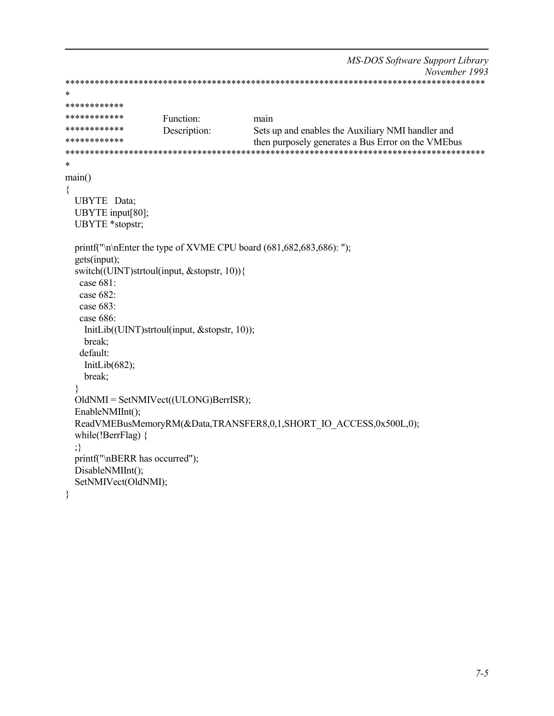```
MS-DOS Software Support Library
                                                                      November 1993
\ast************
************
                   Function:
                                    main
************
                   Description:
                                    Sets up and enables the Auxiliary NMI handler and
************
                                    then purposely generates a Bus Error on the VMEbus
                                    *************************************
s.
main()\{UBYTE Data:
 UBYTE input[80];
 UBYTE *stopstr;
 printf("\n\nEnter the type of XVME CPU board (681,682,683,686):");
 gets(input);
 switch((UINT)strtoul(input, &stopstr, 10)){
  case 681:
  case 682:
  case 683:
  case 686:
   InitLib((UINT)strtoul(input, &stopstr, 10));
   break:
  default:
   InitLib(682);
   break;
  ł
 OldNMI = SetNMIVect((ULONG)BerrISR);EnableNMIInt();
 ReadVMEBusMemoryRM(&Data,TRANSFER8,0,1,SHORT IO ACCESS,0x500L,0);
 while(!BerrFlag) \{;\}printf("\nBERR has occurred");
 DisableNMIInt();
 SetNMIVect(OldNMI);
₹
```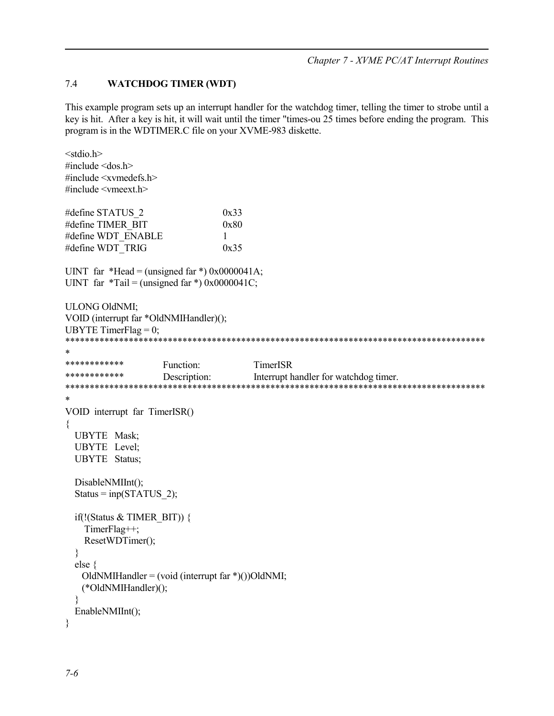Chapter 7 - XVME PC/AT Interrupt Routines

#### 7.4 **WATCHDOG TIMER (WDT)**

This example program sets up an interrupt handler for the watchdog timer, telling the timer to strobe until a key is hit. After a key is hit, it will wait until the timer "times-ou 25 times before ending the program. This program is in the WDTIMER.C file on your XVME-983 diskette.

```
<stdio.h>#include <dos.h>
#include <xvmedefs.h>
#include <vmeext.h>
#define STATUS 2
                              0x33#define TIMER BIT
                              0x80#define WDT ENABLE
                              \mathbf{1}#define WDT TRIG
                              0x35UINT far *Head = (unsigned far *) 0x0000041A;
UINT far *Tail = (unsigned far *) 0x0000041C;
ULONG OldNMI;
VOID (interrupt far *OldNMIHandler)();
UBYTE TimerFlag = 0;
\star************
                  Function:
                                    TimerISR
************
                  Description:
                                    Interrupt handler for watchdog timer.
                        ****************
                 ***VOID interrupt far TimerISR()
₹
 UBYTE Mask;
 UBYTE Level;
 UBYTE Status;
 DisableNMIInt();
 Status = inp(STATUS 2);
 if(!(Status & TIMER \text{ BIT})) {
   TimerFlag++;
   ResetWDTimer();
 \mathcal{E}else \{OldNMIHandler = (void (interrupt far *)())OldNMI;(*OldNMIHandler)();
  j
 EnableNMIInt();
∤
```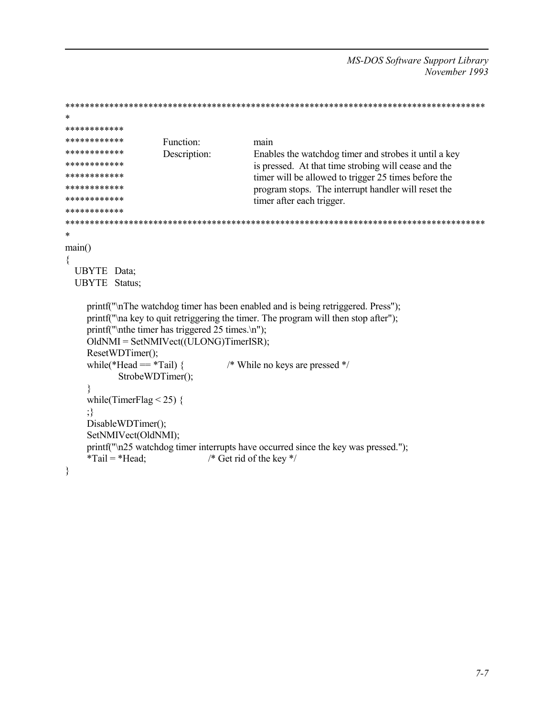```
************
************
                   Function:
                                     main
************
                   Description:
                                     Enables the watchdog timer and strobes it until a key
************
                                     is pressed. At that time strobing will cease and the
************
                                     timer will be allowed to trigger 25 times before the
************
                                     program stops. The interrupt handler will reset the
************
                                     timer after each trigger.
************
main()∤
 UBYTE Data:
 UBYTE Status;
    printf("\nThe watchdog timer has been enabled and is being retriggered. Press");
    printf("\na key to quit retriggering the timer. The program will then stop after");
    printf("\nthe timer has triggered 25 times.\n");
    OldNMI = SetNMIVect((ULONG)TimerISR);ResetWDTimer();
    while(*Head = *Tail) {
                                /* While no keys are pressed */
          StrobeWDTimer();
    ₹
    while(TimerFlag < 25) {
    ;\}DisableWDTimer();
    SetNMIVect(OldNMI);
    printf("\n25 watchdog timer interrupts have occurred since the key was pressed.");
    *Tail = *Head;/* Get rid of the key */₹
```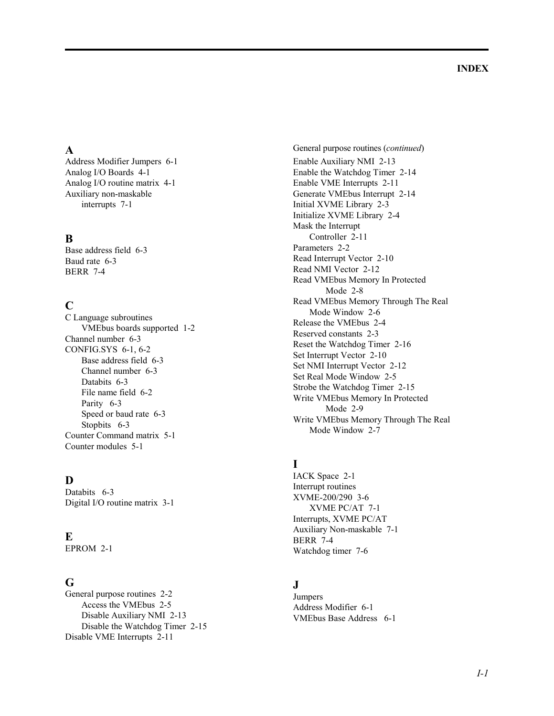Address Modifier Jumpers 6-1 Analog I/O Boards 4-1 Analog I/O routine matrix 4-1 Auxiliary non-maskable interrupts 7-1

## **B**

Base address field 6-3 Baud rate 6-3 BERR 7-4

# **C**

C Language subroutines VMEbus boards supported 1-2 Channel number 6-3 CONFIG.SYS 6-1, 6-2 Base address field 6-3 Channel number 6-3 Databits 6-3 File name field 6-2 Parity 6-3 Speed or baud rate 6-3 Stopbits 6-3 Counter Command matrix 5-1 Counter modules 5-1

## **D**

Databits 6-3 Digital I/O routine matrix 3-1

## **E**

EPROM 2-1

## **G**

General purpose routines 2-2 Access the VMEbus 2-5 Disable Auxiliary NMI 2-13 Disable the Watchdog Timer 2-15 Disable VME Interrupts 2-11

**A** General purpose routines (*continued*) Enable Auxiliary NMI 2-13 Enable the Watchdog Timer 2-14 Enable VME Interrupts 2-11 Generate VMEbus Interrupt 2-14 Initial XVME Library 2-3 Initialize XVME Library 2-4 Mask the Interrupt Controller 2-11 Parameters 2-2 Read Interrupt Vector 2-10 Read NMI Vector 2-12 Read VMEbus Memory In Protected Mode 2-8 Read VMEbus Memory Through The Real Mode Window 2-6 Release the VMEbus 2-4 Reserved constants 2-3 Reset the Watchdog Timer 2-16 Set Interrupt Vector 2-10 Set NMI Interrupt Vector 2-12 Set Real Mode Window 2-5 Strobe the Watchdog Timer 2-15 Write VMEbus Memory In Protected Mode 2-9 Write VMEbus Memory Through The Real Mode Window 2-7

## **I**

IACK Space 2-1 Interrupt routines XVME-200/290 3-6 XVME PC/AT 7-1 Interrupts, XVME PC/AT Auxiliary Non-maskable 7-1 BERR 7-4 Watchdog timer 7-6

## **J**

**Jumpers** Address Modifier 6-1 VMEbus Base Address 6-1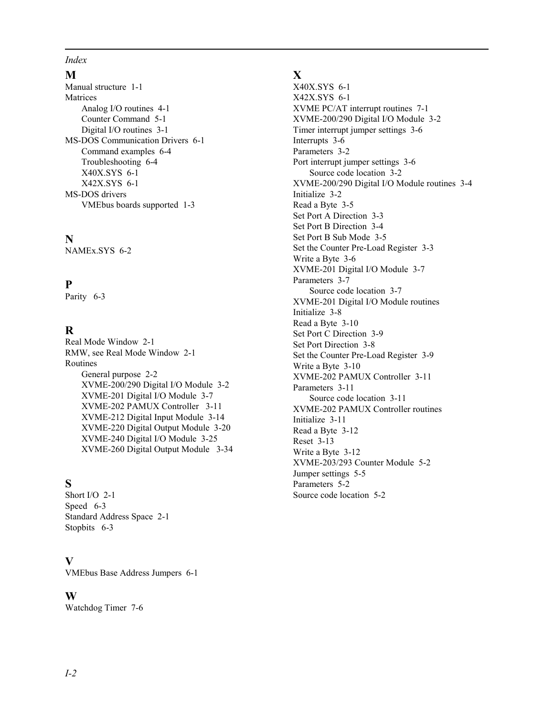#### *Index*

## **M**

Manual structure 1-1 Matrices Analog I/O routines 4-1 Counter Command 5-1 Digital I/O routines 3-1 MS-DOS Communication Drivers 6-1 Command examples 6-4 Troubleshooting 6-4 X40X.SYS 6-1 X42X.SYS 6-1 MS-DOS drivers VMEbus boards supported 1-3

## **N**

NAMEx.SYS 6-2

## **P**

Parity 6-3

## **R**

Real Mode Window 2-1 RMW, see Real Mode Window 2-1 Routines General purpose 2-2 XVME-200/290 Digital I/O Module 3-2 XVME-201 Digital I/O Module 3-7 XVME-202 PAMUX Controller 3-11 XVME-212 Digital Input Module 3-14 XVME-220 Digital Output Module 3-20 XVME-240 Digital I/O Module 3-25 XVME-260 Digital Output Module 3-34

## **S**

Short I/O 2-1 Speed 6-3 Standard Address Space 2-1 Stopbits 6-3

## **V**

VMEbus Base Address Jumpers 6-1

## **W**

Watchdog Timer 7-6

## **X**

X40X.SYS 6-1 X42X.SYS 6-1 XVME PC/AT interrupt routines 7-1 XVME-200/290 Digital I/O Module 3-2 Timer interrupt jumper settings 3-6 Interrupts 3-6 Parameters 3-2 Port interrupt jumper settings 3-6 Source code location 3-2 XVME-200/290 Digital I/O Module routines 3-4 Initialize 3-2 Read a Byte 3-5 Set Port A Direction 3-3 Set Port B Direction 3-4 Set Port B Sub Mode 3-5 Set the Counter Pre-Load Register 3-3 Write a Byte 3-6 XVME-201 Digital I/O Module 3-7 Parameters 3-7 Source code location 3-7 XVME-201 Digital I/O Module routines Initialize 3-8 Read a Byte 3-10 Set Port C Direction 3-9 Set Port Direction 3-8 Set the Counter Pre-Load Register 3-9 Write a Byte 3-10 XVME-202 PAMUX Controller 3-11 Parameters 3-11 Source code location 3-11 XVME-202 PAMUX Controller routines Initialize 3-11 Read a Byte 3-12 Reset 3-13 Write a Byte 3-12 XVME-203/293 Counter Module 5-2 Jumper settings 5-5 Parameters 5-2 Source code location 5-2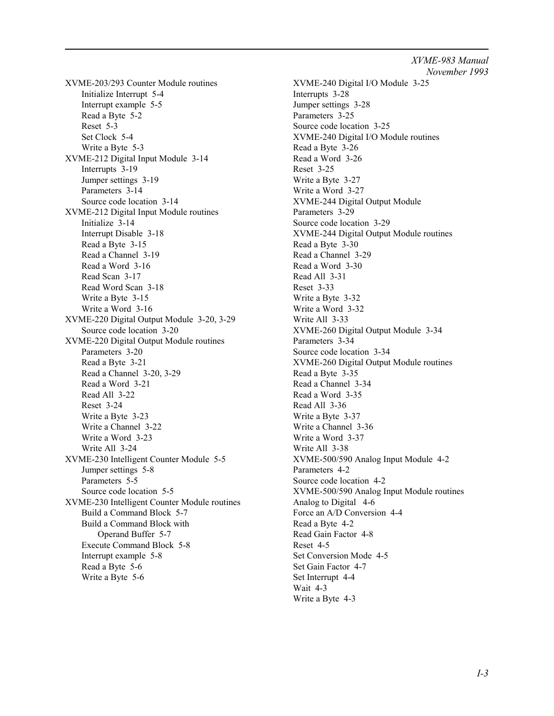*XVME-983 Manual*

XVME-203/293 Counter Module routines Initialize Interrupt 5-4 Interrupt example 5-5 Read a Byte 5-2 Reset 5-3 Set Clock 5-4 Write a Byte 5-3 XVME-212 Digital Input Module 3-14 Interrupts 3-19 Jumper settings 3-19 Parameters 3-14 Source code location 3-14 XVME-212 Digital Input Module routines Initialize 3-14 Interrupt Disable 3-18 Read a Byte 3-15 Read a Channel 3-19 Read a Word 3-16 Read Scan 3-17 Read Word Scan 3-18 Write a Byte 3-15 Write a Word 3-16 XVME-220 Digital Output Module 3-20, 3-29 Source code location 3-20 XVME-220 Digital Output Module routines Parameters 3-20 Read a Byte 3-21 Read a Channel 3-20, 3-29 Read a Word 3-21 Read All 3-22 Reset 3-24 Write a Byte 3-23 Write a Channel 3-22 Write a Word 3-23 Write All 3-24 XVME-230 Intelligent Counter Module 5-5 Jumper settings 5-8 Parameters 5-5 Source code location 5-5 XVME-230 Intelligent Counter Module routines Build a Command Block 5-7 Build a Command Block with Operand Buffer 5-7 Execute Command Block 5-8 Interrupt example 5-8 Read a Byte 5-6 Write a Byte 5-6

*November 1993* XVME-240 Digital I/O Module 3-25 Interrupts 3-28 Jumper settings 3-28 Parameters 3-25 Source code location 3-25 XVME-240 Digital I/O Module routines Read a Byte 3-26 Read a Word 3-26 Reset 3-25 Write a Byte 3-27 Write a Word 3-27 XVME-244 Digital Output Module Parameters 3-29 Source code location 3-29 XVME-244 Digital Output Module routines Read a Byte 3-30 Read a Channel 3-29 Read a Word 3-30 Read All 3-31 Reset 3-33 Write a Byte 3-32 Write a Word 3-32 Write All 3-33 XVME-260 Digital Output Module 3-34 Parameters 3-34 Source code location 3-34 XVME-260 Digital Output Module routines Read a Byte 3-35 Read a Channel 3-34 Read a Word 3-35 Read All 3-36 Write a Byte 3-37 Write a Channel 3-36 Write a Word 3-37 Write All 3-38 XVME-500/590 Analog Input Module 4-2 Parameters 4-2 Source code location 4-2 XVME-500/590 Analog Input Module routines Analog to Digital 4-6 Force an A/D Conversion 4-4 Read a Byte 4-2 Read Gain Factor 4-8 Reset 4-5 Set Conversion Mode 4-5 Set Gain Factor 4-7 Set Interrupt 4-4 Wait 4-3 Write a Byte 4-3